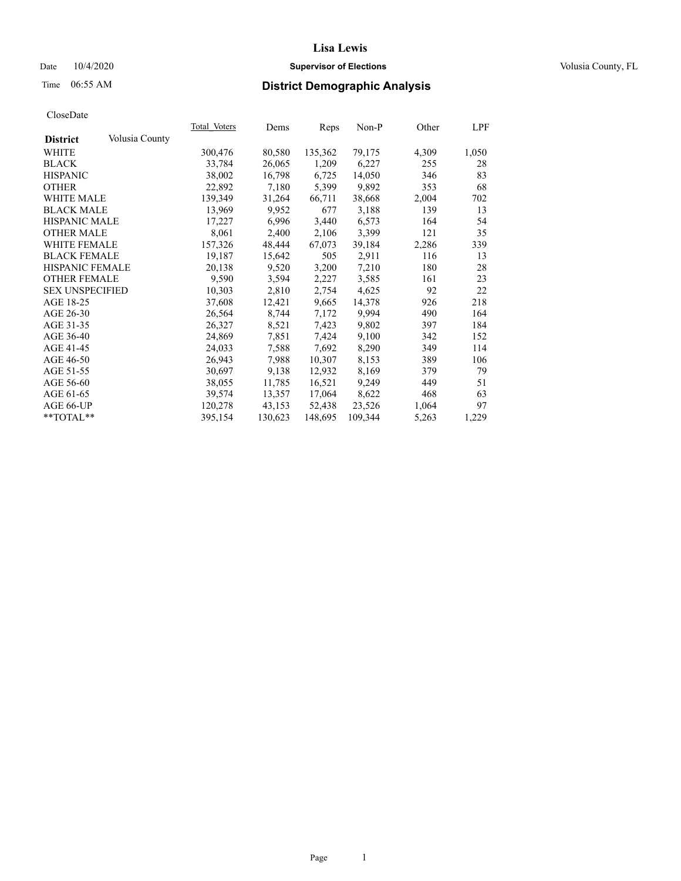## Date  $10/4/2020$  **Supervisor of Elections Supervisor of Elections** Volusia County, FL

# Time 06:55 AM **District Demographic Analysis**

|                        |                | Total Voters | Dems    | Reps    | Non-P   | Other | LPF   |
|------------------------|----------------|--------------|---------|---------|---------|-------|-------|
| <b>District</b>        | Volusia County |              |         |         |         |       |       |
| WHITE                  |                | 300,476      | 80,580  | 135,362 | 79,175  | 4,309 | 1,050 |
| <b>BLACK</b>           |                | 33,784       | 26,065  | 1,209   | 6,227   | 255   | 28    |
| <b>HISPANIC</b>        |                | 38,002       | 16,798  | 6,725   | 14,050  | 346   | 83    |
| <b>OTHER</b>           |                | 22,892       | 7,180   | 5,399   | 9,892   | 353   | 68    |
| WHITE MALE             |                | 139,349      | 31,264  | 66,711  | 38,668  | 2,004 | 702   |
| <b>BLACK MALE</b>      |                | 13,969       | 9,952   | 677     | 3,188   | 139   | 13    |
| <b>HISPANIC MALE</b>   |                | 17,227       | 6,996   | 3,440   | 6,573   | 164   | 54    |
| <b>OTHER MALE</b>      |                | 8,061        | 2,400   | 2,106   | 3,399   | 121   | 35    |
| <b>WHITE FEMALE</b>    |                | 157,326      | 48,444  | 67,073  | 39,184  | 2,286 | 339   |
| <b>BLACK FEMALE</b>    |                | 19,187       | 15,642  | 505     | 2,911   | 116   | 13    |
| <b>HISPANIC FEMALE</b> |                | 20,138       | 9,520   | 3,200   | 7,210   | 180   | 28    |
| <b>OTHER FEMALE</b>    |                | 9,590        | 3,594   | 2,227   | 3,585   | 161   | 23    |
| <b>SEX UNSPECIFIED</b> |                | 10,303       | 2,810   | 2,754   | 4,625   | 92    | 22    |
| AGE 18-25              |                | 37,608       | 12,421  | 9,665   | 14,378  | 926   | 218   |
| AGE 26-30              |                | 26,564       | 8,744   | 7,172   | 9,994   | 490   | 164   |
| AGE 31-35              |                | 26,327       | 8,521   | 7,423   | 9,802   | 397   | 184   |
| AGE 36-40              |                | 24,869       | 7,851   | 7,424   | 9,100   | 342   | 152   |
| AGE 41-45              |                | 24,033       | 7,588   | 7,692   | 8,290   | 349   | 114   |
| AGE 46-50              |                | 26,943       | 7,988   | 10,307  | 8,153   | 389   | 106   |
| AGE 51-55              |                | 30,697       | 9,138   | 12,932  | 8,169   | 379   | 79    |
| AGE 56-60              |                | 38,055       | 11,785  | 16,521  | 9,249   | 449   | 51    |
| AGE 61-65              |                | 39,574       | 13,357  | 17,064  | 8,622   | 468   | 63    |
| AGE 66-UP              |                | 120,278      | 43,153  | 52,438  | 23,526  | 1,064 | 97    |
| $*$ $TOTAL**$          |                | 395,154      | 130,623 | 148,695 | 109,344 | 5,263 | 1,229 |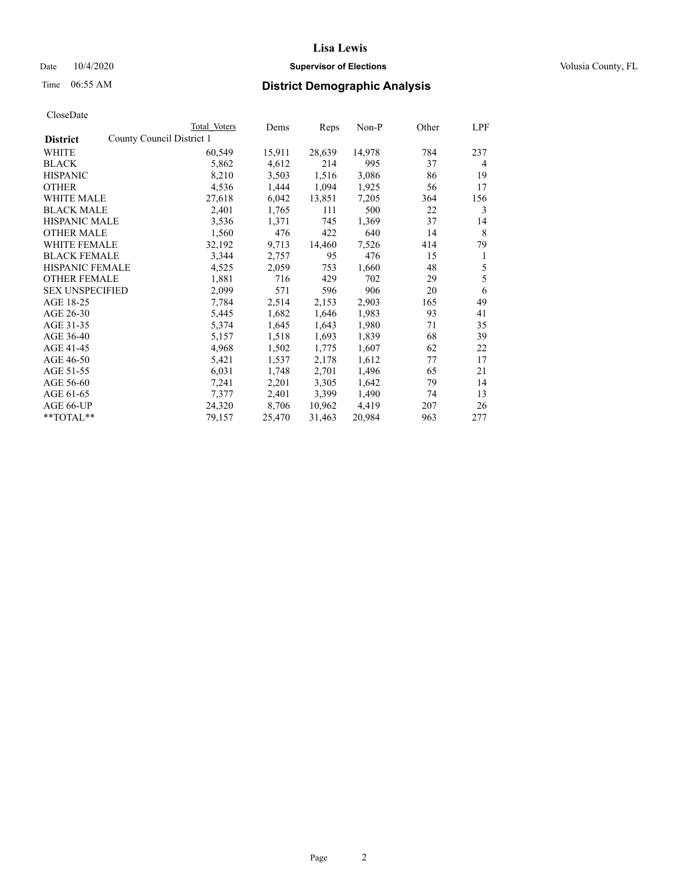## Date  $10/4/2020$  **Supervisor of Elections Supervisor of Elections** Volusia County, FL

| County Council District 1<br><b>District</b><br>14,978<br>WHITE<br>60,549<br>15,911<br>28,639<br>784<br>237<br>4,612<br><b>BLACK</b><br>5,862<br>214<br>995<br>37<br>4<br><b>HISPANIC</b><br>8,210<br>1,516<br>3,503<br>3,086<br>86<br>19<br>1,444<br>1,094<br>1,925<br><b>OTHER</b><br>4,536<br>56<br>17<br>27,618<br>6,042<br>13,851<br>7,205<br><b>WHITE MALE</b><br>364<br>156<br><b>BLACK MALE</b><br>2,401<br>1,765<br>111<br>500<br>22<br>3<br><b>HISPANIC MALE</b><br>1,371<br>745<br>1,369<br>37<br>3,536<br>14<br>8<br>1,560<br>476<br>422<br>640<br><b>OTHER MALE</b><br>14<br>WHITE FEMALE<br>32,192<br>9,713<br>14,460<br>7,526<br>414<br>79<br><b>BLACK FEMALE</b><br>3,344<br>476<br>2,757<br>95<br>15<br>1<br><b>HISPANIC FEMALE</b><br>5<br>4,525<br>2,059<br>753<br>1,660<br>48<br>5<br><b>OTHER FEMALE</b><br>1,881<br>716<br>429<br>702<br>29<br><b>SEX UNSPECIFIED</b><br>2,099<br>571<br>596<br>906<br>20<br>6<br>AGE 18-25<br>49<br>7,784<br>2,514<br>2,153<br>2,903<br>165<br>AGE 26-30<br>5,445<br>1,682<br>1,646<br>1,983<br>93<br>41<br>AGE 31-35<br>1,643<br>1,980<br>5,374<br>1,645<br>71<br>35<br>AGE 36-40<br>1,518<br>1,693<br>1,839<br>68<br>39<br>5,157<br>AGE 41-45<br>4,968<br>1,775<br>1,607<br>62<br>1,502<br>22<br>AGE 46-50<br>5,421<br>2,178<br>1,612<br>17<br>1,537<br>77<br>AGE 51-55<br>6,031<br>2,701<br>1,496<br>1,748<br>65<br>21<br>3,305<br>1,642<br>AGE 56-60<br>7,241<br>2,201<br>79<br>14<br>2,401<br>3,399<br>1,490<br>AGE 61-65<br>13<br>7,377<br>74<br>AGE 66-UP<br>24,320<br>8,706<br>10,962<br>4,419<br>207<br>26<br>**TOTAL**<br>963<br>277<br>79,157<br>25,470<br>31,463<br>20,984 | Total Voters | Dems | Reps | Non-P | Other | LPF |
|-----------------------------------------------------------------------------------------------------------------------------------------------------------------------------------------------------------------------------------------------------------------------------------------------------------------------------------------------------------------------------------------------------------------------------------------------------------------------------------------------------------------------------------------------------------------------------------------------------------------------------------------------------------------------------------------------------------------------------------------------------------------------------------------------------------------------------------------------------------------------------------------------------------------------------------------------------------------------------------------------------------------------------------------------------------------------------------------------------------------------------------------------------------------------------------------------------------------------------------------------------------------------------------------------------------------------------------------------------------------------------------------------------------------------------------------------------------------------------------------------------------------------------------------------------------------------------------------------------------------------------------------------|--------------|------|------|-------|-------|-----|
|                                                                                                                                                                                                                                                                                                                                                                                                                                                                                                                                                                                                                                                                                                                                                                                                                                                                                                                                                                                                                                                                                                                                                                                                                                                                                                                                                                                                                                                                                                                                                                                                                                               |              |      |      |       |       |     |
|                                                                                                                                                                                                                                                                                                                                                                                                                                                                                                                                                                                                                                                                                                                                                                                                                                                                                                                                                                                                                                                                                                                                                                                                                                                                                                                                                                                                                                                                                                                                                                                                                                               |              |      |      |       |       |     |
|                                                                                                                                                                                                                                                                                                                                                                                                                                                                                                                                                                                                                                                                                                                                                                                                                                                                                                                                                                                                                                                                                                                                                                                                                                                                                                                                                                                                                                                                                                                                                                                                                                               |              |      |      |       |       |     |
|                                                                                                                                                                                                                                                                                                                                                                                                                                                                                                                                                                                                                                                                                                                                                                                                                                                                                                                                                                                                                                                                                                                                                                                                                                                                                                                                                                                                                                                                                                                                                                                                                                               |              |      |      |       |       |     |
|                                                                                                                                                                                                                                                                                                                                                                                                                                                                                                                                                                                                                                                                                                                                                                                                                                                                                                                                                                                                                                                                                                                                                                                                                                                                                                                                                                                                                                                                                                                                                                                                                                               |              |      |      |       |       |     |
|                                                                                                                                                                                                                                                                                                                                                                                                                                                                                                                                                                                                                                                                                                                                                                                                                                                                                                                                                                                                                                                                                                                                                                                                                                                                                                                                                                                                                                                                                                                                                                                                                                               |              |      |      |       |       |     |
|                                                                                                                                                                                                                                                                                                                                                                                                                                                                                                                                                                                                                                                                                                                                                                                                                                                                                                                                                                                                                                                                                                                                                                                                                                                                                                                                                                                                                                                                                                                                                                                                                                               |              |      |      |       |       |     |
|                                                                                                                                                                                                                                                                                                                                                                                                                                                                                                                                                                                                                                                                                                                                                                                                                                                                                                                                                                                                                                                                                                                                                                                                                                                                                                                                                                                                                                                                                                                                                                                                                                               |              |      |      |       |       |     |
|                                                                                                                                                                                                                                                                                                                                                                                                                                                                                                                                                                                                                                                                                                                                                                                                                                                                                                                                                                                                                                                                                                                                                                                                                                                                                                                                                                                                                                                                                                                                                                                                                                               |              |      |      |       |       |     |
|                                                                                                                                                                                                                                                                                                                                                                                                                                                                                                                                                                                                                                                                                                                                                                                                                                                                                                                                                                                                                                                                                                                                                                                                                                                                                                                                                                                                                                                                                                                                                                                                                                               |              |      |      |       |       |     |
|                                                                                                                                                                                                                                                                                                                                                                                                                                                                                                                                                                                                                                                                                                                                                                                                                                                                                                                                                                                                                                                                                                                                                                                                                                                                                                                                                                                                                                                                                                                                                                                                                                               |              |      |      |       |       |     |
|                                                                                                                                                                                                                                                                                                                                                                                                                                                                                                                                                                                                                                                                                                                                                                                                                                                                                                                                                                                                                                                                                                                                                                                                                                                                                                                                                                                                                                                                                                                                                                                                                                               |              |      |      |       |       |     |
|                                                                                                                                                                                                                                                                                                                                                                                                                                                                                                                                                                                                                                                                                                                                                                                                                                                                                                                                                                                                                                                                                                                                                                                                                                                                                                                                                                                                                                                                                                                                                                                                                                               |              |      |      |       |       |     |
|                                                                                                                                                                                                                                                                                                                                                                                                                                                                                                                                                                                                                                                                                                                                                                                                                                                                                                                                                                                                                                                                                                                                                                                                                                                                                                                                                                                                                                                                                                                                                                                                                                               |              |      |      |       |       |     |
|                                                                                                                                                                                                                                                                                                                                                                                                                                                                                                                                                                                                                                                                                                                                                                                                                                                                                                                                                                                                                                                                                                                                                                                                                                                                                                                                                                                                                                                                                                                                                                                                                                               |              |      |      |       |       |     |
|                                                                                                                                                                                                                                                                                                                                                                                                                                                                                                                                                                                                                                                                                                                                                                                                                                                                                                                                                                                                                                                                                                                                                                                                                                                                                                                                                                                                                                                                                                                                                                                                                                               |              |      |      |       |       |     |
|                                                                                                                                                                                                                                                                                                                                                                                                                                                                                                                                                                                                                                                                                                                                                                                                                                                                                                                                                                                                                                                                                                                                                                                                                                                                                                                                                                                                                                                                                                                                                                                                                                               |              |      |      |       |       |     |
|                                                                                                                                                                                                                                                                                                                                                                                                                                                                                                                                                                                                                                                                                                                                                                                                                                                                                                                                                                                                                                                                                                                                                                                                                                                                                                                                                                                                                                                                                                                                                                                                                                               |              |      |      |       |       |     |
|                                                                                                                                                                                                                                                                                                                                                                                                                                                                                                                                                                                                                                                                                                                                                                                                                                                                                                                                                                                                                                                                                                                                                                                                                                                                                                                                                                                                                                                                                                                                                                                                                                               |              |      |      |       |       |     |
|                                                                                                                                                                                                                                                                                                                                                                                                                                                                                                                                                                                                                                                                                                                                                                                                                                                                                                                                                                                                                                                                                                                                                                                                                                                                                                                                                                                                                                                                                                                                                                                                                                               |              |      |      |       |       |     |
|                                                                                                                                                                                                                                                                                                                                                                                                                                                                                                                                                                                                                                                                                                                                                                                                                                                                                                                                                                                                                                                                                                                                                                                                                                                                                                                                                                                                                                                                                                                                                                                                                                               |              |      |      |       |       |     |
|                                                                                                                                                                                                                                                                                                                                                                                                                                                                                                                                                                                                                                                                                                                                                                                                                                                                                                                                                                                                                                                                                                                                                                                                                                                                                                                                                                                                                                                                                                                                                                                                                                               |              |      |      |       |       |     |
|                                                                                                                                                                                                                                                                                                                                                                                                                                                                                                                                                                                                                                                                                                                                                                                                                                                                                                                                                                                                                                                                                                                                                                                                                                                                                                                                                                                                                                                                                                                                                                                                                                               |              |      |      |       |       |     |
|                                                                                                                                                                                                                                                                                                                                                                                                                                                                                                                                                                                                                                                                                                                                                                                                                                                                                                                                                                                                                                                                                                                                                                                                                                                                                                                                                                                                                                                                                                                                                                                                                                               |              |      |      |       |       |     |
|                                                                                                                                                                                                                                                                                                                                                                                                                                                                                                                                                                                                                                                                                                                                                                                                                                                                                                                                                                                                                                                                                                                                                                                                                                                                                                                                                                                                                                                                                                                                                                                                                                               |              |      |      |       |       |     |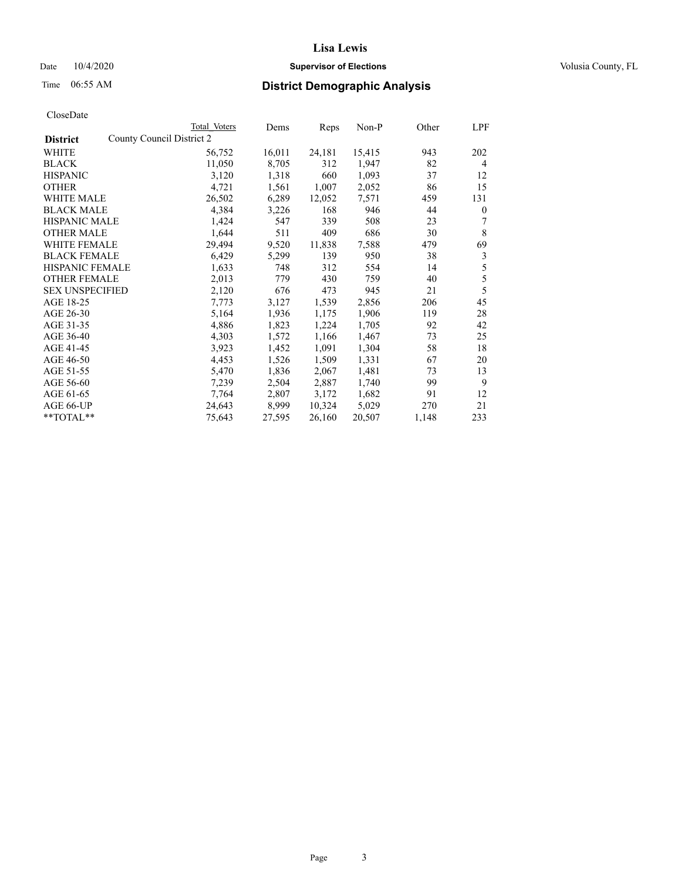## Date  $10/4/2020$  **Supervisor of Elections Supervisor of Elections** Volusia County, FL

| CloseDate |
|-----------|
|-----------|

| Total Voters              | Dems   |        | Non-P  | Other | LPF          |
|---------------------------|--------|--------|--------|-------|--------------|
| County Council District 2 |        |        |        |       |              |
| 56,752                    | 16,011 | 24,181 | 15,415 | 943   | 202          |
| 11,050                    | 8,705  | 312    | 1,947  | 82    | 4            |
| 3,120                     | 1,318  | 660    | 1,093  | 37    | 12           |
| 4,721                     | 1,561  | 1,007  | 2,052  | 86    | 15           |
| 26,502                    | 6,289  | 12,052 | 7,571  | 459   | 131          |
| 4,384                     | 3,226  | 168    | 946    | 44    | $\mathbf{0}$ |
| 1,424                     | 547    | 339    | 508    | 23    | 7            |
| 1,644                     | 511    | 409    | 686    | 30    | 8            |
| 29,494                    | 9,520  | 11,838 | 7,588  | 479   | 69           |
| 6,429                     | 5,299  | 139    | 950    | 38    | 3            |
| 1,633                     | 748    | 312    | 554    | 14    | 5            |
| 2,013                     | 779    | 430    | 759    | 40    | 5            |
| 2,120                     | 676    | 473    | 945    | 21    | 5            |
| 7,773                     | 3,127  | 1,539  | 2,856  | 206   | 45           |
| 5,164                     | 1,936  | 1,175  | 1,906  | 119   | 28           |
| 4,886                     | 1,823  | 1,224  | 1,705  | 92    | 42           |
| 4,303                     | 1,572  | 1,166  | 1,467  | 73    | 25           |
| 3,923                     | 1,452  | 1,091  | 1,304  | 58    | 18           |
| 4,453                     | 1,526  | 1,509  | 1,331  | 67    | 20           |
| 5,470                     | 1,836  | 2,067  | 1,481  | 73    | 13           |
| 7,239                     | 2,504  | 2,887  | 1,740  | 99    | 9            |
| 7,764                     | 2,807  | 3,172  | 1,682  | 91    | 12           |
| 24,643                    | 8,999  | 10,324 | 5,029  | 270   | 21           |
| 75,643                    | 27,595 | 26,160 | 20,507 | 1,148 | 233          |
|                           |        |        | Reps   |       |              |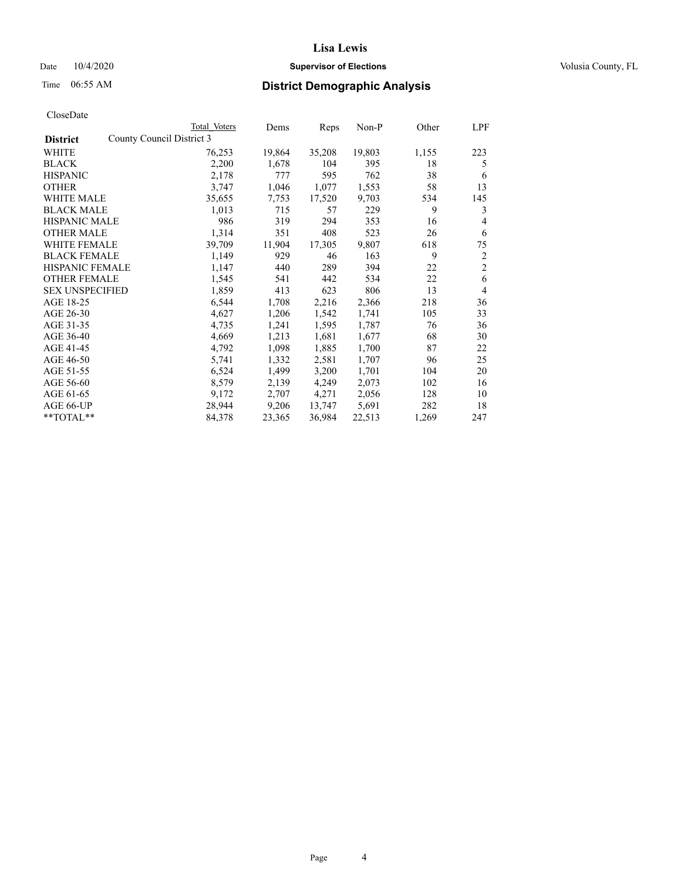### Date  $10/4/2020$  **Supervisor of Elections** Volusia County, FL

|                        | Total Voters              | Dems   | Reps   | Non-P  | Other | LPF            |
|------------------------|---------------------------|--------|--------|--------|-------|----------------|
| <b>District</b>        | County Council District 3 |        |        |        |       |                |
| WHITE                  | 76,253                    | 19,864 | 35,208 | 19,803 | 1,155 | 223            |
| <b>BLACK</b>           | 2,200                     | 1,678  | 104    | 395    | 18    | 5              |
| <b>HISPANIC</b>        | 2,178                     | 777    | 595    | 762    | 38    | 6              |
| <b>OTHER</b>           | 3,747                     | 1,046  | 1,077  | 1,553  | 58    | 13             |
| <b>WHITE MALE</b>      | 35,655                    | 7,753  | 17,520 | 9,703  | 534   | 145            |
| <b>BLACK MALE</b>      | 1,013                     | 715    | 57     | 229    | 9     | 3              |
| <b>HISPANIC MALE</b>   | 986                       | 319    | 294    | 353    | 16    | 4              |
| <b>OTHER MALE</b>      | 1,314                     | 351    | 408    | 523    | 26    | 6              |
| <b>WHITE FEMALE</b>    | 39,709                    | 11,904 | 17,305 | 9,807  | 618   | 75             |
| <b>BLACK FEMALE</b>    | 1,149                     | 929    | 46     | 163    | 9     | 2              |
| <b>HISPANIC FEMALE</b> | 1,147                     | 440    | 289    | 394    | 22    | $\overline{c}$ |
| <b>OTHER FEMALE</b>    | 1,545                     | 541    | 442    | 534    | 22    | 6              |
| <b>SEX UNSPECIFIED</b> | 1,859                     | 413    | 623    | 806    | 13    | 4              |
| AGE 18-25              | 6,544                     | 1,708  | 2,216  | 2,366  | 218   | 36             |
| AGE 26-30              | 4,627                     | 1,206  | 1,542  | 1,741  | 105   | 33             |
| AGE 31-35              | 4,735                     | 1,241  | 1,595  | 1,787  | 76    | 36             |
| AGE 36-40              | 4,669                     | 1,213  | 1,681  | 1,677  | 68    | 30             |
| AGE 41-45              | 4,792                     | 1,098  | 1,885  | 1,700  | 87    | 22             |
| AGE 46-50              | 5,741                     | 1,332  | 2,581  | 1,707  | 96    | 25             |
| AGE 51-55              | 6,524                     | 1,499  | 3,200  | 1,701  | 104   | 20             |
| AGE 56-60              | 8,579                     | 2,139  | 4,249  | 2,073  | 102   | 16             |
| AGE 61-65              | 9,172                     | 2,707  | 4,271  | 2,056  | 128   | 10             |
| AGE 66-UP              | 28,944                    | 9,206  | 13,747 | 5,691  | 282   | 18             |
| **TOTAL**              | 84,378                    | 23,365 | 36,984 | 22,513 | 1,269 | 247            |
|                        |                           |        |        |        |       |                |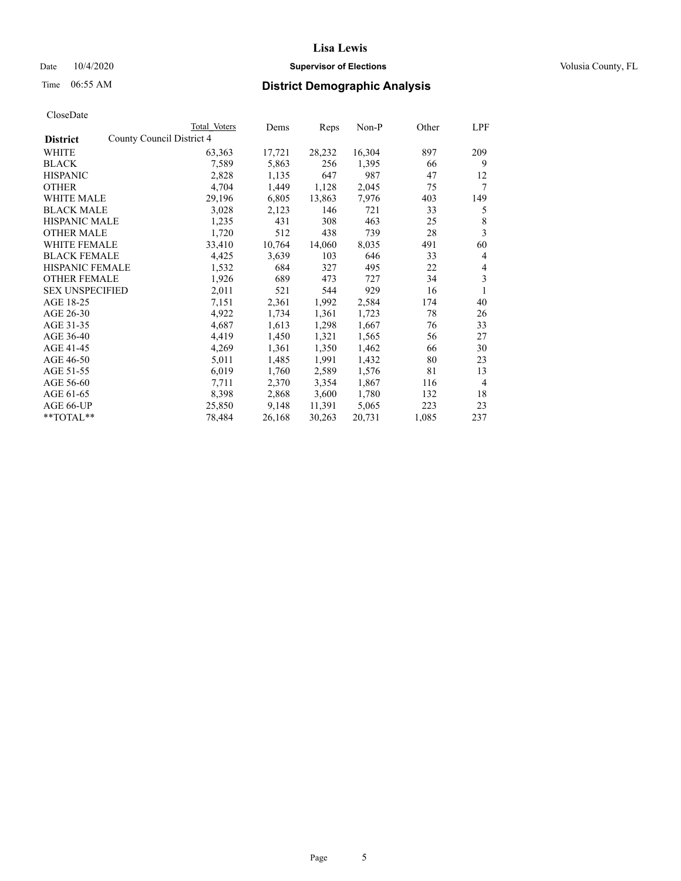## Date  $10/4/2020$  **Supervisor of Elections Supervisor of Elections** Volusia County, FL

| CloseDate |
|-----------|
|-----------|

|                                              | Total Voters | Dems   | Reps   | Non-P  | Other | LPF            |
|----------------------------------------------|--------------|--------|--------|--------|-------|----------------|
| County Council District 4<br><b>District</b> |              |        |        |        |       |                |
| WHITE                                        | 63,363       | 17,721 | 28,232 | 16,304 | 897   | 209            |
| <b>BLACK</b>                                 | 7,589        | 5,863  | 256    | 1,395  | 66    | 9              |
| <b>HISPANIC</b>                              | 2,828        | 1,135  | 647    | 987    | 47    | 12             |
| <b>OTHER</b>                                 | 4,704        | 1,449  | 1,128  | 2,045  | 75    | 7              |
| <b>WHITE MALE</b>                            | 29,196       | 6,805  | 13,863 | 7,976  | 403   | 149            |
| <b>BLACK MALE</b>                            | 3,028        | 2,123  | 146    | 721    | 33    | 5              |
| <b>HISPANIC MALE</b>                         | 1,235        | 431    | 308    | 463    | 25    | 8              |
| <b>OTHER MALE</b>                            | 1,720        | 512    | 438    | 739    | 28    | 3              |
| <b>WHITE FEMALE</b>                          | 33,410       | 10,764 | 14,060 | 8,035  | 491   | 60             |
| <b>BLACK FEMALE</b>                          | 4,425        | 3,639  | 103    | 646    | 33    | 4              |
| HISPANIC FEMALE                              | 1,532        | 684    | 327    | 495    | 22    | 4              |
| <b>OTHER FEMALE</b>                          | 1,926        | 689    | 473    | 727    | 34    | 3              |
| <b>SEX UNSPECIFIED</b>                       | 2,011        | 521    | 544    | 929    | 16    | 1              |
| AGE 18-25                                    | 7,151        | 2,361  | 1,992  | 2,584  | 174   | 40             |
| AGE 26-30                                    | 4,922        | 1,734  | 1,361  | 1,723  | 78    | 26             |
| AGE 31-35                                    | 4,687        | 1,613  | 1,298  | 1,667  | 76    | 33             |
| AGE 36-40                                    | 4,419        | 1,450  | 1,321  | 1,565  | 56    | 27             |
| AGE 41-45                                    | 4,269        | 1,361  | 1,350  | 1,462  | 66    | 30             |
| AGE 46-50                                    | 5,011        | 1,485  | 1,991  | 1,432  | 80    | 23             |
| AGE 51-55                                    | 6,019        | 1,760  | 2,589  | 1,576  | 81    | 13             |
| AGE 56-60                                    | 7,711        | 2,370  | 3,354  | 1,867  | 116   | $\overline{4}$ |
| AGE 61-65                                    | 8,398        | 2,868  | 3,600  | 1,780  | 132   | 18             |
| AGE 66-UP                                    | 25,850       | 9,148  | 11,391 | 5,065  | 223   | 23             |
| **TOTAL**                                    | 78,484       | 26,168 | 30,263 | 20,731 | 1,085 | 237            |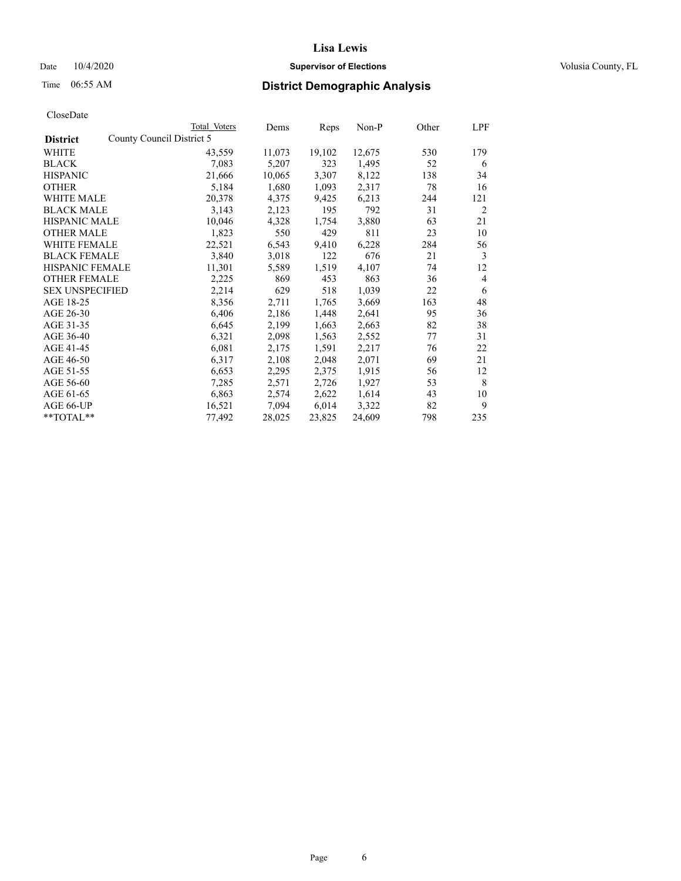## Date  $10/4/2020$  **Supervisor of Elections Supervisor of Elections** Volusia County, FL

| CloseDate |
|-----------|
|-----------|

|                                              | Total Voters | Dems   | Reps   | Non-P  | Other | LPF            |
|----------------------------------------------|--------------|--------|--------|--------|-------|----------------|
| County Council District 5<br><b>District</b> |              |        |        |        |       |                |
| WHITE                                        | 43,559       | 11,073 | 19,102 | 12,675 | 530   | 179            |
| <b>BLACK</b>                                 | 7,083        | 5,207  | 323    | 1,495  | 52    | 6              |
| <b>HISPANIC</b>                              | 21,666       | 10,065 | 3,307  | 8,122  | 138   | 34             |
| <b>OTHER</b>                                 | 5,184        | 1,680  | 1,093  | 2,317  | 78    | 16             |
| WHITE MALE                                   | 20,378       | 4,375  | 9,425  | 6,213  | 244   | 121            |
| <b>BLACK MALE</b>                            | 3,143        | 2,123  | 195    | 792    | 31    | $\overline{c}$ |
| <b>HISPANIC MALE</b>                         | 10,046       | 4,328  | 1,754  | 3,880  | 63    | 21             |
| <b>OTHER MALE</b>                            | 1,823        | 550    | 429    | 811    | 23    | 10             |
| <b>WHITE FEMALE</b>                          | 22,521       | 6,543  | 9,410  | 6,228  | 284   | 56             |
| <b>BLACK FEMALE</b>                          | 3,840        | 3,018  | 122    | 676    | 21    | 3              |
| HISPANIC FEMALE                              | 11,301       | 5,589  | 1,519  | 4,107  | 74    | 12             |
| <b>OTHER FEMALE</b>                          | 2,225        | 869    | 453    | 863    | 36    | $\overline{4}$ |
| <b>SEX UNSPECIFIED</b>                       | 2,214        | 629    | 518    | 1,039  | 22    | 6              |
| AGE 18-25                                    | 8,356        | 2,711  | 1,765  | 3,669  | 163   | 48             |
| AGE 26-30                                    | 6,406        | 2,186  | 1,448  | 2,641  | 95    | 36             |
| AGE 31-35                                    | 6,645        | 2,199  | 1,663  | 2,663  | 82    | 38             |
| AGE 36-40                                    | 6,321        | 2,098  | 1,563  | 2,552  | 77    | 31             |
| AGE 41-45                                    | 6,081        | 2,175  | 1,591  | 2,217  | 76    | 22             |
| AGE 46-50                                    | 6,317        | 2,108  | 2,048  | 2,071  | 69    | 21             |
| AGE 51-55                                    | 6,653        | 2,295  | 2,375  | 1,915  | 56    | 12             |
| AGE 56-60                                    | 7,285        | 2,571  | 2,726  | 1,927  | 53    | 8              |
| AGE 61-65                                    | 6,863        | 2,574  | 2,622  | 1,614  | 43    | 10             |
| AGE 66-UP                                    | 16,521       | 7,094  | 6,014  | 3,322  | 82    | 9              |
| **TOTAL**                                    | 77,492       | 28,025 | 23,825 | 24,609 | 798   | 235            |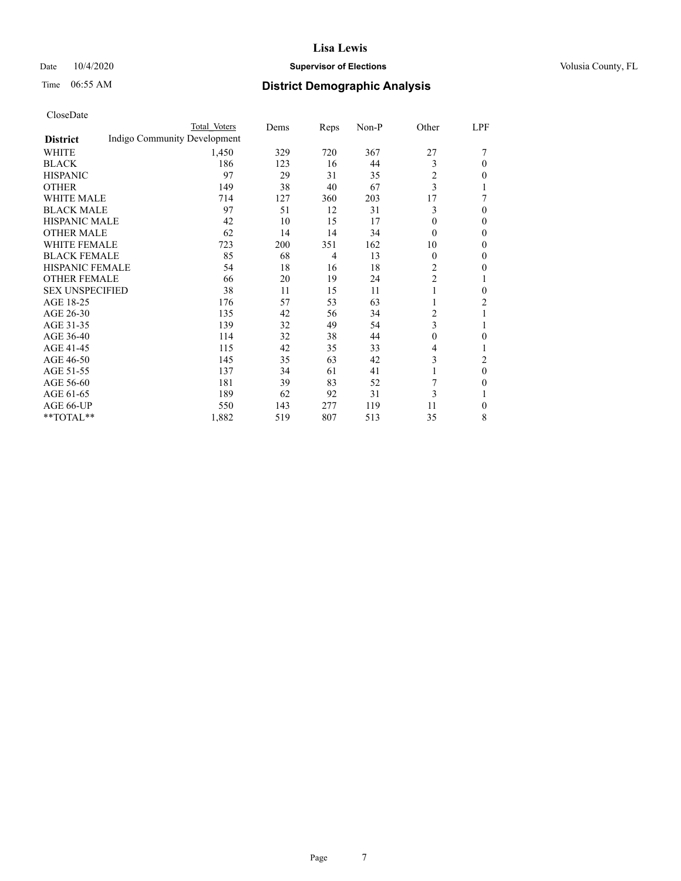## Date  $10/4/2020$  **Supervisor of Elections Supervisor of Elections** Volusia County, FL

# Time 06:55 AM **District Demographic Analysis**

|                        | Total Voters                 | Dems | Reps           | Non-P | Other          | LPF            |
|------------------------|------------------------------|------|----------------|-------|----------------|----------------|
| <b>District</b>        | Indigo Community Development |      |                |       |                |                |
| WHITE                  | 1,450                        | 329  | 720            | 367   | 27             |                |
| <b>BLACK</b>           | 186                          | 123  | 16             | 44    | 3              | 0              |
| <b>HISPANIC</b>        | 97                           | 29   | 31             | 35    | 2              | 0              |
| <b>OTHER</b>           | 149                          | 38   | 40             | 67    | 3              |                |
| <b>WHITE MALE</b>      | 714                          | 127  | 360            | 203   | 17             |                |
| <b>BLACK MALE</b>      | 97                           | 51   | 12             | 31    | 3              | 0              |
| <b>HISPANIC MALE</b>   | 42                           | 10   | 15             | 17    | $\Omega$       | 0              |
| <b>OTHER MALE</b>      | 62                           | 14   | 14             | 34    | $\Omega$       | 0              |
| <b>WHITE FEMALE</b>    | 723                          | 200  | 351            | 162   | 10             | 0              |
| <b>BLACK FEMALE</b>    | 85                           | 68   | $\overline{4}$ | 13    | $\Omega$       | 0              |
| HISPANIC FEMALE        | 54                           | 18   | 16             | 18    | 2              | 0              |
| <b>OTHER FEMALE</b>    | 66                           | 20   | 19             | 24    | 2              |                |
| <b>SEX UNSPECIFIED</b> | 38                           | 11   | 15             | 11    | 1              | 0              |
| AGE 18-25              | 176                          | 57   | 53             | 63    |                | $\overline{2}$ |
| AGE 26-30              | 135                          | 42   | 56             | 34    | 2              |                |
| AGE 31-35              | 139                          | 32   | 49             | 54    | 3              |                |
| AGE 36-40              | 114                          | 32   | 38             | 44    | $\overline{0}$ | 0              |
| AGE 41-45              | 115                          | 42   | 35             | 33    | 4              |                |
| AGE 46-50              | 145                          | 35   | 63             | 42    | 3              | $\overline{c}$ |
| AGE 51-55              | 137                          | 34   | 61             | 41    | 1              | 0              |
| AGE 56-60              | 181                          | 39   | 83             | 52    |                | 0              |
| AGE 61-65              | 189                          | 62   | 92             | 31    | 3              |                |
| AGE 66-UP              | 550                          | 143  | 277            | 119   | 11             | 0              |
| **TOTAL**              | 1,882                        | 519  | 807            | 513   | 35             | 8              |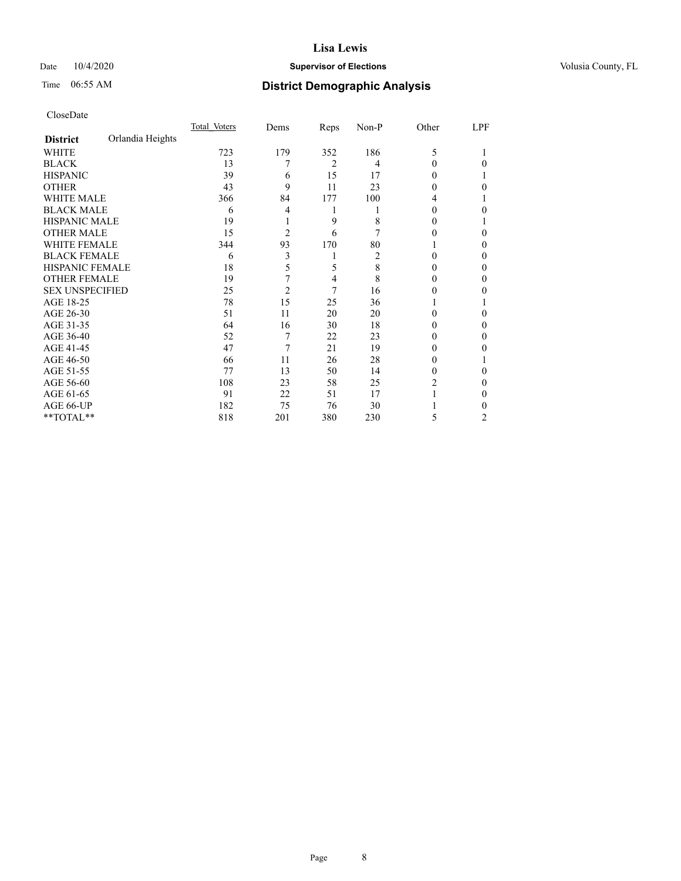## Date  $10/4/2020$  **Supervisor of Elections Supervisor of Elections** Volusia County, FL

# Time 06:55 AM **District Demographic Analysis**

|                        |                  | Total Voters | Dems           | Reps | $Non-P$ | Other    | LPF |
|------------------------|------------------|--------------|----------------|------|---------|----------|-----|
| <b>District</b>        | Orlandia Heights |              |                |      |         |          |     |
| WHITE                  |                  | 723          | 179            | 352  | 186     | 5        |     |
| <b>BLACK</b>           |                  | 13           | 7              | 2    | 4       | $\Omega$ | 0   |
| <b>HISPANIC</b>        |                  | 39           | 6              | 15   | 17      | 0        |     |
| <b>OTHER</b>           |                  | 43           | 9              | 11   | 23      | 0        | 0   |
| WHITE MALE             |                  | 366          | 84             | 177  | 100     | 4        |     |
| <b>BLACK MALE</b>      |                  | 6            | 4              | 1    |         | 0        | 0   |
| <b>HISPANIC MALE</b>   |                  | 19           |                | 9    | 8       | 0        |     |
| <b>OTHER MALE</b>      |                  | 15           | $\overline{2}$ | 6    |         | 0        | 0   |
| WHITE FEMALE           |                  | 344          | 93             | 170  | 80      |          | 0   |
| <b>BLACK FEMALE</b>    |                  | 6            | 3              | 1    | 2       | 0        | 0   |
| <b>HISPANIC FEMALE</b> |                  | 18           | 5              | 5    | 8       | 0        | 0   |
| <b>OTHER FEMALE</b>    |                  | 19           | 7              | 4    | 8       | $\Omega$ | 0   |
| <b>SEX UNSPECIFIED</b> |                  | 25           | $\overline{2}$ | 7    | 16      | $_{0}$   | 0   |
| AGE 18-25              |                  | 78           | 15             | 25   | 36      |          |     |
| AGE 26-30              |                  | 51           | 11             | 20   | 20      | $\Omega$ | 0   |
| AGE 31-35              |                  | 64           | 16             | 30   | 18      | $_{0}$   | 0   |
| AGE 36-40              |                  | 52           | 7              | 22   | 23      | 0        | 0   |
| AGE 41-45              |                  | 47           | 7              | 21   | 19      | $_{0}$   | 0   |
| AGE 46-50              |                  | 66           | 11             | 26   | 28      | $\theta$ |     |
| AGE 51-55              |                  | 77           | 13             | 50   | 14      | 0        | 0   |
| AGE 56-60              |                  | 108          | 23             | 58   | 25      | 2        | 0   |
| AGE 61-65              |                  | 91           | 22             | 51   | 17      |          | 0   |
| AGE 66-UP              |                  | 182          | 75             | 76   | 30      |          | 0   |
| **TOTAL**              |                  | 818          | 201            | 380  | 230     | 5        | 2   |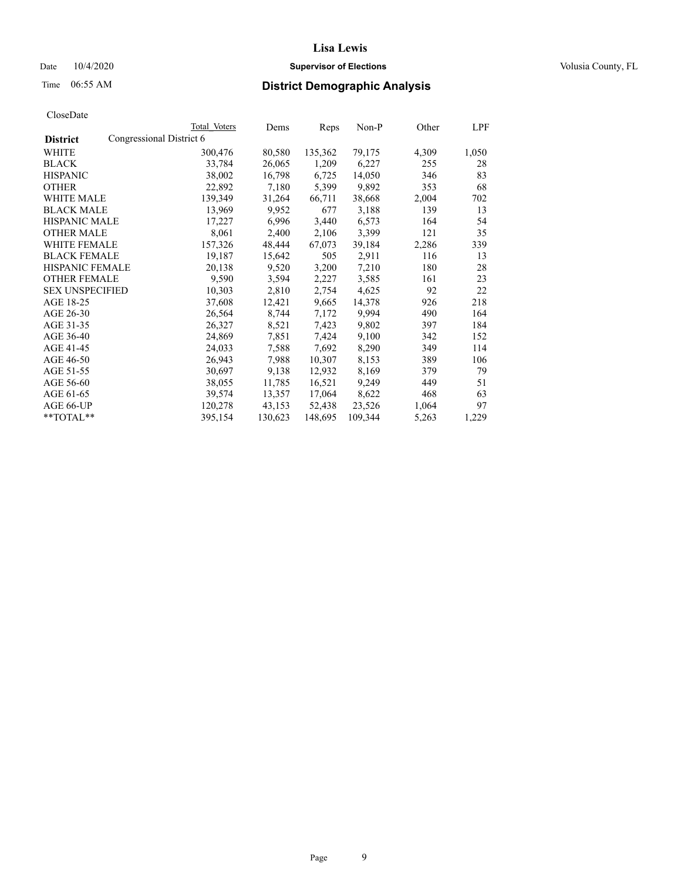## Date  $10/4/2020$  **Supervisor of Elections Supervisor of Elections** Volusia County, FL

|                                             | Total Voters | Dems    | Reps    | Non-P   | Other | LPF   |
|---------------------------------------------|--------------|---------|---------|---------|-------|-------|
| Congressional District 6<br><b>District</b> |              |         |         |         |       |       |
| WHITE                                       | 300,476      | 80,580  | 135,362 | 79,175  | 4,309 | 1,050 |
| <b>BLACK</b>                                | 33,784       | 26,065  | 1,209   | 6,227   | 255   | 28    |
| <b>HISPANIC</b>                             | 38,002       | 16,798  | 6,725   | 14,050  | 346   | 83    |
| <b>OTHER</b>                                | 22,892       | 7,180   | 5,399   | 9,892   | 353   | 68    |
| <b>WHITE MALE</b>                           | 139,349      | 31,264  | 66,711  | 38,668  | 2,004 | 702   |
| <b>BLACK MALE</b>                           | 13,969       | 9,952   | 677     | 3,188   | 139   | 13    |
| <b>HISPANIC MALE</b>                        | 17,227       | 6,996   | 3,440   | 6,573   | 164   | 54    |
| <b>OTHER MALE</b>                           | 8,061        | 2,400   | 2,106   | 3,399   | 121   | 35    |
| <b>WHITE FEMALE</b>                         | 157,326      | 48,444  | 67,073  | 39,184  | 2,286 | 339   |
| <b>BLACK FEMALE</b>                         | 19,187       | 15,642  | 505     | 2,911   | 116   | 13    |
| HISPANIC FEMALE                             | 20,138       | 9,520   | 3,200   | 7,210   | 180   | 28    |
| <b>OTHER FEMALE</b>                         | 9,590        | 3,594   | 2,227   | 3,585   | 161   | 23    |
| <b>SEX UNSPECIFIED</b>                      | 10,303       | 2,810   | 2,754   | 4,625   | 92    | 22    |
| AGE 18-25                                   | 37,608       | 12,421  | 9,665   | 14,378  | 926   | 218   |
| AGE 26-30                                   | 26,564       | 8,744   | 7,172   | 9,994   | 490   | 164   |
| AGE 31-35                                   | 26,327       | 8,521   | 7,423   | 9,802   | 397   | 184   |
| AGE 36-40                                   | 24,869       | 7,851   | 7,424   | 9,100   | 342   | 152   |
| AGE 41-45                                   | 24,033       | 7,588   | 7,692   | 8,290   | 349   | 114   |
| AGE 46-50                                   | 26,943       | 7,988   | 10,307  | 8,153   | 389   | 106   |
| AGE 51-55                                   | 30,697       | 9,138   | 12,932  | 8,169   | 379   | 79    |
| AGE 56-60                                   | 38,055       | 11,785  | 16,521  | 9,249   | 449   | 51    |
| AGE 61-65                                   | 39,574       | 13,357  | 17,064  | 8,622   | 468   | 63    |
| AGE 66-UP                                   | 120,278      | 43,153  | 52,438  | 23,526  | 1,064 | 97    |
| $*$ TOTAL $*$                               | 395,154      | 130,623 | 148,695 | 109,344 | 5,263 | 1,229 |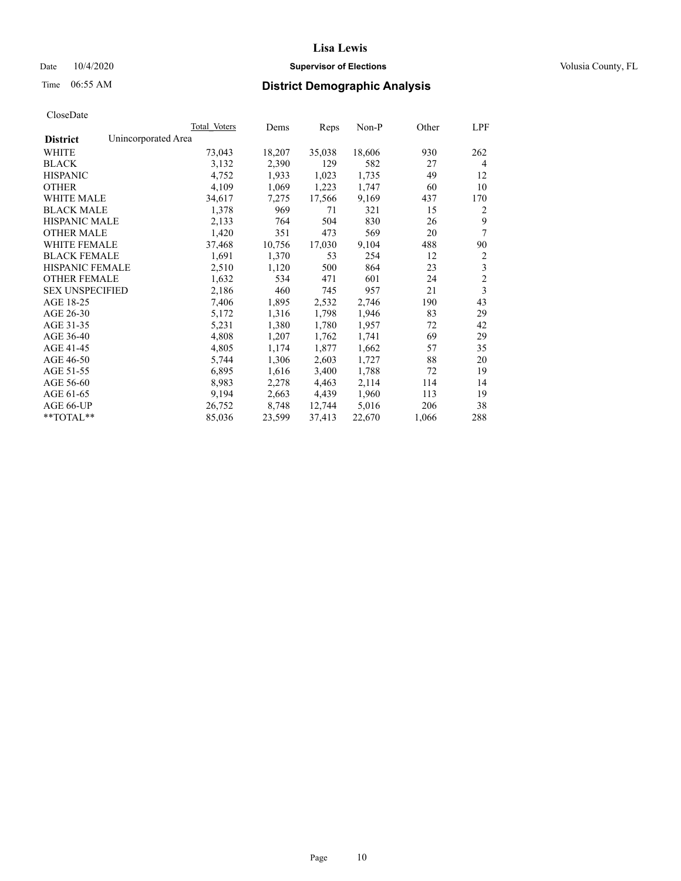### Date  $10/4/2020$  **Supervisor of Elections** Volusia County, FL

# Time 06:55 AM **District Demographic Analysis**

| Total Voters        | Dems   | Reps   | Non-P  | Other | LPF                     |
|---------------------|--------|--------|--------|-------|-------------------------|
| Unincorporated Area |        |        |        |       |                         |
| 73,043              | 18,207 | 35,038 | 18,606 | 930   | 262                     |
| 3,132               | 2,390  | 129    | 582    | 27    | $\overline{4}$          |
| 4,752               | 1,933  | 1,023  | 1,735  | 49    | 12                      |
| 4,109               | 1,069  | 1,223  | 1,747  | 60    | 10                      |
| 34,617              | 7,275  | 17,566 | 9,169  | 437   | 170                     |
| 1,378               | 969    | 71     | 321    | 15    | 2                       |
| 2,133               | 764    | 504    | 830    | 26    | 9                       |
| 1,420               | 351    | 473    | 569    | 20    | 7                       |
| 37,468              | 10,756 | 17,030 | 9,104  | 488   | 90                      |
| 1,691               | 1,370  | 53     | 254    | 12    | $\sqrt{2}$              |
| 2,510               | 1,120  | 500    | 864    | 23    | 3                       |
| 1,632               | 534    | 471    | 601    | 24    | $\overline{c}$          |
| 2,186               | 460    | 745    | 957    | 21    | $\overline{\mathbf{3}}$ |
| 7,406               | 1,895  | 2,532  | 2,746  | 190   | 43                      |
| 5,172               | 1,316  | 1,798  | 1,946  | 83    | 29                      |
| 5,231               | 1,380  | 1,780  | 1,957  | 72    | 42                      |
| 4,808               | 1,207  | 1,762  | 1,741  | 69    | 29                      |
| 4,805               | 1,174  | 1,877  | 1,662  | 57    | 35                      |
| 5,744               | 1,306  | 2,603  | 1,727  | 88    | 20                      |
| 6,895               | 1,616  | 3,400  | 1,788  | 72    | 19                      |
| 8,983               | 2,278  | 4,463  | 2,114  | 114   | 14                      |
| 9,194               | 2,663  | 4,439  | 1,960  | 113   | 19                      |
| 26,752              | 8,748  | 12,744 | 5,016  | 206   | 38                      |
| 85,036              | 23,599 | 37,413 | 22,670 | 1,066 | 288                     |
|                     |        |        |        |       |                         |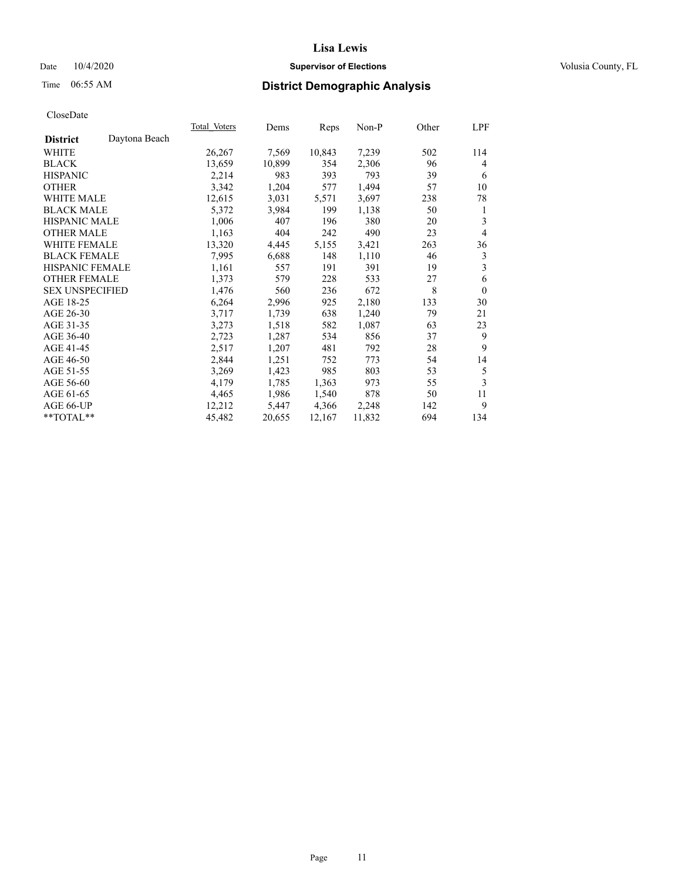## Date  $10/4/2020$  **Supervisor of Elections Supervisor of Elections** Volusia County, FL

# Time 06:55 AM **District Demographic Analysis**

|                        |               | Total Voters | Dems   | Reps   | Non-P  | Other | LPF            |
|------------------------|---------------|--------------|--------|--------|--------|-------|----------------|
| <b>District</b>        | Daytona Beach |              |        |        |        |       |                |
| WHITE                  |               | 26,267       | 7,569  | 10,843 | 7,239  | 502   | 114            |
| <b>BLACK</b>           |               | 13,659       | 10,899 | 354    | 2,306  | 96    | 4              |
| <b>HISPANIC</b>        |               | 2,214        | 983    | 393    | 793    | 39    | 6              |
| <b>OTHER</b>           |               | 3,342        | 1,204  | 577    | 1,494  | 57    | 10             |
| WHITE MALE             |               | 12,615       | 3,031  | 5,571  | 3,697  | 238   | 78             |
| <b>BLACK MALE</b>      |               | 5,372        | 3,984  | 199    | 1,138  | 50    | 1              |
| <b>HISPANIC MALE</b>   |               | 1,006        | 407    | 196    | 380    | 20    | 3              |
| <b>OTHER MALE</b>      |               | 1,163        | 404    | 242    | 490    | 23    | $\overline{4}$ |
| <b>WHITE FEMALE</b>    |               | 13,320       | 4,445  | 5,155  | 3,421  | 263   | 36             |
| <b>BLACK FEMALE</b>    |               | 7,995        | 6,688  | 148    | 1,110  | 46    | 3              |
| <b>HISPANIC FEMALE</b> |               | 1,161        | 557    | 191    | 391    | 19    | 3              |
| <b>OTHER FEMALE</b>    |               | 1,373        | 579    | 228    | 533    | 27    | 6              |
| <b>SEX UNSPECIFIED</b> |               | 1,476        | 560    | 236    | 672    | 8     | $\theta$       |
| AGE 18-25              |               | 6,264        | 2,996  | 925    | 2,180  | 133   | 30             |
| AGE 26-30              |               | 3,717        | 1,739  | 638    | 1,240  | 79    | 21             |
| AGE 31-35              |               | 3,273        | 1,518  | 582    | 1,087  | 63    | 23             |
| AGE 36-40              |               | 2,723        | 1,287  | 534    | 856    | 37    | 9              |
| AGE 41-45              |               | 2,517        | 1,207  | 481    | 792    | 28    | 9              |
| AGE 46-50              |               | 2,844        | 1,251  | 752    | 773    | 54    | 14             |
| AGE 51-55              |               | 3,269        | 1,423  | 985    | 803    | 53    | 5              |
| AGE 56-60              |               | 4,179        | 1,785  | 1,363  | 973    | 55    | 3              |
| AGE 61-65              |               | 4,465        | 1,986  | 1,540  | 878    | 50    | 11             |
| AGE 66-UP              |               | 12,212       | 5,447  | 4,366  | 2,248  | 142   | 9              |
| **TOTAL**              |               | 45,482       | 20,655 | 12,167 | 11,832 | 694   | 134            |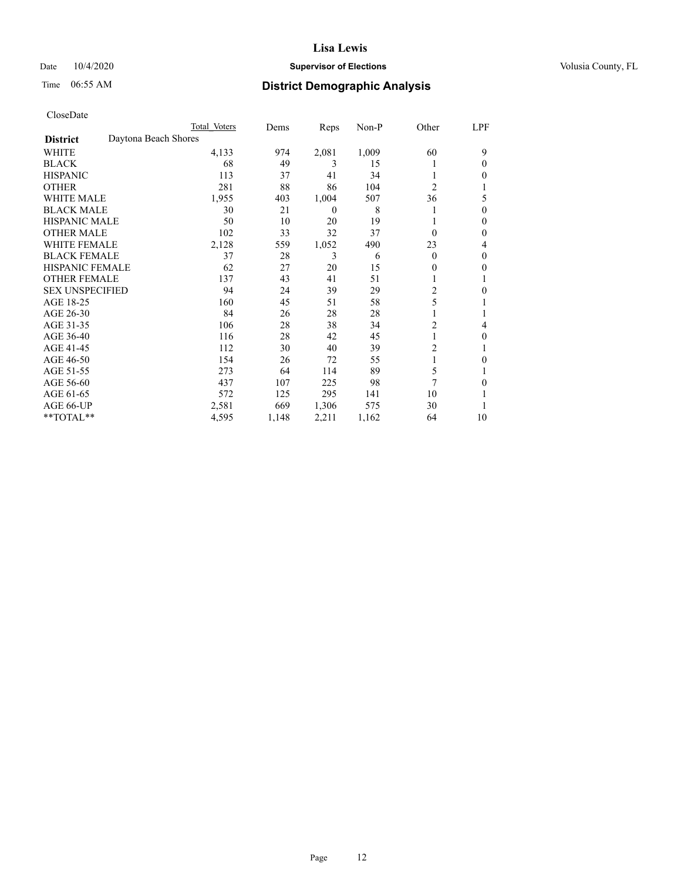## Date  $10/4/2020$  **Supervisor of Elections Supervisor of Elections** Volusia County, FL

| CloseDate |
|-----------|
|-----------|

|                        |                      | Total Voters | Dems  | Reps           | $Non-P$ | Other          | LPF |
|------------------------|----------------------|--------------|-------|----------------|---------|----------------|-----|
| <b>District</b>        | Daytona Beach Shores |              |       |                |         |                |     |
| WHITE                  |                      | 4,133        | 974   | 2,081          | 1,009   | 60             | 9   |
| <b>BLACK</b>           |                      | 68           | 49    | 3              | 15      |                | 0   |
| <b>HISPANIC</b>        |                      | 113          | 37    | 41             | 34      |                | 0   |
| <b>OTHER</b>           |                      | 281          | 88    | 86             | 104     | $\overline{c}$ |     |
| <b>WHITE MALE</b>      |                      | 1,955        | 403   | 1,004          | 507     | 36             | 5   |
| <b>BLACK MALE</b>      |                      | 30           | 21    | $\overline{0}$ | 8       | 1              | 0   |
| <b>HISPANIC MALE</b>   |                      | 50           | 10    | 20             | 19      |                | 0   |
| <b>OTHER MALE</b>      |                      | 102          | 33    | 32             | 37      | $\Omega$       | 0   |
| <b>WHITE FEMALE</b>    |                      | 2,128        | 559   | 1,052          | 490     | 23             | 4   |
| <b>BLACK FEMALE</b>    |                      | 37           | 28    | 3              | 6       | $\theta$       | 0   |
| <b>HISPANIC FEMALE</b> |                      | 62           | 27    | 20             | 15      | $\theta$       | 0   |
| <b>OTHER FEMALE</b>    |                      | 137          | 43    | 41             | 51      | 1              |     |
| <b>SEX UNSPECIFIED</b> |                      | 94           | 24    | 39             | 29      | 2              | 0   |
| AGE 18-25              |                      | 160          | 45    | 51             | 58      | 5              |     |
| AGE 26-30              |                      | 84           | 26    | 28             | 28      | 1              |     |
| AGE 31-35              |                      | 106          | 28    | 38             | 34      | $\overline{c}$ | 4   |
| AGE 36-40              |                      | 116          | 28    | 42             | 45      | 1              | 0   |
| AGE 41-45              |                      | 112          | 30    | 40             | 39      | 2              | 1   |
| AGE 46-50              |                      | 154          | 26    | 72             | 55      | 1              | 0   |
| AGE 51-55              |                      | 273          | 64    | 114            | 89      | 5              |     |
| AGE 56-60              |                      | 437          | 107   | 225            | 98      | 7              | 0   |
| AGE 61-65              |                      | 572          | 125   | 295            | 141     | 10             |     |
| AGE 66-UP              |                      | 2,581        | 669   | 1,306          | 575     | 30             |     |
| **TOTAL**              |                      | 4,595        | 1,148 | 2,211          | 1,162   | 64             | 10  |
|                        |                      |              |       |                |         |                |     |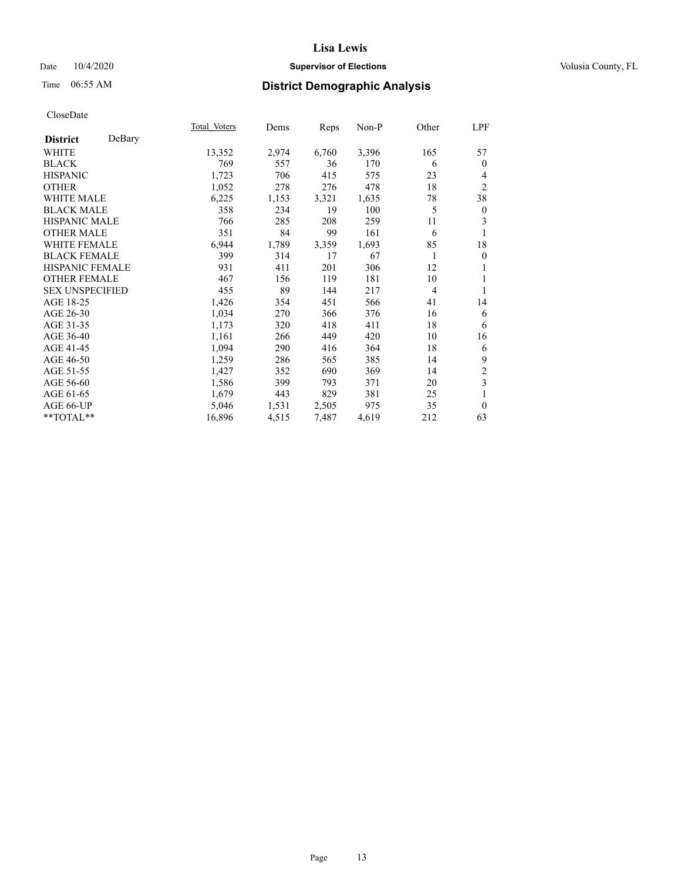## Date  $10/4/2020$  **Supervisor of Elections Supervisor of Elections** Volusia County, FL

# Time 06:55 AM **District Demographic Analysis**

|                           | Total Voters | Dems  | Reps  | Non-P | Other          | LPF                     |
|---------------------------|--------------|-------|-------|-------|----------------|-------------------------|
| DeBary<br><b>District</b> |              |       |       |       |                |                         |
| WHITE                     | 13,352       | 2,974 | 6,760 | 3,396 | 165            | 57                      |
| <b>BLACK</b>              | 769          | 557   | 36    | 170   | 6              | $\mathbf{0}$            |
| <b>HISPANIC</b>           | 1,723        | 706   | 415   | 575   | 23             | $\overline{4}$          |
| <b>OTHER</b>              | 1,052        | 278   | 276   | 478   | 18             | $\mathfrak{2}$          |
| WHITE MALE                | 6,225        | 1,153 | 3,321 | 1,635 | 78             | 38                      |
| <b>BLACK MALE</b>         | 358          | 234   | 19    | 100   | 5              | $\boldsymbol{0}$        |
| <b>HISPANIC MALE</b>      | 766          | 285   | 208   | 259   | 11             | 3                       |
| <b>OTHER MALE</b>         | 351          | 84    | 99    | 161   | 6              |                         |
| <b>WHITE FEMALE</b>       | 6,944        | 1,789 | 3,359 | 1,693 | 85             | 18                      |
| <b>BLACK FEMALE</b>       | 399          | 314   | 17    | 67    | 1              | $\theta$                |
| <b>HISPANIC FEMALE</b>    | 931          | 411   | 201   | 306   | 12             | 1                       |
| <b>OTHER FEMALE</b>       | 467          | 156   | 119   | 181   | 10             | 1                       |
| <b>SEX UNSPECIFIED</b>    | 455          | 89    | 144   | 217   | $\overline{4}$ | 1                       |
| AGE 18-25                 | 1,426        | 354   | 451   | 566   | 41             | 14                      |
| AGE 26-30                 | 1,034        | 270   | 366   | 376   | 16             | 6                       |
| AGE 31-35                 | 1,173        | 320   | 418   | 411   | 18             | 6                       |
| AGE 36-40                 | 1,161        | 266   | 449   | 420   | 10             | 16                      |
| AGE 41-45                 | 1,094        | 290   | 416   | 364   | 18             | 6                       |
| AGE 46-50                 | 1,259        | 286   | 565   | 385   | 14             | 9                       |
| AGE 51-55                 | 1,427        | 352   | 690   | 369   | 14             | $\sqrt{2}$              |
| AGE 56-60                 | 1,586        | 399   | 793   | 371   | 20             | $\overline{\mathbf{3}}$ |
| AGE 61-65                 | 1,679        | 443   | 829   | 381   | 25             | 1                       |
| AGE 66-UP                 | 5,046        | 1,531 | 2,505 | 975   | 35             | $\mathbf{0}$            |
| **TOTAL**                 | 16,896       | 4,515 | 7,487 | 4,619 | 212            | 63                      |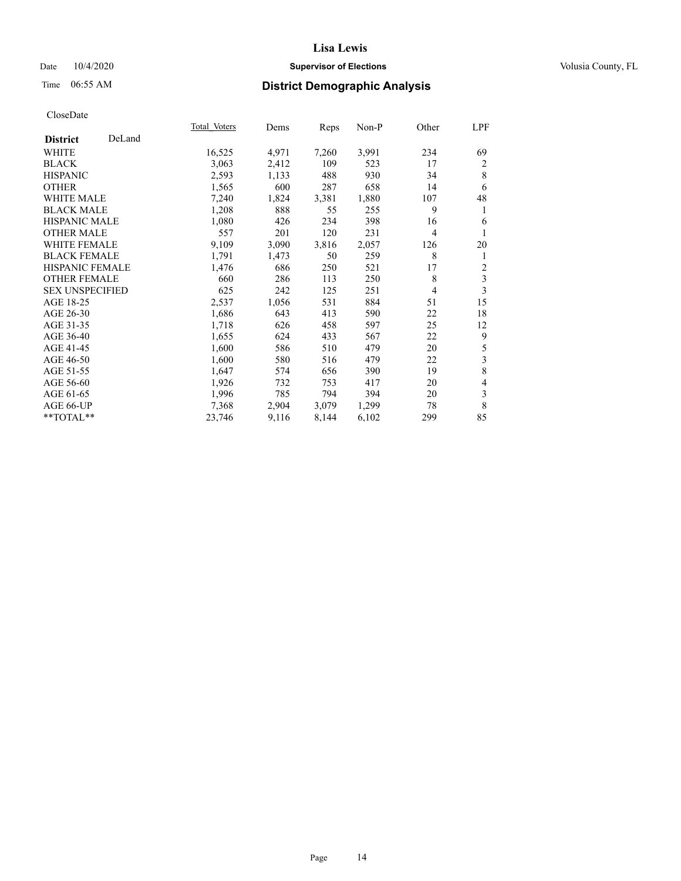## Date  $10/4/2020$  **Supervisor of Elections Supervisor of Elections** Volusia County, FL

# Time 06:55 AM **District Demographic Analysis**

|                           | Total Voters | Dems  | Reps  | Non-P | Other          | LPF |
|---------------------------|--------------|-------|-------|-------|----------------|-----|
| DeLand<br><b>District</b> |              |       |       |       |                |     |
| WHITE                     | 16,525       | 4,971 | 7,260 | 3,991 | 234            | 69  |
| <b>BLACK</b>              | 3,063        | 2,412 | 109   | 523   | 17             | 2   |
| <b>HISPANIC</b>           | 2,593        | 1,133 | 488   | 930   | 34             | 8   |
| <b>OTHER</b>              | 1,565        | 600   | 287   | 658   | 14             | 6   |
| <b>WHITE MALE</b>         | 7,240        | 1,824 | 3,381 | 1,880 | 107            | 48  |
| <b>BLACK MALE</b>         | 1,208        | 888   | 55    | 255   | 9              | 1   |
| HISPANIC MALE             | 1,080        | 426   | 234   | 398   | 16             | 6   |
| <b>OTHER MALE</b>         | 557          | 201   | 120   | 231   | $\overline{4}$ |     |
| WHITE FEMALE              | 9,109        | 3,090 | 3,816 | 2,057 | 126            | 20  |
| <b>BLACK FEMALE</b>       | 1,791        | 1,473 | 50    | 259   | 8              | 1   |
| <b>HISPANIC FEMALE</b>    | 1,476        | 686   | 250   | 521   | 17             | 2   |
| <b>OTHER FEMALE</b>       | 660          | 286   | 113   | 250   | 8              | 3   |
| <b>SEX UNSPECIFIED</b>    | 625          | 242   | 125   | 251   | 4              | 3   |
| AGE 18-25                 | 2,537        | 1,056 | 531   | 884   | 51             | 15  |
| AGE 26-30                 | 1,686        | 643   | 413   | 590   | 22             | 18  |
| AGE 31-35                 | 1,718        | 626   | 458   | 597   | 25             | 12  |
| AGE 36-40                 | 1,655        | 624   | 433   | 567   | 22             | 9   |
| AGE 41-45                 | 1,600        | 586   | 510   | 479   | 20             | 5   |
| AGE 46-50                 | 1,600        | 580   | 516   | 479   | 22             | 3   |
| AGE 51-55                 | 1,647        | 574   | 656   | 390   | 19             | 8   |
| AGE 56-60                 | 1,926        | 732   | 753   | 417   | 20             | 4   |
| AGE 61-65                 | 1,996        | 785   | 794   | 394   | 20             | 3   |
| AGE 66-UP                 | 7,368        | 2,904 | 3,079 | 1,299 | 78             | 8   |
| $*$ TOTAL $*$             | 23,746       | 9,116 | 8,144 | 6,102 | 299            | 85  |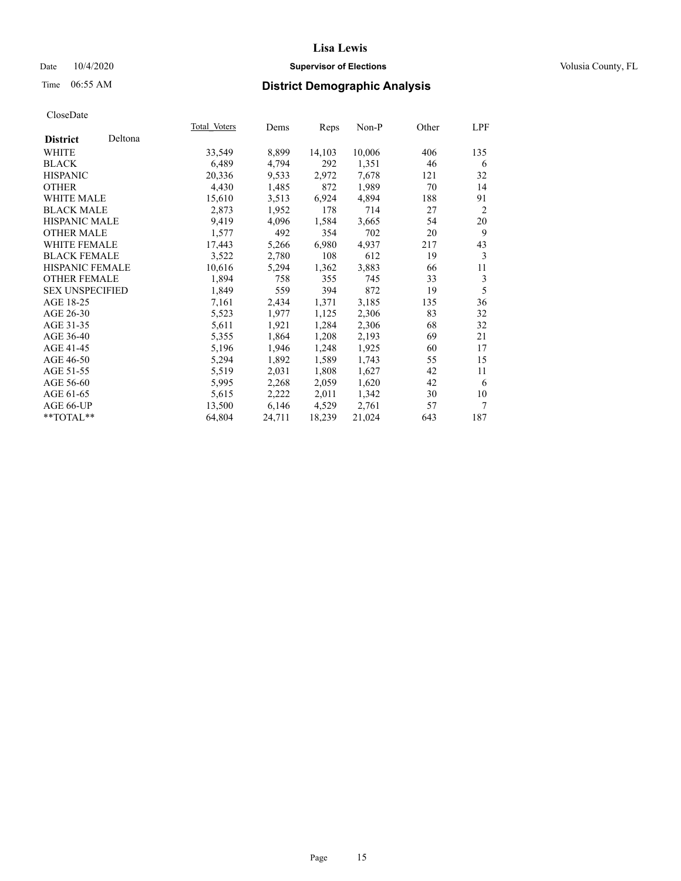## Date  $10/4/2020$  **Supervisor of Elections Supervisor of Elections** Volusia County, FL

# Time 06:55 AM **District Demographic Analysis**

|                        |         | Total Voters | Dems   | Reps   | Non-P  | Other | LPF            |
|------------------------|---------|--------------|--------|--------|--------|-------|----------------|
| <b>District</b>        | Deltona |              |        |        |        |       |                |
| WHITE                  |         | 33,549       | 8,899  | 14,103 | 10,006 | 406   | 135            |
| <b>BLACK</b>           |         | 6,489        | 4,794  | 292    | 1,351  | 46    | 6              |
| <b>HISPANIC</b>        |         | 20,336       | 9,533  | 2,972  | 7,678  | 121   | 32             |
| <b>OTHER</b>           |         | 4,430        | 1,485  | 872    | 1,989  | 70    | 14             |
| <b>WHITE MALE</b>      |         | 15,610       | 3,513  | 6,924  | 4,894  | 188   | 91             |
| <b>BLACK MALE</b>      |         | 2,873        | 1,952  | 178    | 714    | 27    | $\overline{2}$ |
| <b>HISPANIC MALE</b>   |         | 9,419        | 4,096  | 1,584  | 3,665  | 54    | 20             |
| <b>OTHER MALE</b>      |         | 1,577        | 492    | 354    | 702    | 20    | 9              |
| <b>WHITE FEMALE</b>    |         | 17,443       | 5,266  | 6,980  | 4,937  | 217   | 43             |
| <b>BLACK FEMALE</b>    |         | 3,522        | 2,780  | 108    | 612    | 19    | 3              |
| <b>HISPANIC FEMALE</b> |         | 10,616       | 5,294  | 1,362  | 3,883  | 66    | 11             |
| <b>OTHER FEMALE</b>    |         | 1,894        | 758    | 355    | 745    | 33    | 3              |
| <b>SEX UNSPECIFIED</b> |         | 1,849        | 559    | 394    | 872    | 19    | 5              |
| AGE 18-25              |         | 7,161        | 2,434  | 1,371  | 3,185  | 135   | 36             |
| AGE 26-30              |         | 5,523        | 1,977  | 1,125  | 2,306  | 83    | 32             |
| AGE 31-35              |         | 5,611        | 1,921  | 1,284  | 2,306  | 68    | 32             |
| AGE 36-40              |         | 5,355        | 1,864  | 1,208  | 2,193  | 69    | 21             |
| AGE 41-45              |         | 5,196        | 1,946  | 1,248  | 1,925  | 60    | 17             |
| AGE 46-50              |         | 5,294        | 1,892  | 1,589  | 1,743  | 55    | 15             |
| AGE 51-55              |         | 5,519        | 2,031  | 1,808  | 1,627  | 42    | 11             |
| AGE 56-60              |         | 5,995        | 2,268  | 2,059  | 1,620  | 42    | 6              |
| AGE 61-65              |         | 5,615        | 2,222  | 2,011  | 1,342  | 30    | 10             |
| AGE 66-UP              |         | 13,500       | 6,146  | 4,529  | 2,761  | 57    | $\tau$         |
| **TOTAL**              |         | 64,804       | 24,711 | 18,239 | 21,024 | 643   | 187            |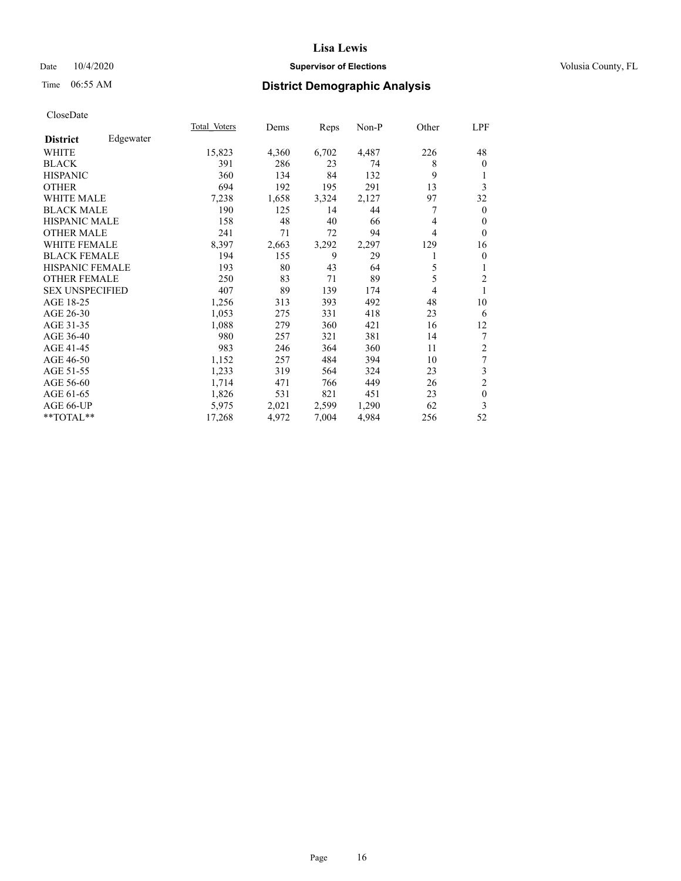## Date  $10/4/2020$  **Supervisor of Elections Supervisor of Elections** Volusia County, FL

# Time 06:55 AM **District Demographic Analysis**

|                        |           | Total Voters | Dems  | Reps  | Non-P | Other | LPF            |
|------------------------|-----------|--------------|-------|-------|-------|-------|----------------|
| <b>District</b>        | Edgewater |              |       |       |       |       |                |
| WHITE                  |           | 15,823       | 4,360 | 6,702 | 4,487 | 226   | 48             |
| <b>BLACK</b>           |           | 391          | 286   | 23    | 74    | 8     | $\mathbf{0}$   |
| <b>HISPANIC</b>        |           | 360          | 134   | 84    | 132   | 9     | 1              |
| <b>OTHER</b>           |           | 694          | 192   | 195   | 291   | 13    | 3              |
| WHITE MALE             |           | 7,238        | 1,658 | 3,324 | 2,127 | 97    | 32             |
| <b>BLACK MALE</b>      |           | 190          | 125   | 14    | 44    | 7     | $\mathbf{0}$   |
| <b>HISPANIC MALE</b>   |           | 158          | 48    | 40    | 66    | 4     | $\theta$       |
| <b>OTHER MALE</b>      |           | 241          | 71    | 72    | 94    | 4     | $\theta$       |
| <b>WHITE FEMALE</b>    |           | 8,397        | 2,663 | 3,292 | 2,297 | 129   | 16             |
| <b>BLACK FEMALE</b>    |           | 194          | 155   | 9     | 29    | 1     | $\overline{0}$ |
| <b>HISPANIC FEMALE</b> |           | 193          | 80    | 43    | 64    | 5     | 1              |
| <b>OTHER FEMALE</b>    |           | 250          | 83    | 71    | 89    | 5     | $\overline{c}$ |
| <b>SEX UNSPECIFIED</b> |           | 407          | 89    | 139   | 174   | 4     | 1              |
| AGE 18-25              |           | 1,256        | 313   | 393   | 492   | 48    | 10             |
| AGE 26-30              |           | 1,053        | 275   | 331   | 418   | 23    | 6              |
| AGE 31-35              |           | 1,088        | 279   | 360   | 421   | 16    | 12             |
| AGE 36-40              |           | 980          | 257   | 321   | 381   | 14    | 7              |
| AGE 41-45              |           | 983          | 246   | 364   | 360   | 11    | $\overline{c}$ |
| AGE 46-50              |           | 1,152        | 257   | 484   | 394   | 10    | 7              |
| AGE 51-55              |           | 1,233        | 319   | 564   | 324   | 23    | 3              |
| AGE 56-60              |           | 1,714        | 471   | 766   | 449   | 26    | $\overline{c}$ |
| AGE 61-65              |           | 1,826        | 531   | 821   | 451   | 23    | $\mathbf{0}$   |
| AGE 66-UP              |           | 5,975        | 2,021 | 2,599 | 1,290 | 62    | 3              |
| **TOTAL**              |           | 17,268       | 4,972 | 7,004 | 4,984 | 256   | 52             |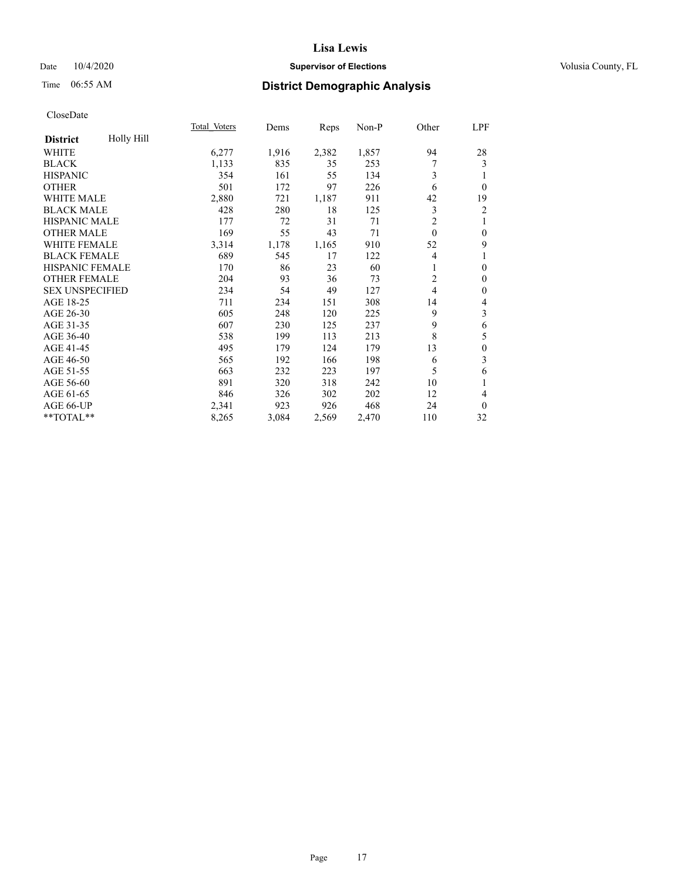## Date  $10/4/2020$  **Supervisor of Elections Supervisor of Elections** Volusia County, FL

# Time 06:55 AM **District Demographic Analysis**

|                        |            | Total Voters | Dems  | Reps  | Non-P | Other          | LPF            |
|------------------------|------------|--------------|-------|-------|-------|----------------|----------------|
| <b>District</b>        | Holly Hill |              |       |       |       |                |                |
| WHITE                  |            | 6,277        | 1,916 | 2,382 | 1,857 | 94             | 28             |
| <b>BLACK</b>           |            | 1,133        | 835   | 35    | 253   | 7              | 3              |
| <b>HISPANIC</b>        |            | 354          | 161   | 55    | 134   | 3              |                |
| <b>OTHER</b>           |            | 501          | 172   | 97    | 226   | 6              | $\theta$       |
| WHITE MALE             |            | 2,880        | 721   | 1,187 | 911   | 42             | 19             |
| <b>BLACK MALE</b>      |            | 428          | 280   | 18    | 125   | 3              | $\overline{2}$ |
| <b>HISPANIC MALE</b>   |            | 177          | 72    | 31    | 71    | $\overline{2}$ |                |
| <b>OTHER MALE</b>      |            | 169          | 55    | 43    | 71    | $\mathbf{0}$   | $\theta$       |
| WHITE FEMALE           |            | 3,314        | 1,178 | 1,165 | 910   | 52             | 9              |
| <b>BLACK FEMALE</b>    |            | 689          | 545   | 17    | 122   | 4              |                |
| <b>HISPANIC FEMALE</b> |            | 170          | 86    | 23    | 60    | 1              | 0              |
| <b>OTHER FEMALE</b>    |            | 204          | 93    | 36    | 73    | $\overline{c}$ | $\theta$       |
| <b>SEX UNSPECIFIED</b> |            | 234          | 54    | 49    | 127   | $\overline{4}$ | 0              |
| AGE 18-25              |            | 711          | 234   | 151   | 308   | 14             | 4              |
| AGE 26-30              |            | 605          | 248   | 120   | 225   | 9              | 3              |
| AGE 31-35              |            | 607          | 230   | 125   | 237   | 9              | 6              |
| AGE 36-40              |            | 538          | 199   | 113   | 213   | 8              | 5              |
| AGE 41-45              |            | 495          | 179   | 124   | 179   | 13             | $\mathbf{0}$   |
| AGE 46-50              |            | 565          | 192   | 166   | 198   | 6              | 3              |
| AGE 51-55              |            | 663          | 232   | 223   | 197   | 5              | 6              |
| AGE 56-60              |            | 891          | 320   | 318   | 242   | 10             |                |
| AGE 61-65              |            | 846          | 326   | 302   | 202   | 12             | 4              |
| AGE 66-UP              |            | 2,341        | 923   | 926   | 468   | 24             | $\theta$       |
| **TOTAL**              |            | 8,265        | 3,084 | 2,569 | 2,470 | 110            | 32             |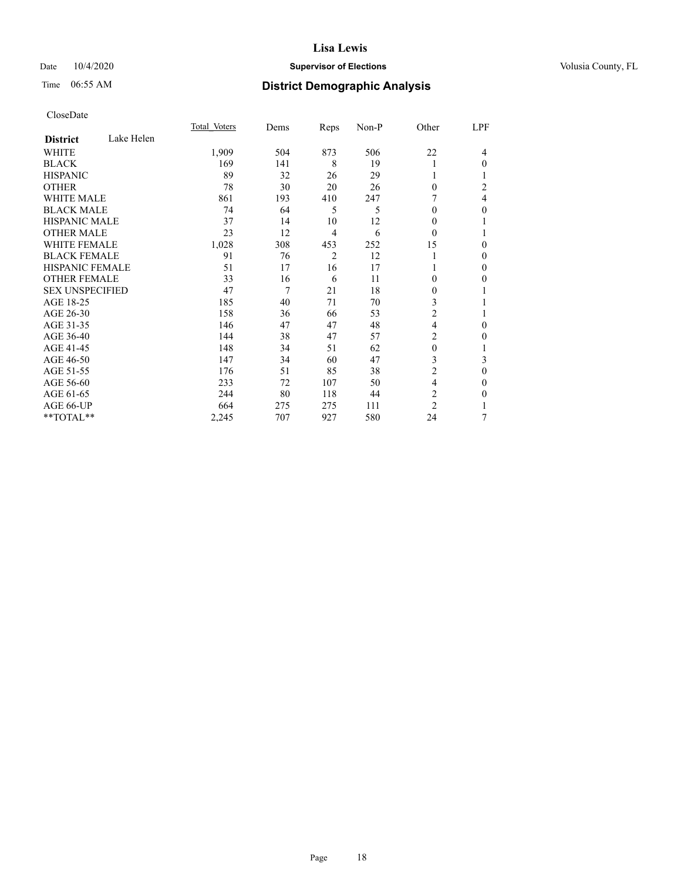## Date  $10/4/2020$  **Supervisor of Elections Supervisor of Elections** Volusia County, FL

# Time 06:55 AM **District Demographic Analysis**

|                        |            | Total Voters | Dems | Reps           | Non-P | Other          | LPF            |
|------------------------|------------|--------------|------|----------------|-------|----------------|----------------|
| <b>District</b>        | Lake Helen |              |      |                |       |                |                |
| WHITE                  |            | 1,909        | 504  | 873            | 506   | 22             | 4              |
| <b>BLACK</b>           |            | 169          | 141  | 8              | 19    | 1              | 0              |
| <b>HISPANIC</b>        |            | 89           | 32   | 26             | 29    | 1              |                |
| <b>OTHER</b>           |            | 78           | 30   | 20             | 26    | $\theta$       | $\overline{c}$ |
| <b>WHITE MALE</b>      |            | 861          | 193  | 410            | 247   |                | 4              |
| <b>BLACK MALE</b>      |            | 74           | 64   | 5              | 5     | $\Omega$       | 0              |
| <b>HISPANIC MALE</b>   |            | 37           | 14   | 10             | 12    | 0              |                |
| <b>OTHER MALE</b>      |            | 23           | 12   | 4              | 6     | $\Omega$       | 1              |
| <b>WHITE FEMALE</b>    |            | 1,028        | 308  | 453            | 252   | 15             | 0              |
| <b>BLACK FEMALE</b>    |            | 91           | 76   | $\overline{2}$ | 12    | 1              | 0              |
| <b>HISPANIC FEMALE</b> |            | 51           | 17   | 16             | 17    |                | 0              |
| <b>OTHER FEMALE</b>    |            | 33           | 16   | 6              | 11    | $\Omega$       | 0              |
| <b>SEX UNSPECIFIED</b> |            | 47           | 7    | 21             | 18    | $\overline{0}$ |                |
| AGE 18-25              |            | 185          | 40   | 71             | 70    | 3              |                |
| AGE 26-30              |            | 158          | 36   | 66             | 53    | $\overline{c}$ |                |
| AGE 31-35              |            | 146          | 47   | 47             | 48    | 4              | 0              |
| AGE 36-40              |            | 144          | 38   | 47             | 57    | 2              | 0              |
| AGE 41-45              |            | 148          | 34   | 51             | 62    | $\theta$       | 1              |
| AGE 46-50              |            | 147          | 34   | 60             | 47    | 3              | 3              |
| AGE 51-55              |            | 176          | 51   | 85             | 38    | $\overline{2}$ | $\mathbf{0}$   |
| AGE 56-60              |            | 233          | 72   | 107            | 50    | 4              | 0              |
| AGE 61-65              |            | 244          | 80   | 118            | 44    | 2              | 0              |
| AGE 66-UP              |            | 664          | 275  | 275            | 111   | $\overline{c}$ |                |
| **TOTAL**              |            | 2,245        | 707  | 927            | 580   | 24             | 7              |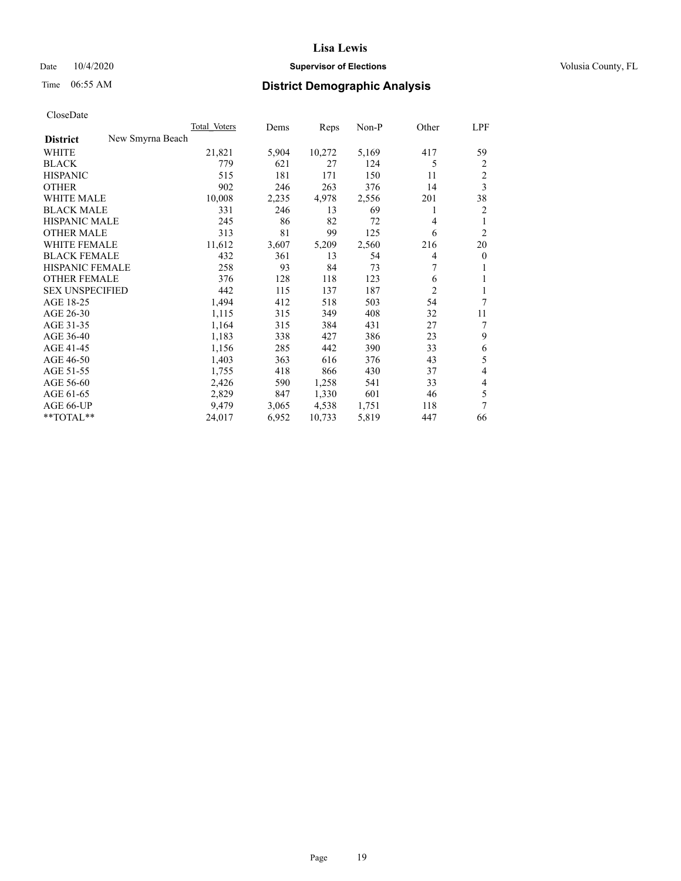## Date  $10/4/2020$  **Supervisor of Elections Supervisor of Elections** Volusia County, FL

|                                     | Total Voters | Dems  | Reps   | Non-P | Other          | LPF            |
|-------------------------------------|--------------|-------|--------|-------|----------------|----------------|
| New Smyrna Beach<br><b>District</b> |              |       |        |       |                |                |
| WHITE                               | 21,821       | 5,904 | 10,272 | 5,169 | 417            | 59             |
| <b>BLACK</b>                        | 779          | 621   | 27     | 124   | 5              | 2              |
| <b>HISPANIC</b>                     | 515          | 181   | 171    | 150   | 11             | $\overline{c}$ |
| <b>OTHER</b>                        | 902          | 246   | 263    | 376   | 14             | 3              |
| <b>WHITE MALE</b>                   | 10,008       | 2,235 | 4,978  | 2,556 | 201            | 38             |
| <b>BLACK MALE</b>                   | 331          | 246   | 13     | 69    | 1              | 2              |
| <b>HISPANIC MALE</b>                | 245          | 86    | 82     | 72    | 4              | 1              |
| <b>OTHER MALE</b>                   | 313          | 81    | 99     | 125   | 6              | 2              |
| WHITE FEMALE                        | 11,612       | 3,607 | 5,209  | 2,560 | 216            | 20             |
| <b>BLACK FEMALE</b>                 | 432          | 361   | 13     | 54    | 4              | $\mathbf{0}$   |
| HISPANIC FEMALE                     | 258          | 93    | 84     | 73    | 7              | 1              |
| <b>OTHER FEMALE</b>                 | 376          | 128   | 118    | 123   | 6              | 1              |
| <b>SEX UNSPECIFIED</b>              | 442          | 115   | 137    | 187   | $\overline{2}$ | 1              |
| AGE 18-25                           | 1,494        | 412   | 518    | 503   | 54             | 7              |
| AGE 26-30                           | 1,115        | 315   | 349    | 408   | 32             | 11             |
| AGE 31-35                           | 1,164        | 315   | 384    | 431   | 27             | 7              |
| AGE 36-40                           | 1,183        | 338   | 427    | 386   | 23             | 9              |
| AGE 41-45                           | 1,156        | 285   | 442    | 390   | 33             | 6              |
| AGE 46-50                           | 1,403        | 363   | 616    | 376   | 43             | 5              |
| AGE 51-55                           | 1,755        | 418   | 866    | 430   | 37             | 4              |
| AGE 56-60                           | 2,426        | 590   | 1,258  | 541   | 33             | 4              |
| AGE 61-65                           | 2,829        | 847   | 1,330  | 601   | 46             | 5              |
| AGE 66-UP                           | 9,479        | 3,065 | 4,538  | 1,751 | 118            | 7              |
| $**TOTAL**$                         | 24,017       | 6,952 | 10,733 | 5,819 | 447            | 66             |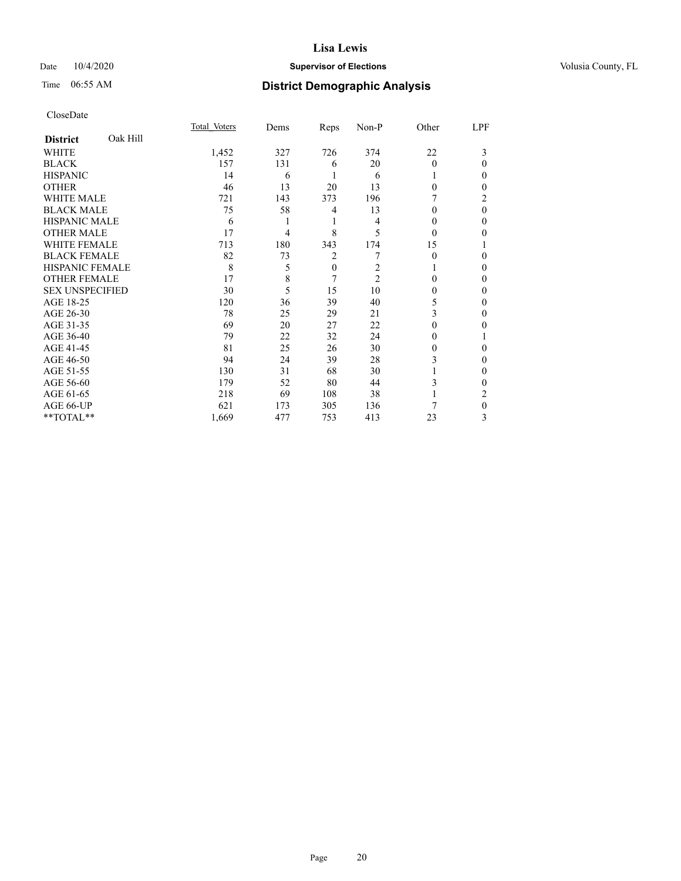## Date  $10/4/2020$  **Supervisor of Elections Supervisor of Elections** Volusia County, FL

# Time 06:55 AM **District Demographic Analysis**

|                        |          | Total Voters | Dems | Reps     | Non-P          | Other    | LPF      |
|------------------------|----------|--------------|------|----------|----------------|----------|----------|
| <b>District</b>        | Oak Hill |              |      |          |                |          |          |
| WHITE                  |          | 1,452        | 327  | 726      | 374            | 22       | 3        |
| <b>BLACK</b>           |          | 157          | 131  | 6        | 20             | $\Omega$ | 0        |
| <b>HISPANIC</b>        |          | 14           | 6    |          | 6              |          | 0        |
| <b>OTHER</b>           |          | 46           | 13   | 20       | 13             | $\Omega$ | 0        |
| WHITE MALE             |          | 721          | 143  | 373      | 196            |          | 2        |
| <b>BLACK MALE</b>      |          | 75           | 58   | 4        | 13             | $\theta$ | $\theta$ |
| <b>HISPANIC MALE</b>   |          | 6            |      | 1        | 4              | $\theta$ | 0        |
| <b>OTHER MALE</b>      |          | 17           | 4    | 8        | 5              | $\theta$ | 0        |
| WHITE FEMALE           |          | 713          | 180  | 343      | 174            | 15       |          |
| <b>BLACK FEMALE</b>    |          | 82           | 73   | 2        |                | $\Omega$ | 0        |
| <b>HISPANIC FEMALE</b> |          | 8            | 5    | $\theta$ | 2              |          | 0        |
| <b>OTHER FEMALE</b>    |          | 17           | 8    | 7        | $\overline{2}$ | $\Omega$ | 0        |
| <b>SEX UNSPECIFIED</b> |          | 30           | 5    | 15       | 10             | 0        | 0        |
| AGE 18-25              |          | 120          | 36   | 39       | 40             | 5        | 0        |
| AGE 26-30              |          | 78           | 25   | 29       | 21             | 3        | 0        |
| AGE 31-35              |          | 69           | 20   | 27       | 22             | 0        | 0        |
| AGE 36-40              |          | 79           | 22   | 32       | 24             | $\theta$ |          |
| AGE 41-45              |          | 81           | 25   | 26       | 30             | 0        | 0        |
| AGE 46-50              |          | 94           | 24   | 39       | 28             | 3        | 0        |
| AGE 51-55              |          | 130          | 31   | 68       | 30             |          | 0        |
| AGE 56-60              |          | 179          | 52   | 80       | 44             | 3        | 0        |
| AGE 61-65              |          | 218          | 69   | 108      | 38             |          | 2        |
| AGE 66-UP              |          | 621          | 173  | 305      | 136            |          | 0        |
| **TOTAL**              |          | 1,669        | 477  | 753      | 413            | 23       | 3        |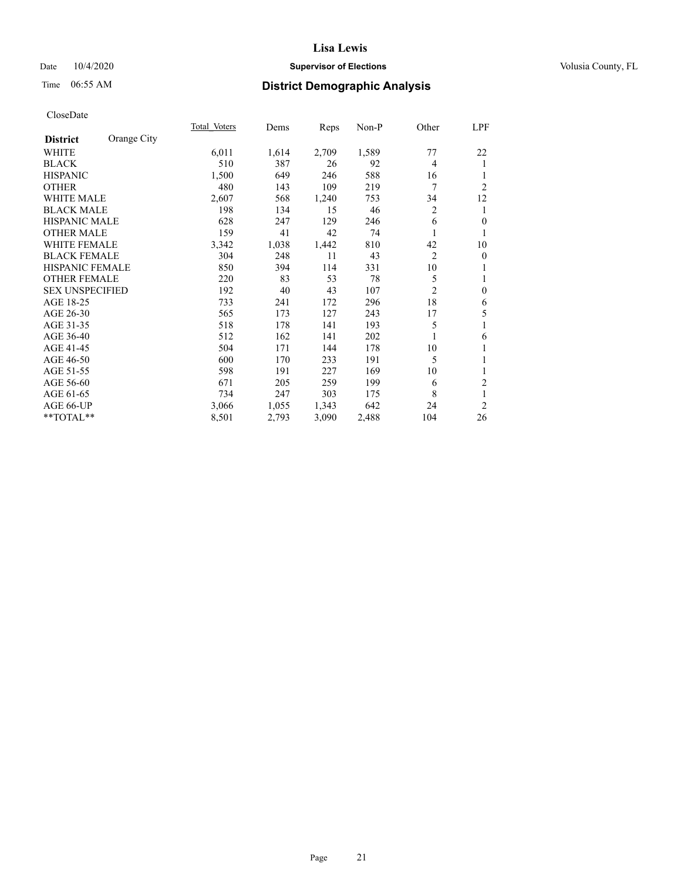## Date  $10/4/2020$  **Supervisor of Elections Supervisor of Elections** Volusia County, FL

# Time 06:55 AM **District Demographic Analysis**

|                        |             | Total Voters | Dems  | Reps  | Non-P | Other          | LPF              |
|------------------------|-------------|--------------|-------|-------|-------|----------------|------------------|
| <b>District</b>        | Orange City |              |       |       |       |                |                  |
| WHITE                  |             | 6,011        | 1,614 | 2,709 | 1,589 | 77             | 22               |
| <b>BLACK</b>           |             | 510          | 387   | 26    | 92    | 4              | 1                |
| <b>HISPANIC</b>        |             | 1,500        | 649   | 246   | 588   | 16             |                  |
| <b>OTHER</b>           |             | 480          | 143   | 109   | 219   | 7              | $\overline{2}$   |
| WHITE MALE             |             | 2,607        | 568   | 1,240 | 753   | 34             | 12               |
| <b>BLACK MALE</b>      |             | 198          | 134   | 15    | 46    | $\overline{2}$ | 1                |
| <b>HISPANIC MALE</b>   |             | 628          | 247   | 129   | 246   | 6              | $\mathbf{0}$     |
| <b>OTHER MALE</b>      |             | 159          | 41    | 42    | 74    |                | 1                |
| WHITE FEMALE           |             | 3,342        | 1,038 | 1,442 | 810   | 42             | 10               |
| <b>BLACK FEMALE</b>    |             | 304          | 248   | 11    | 43    | $\overline{2}$ | $\boldsymbol{0}$ |
| <b>HISPANIC FEMALE</b> |             | 850          | 394   | 114   | 331   | 10             |                  |
| <b>OTHER FEMALE</b>    |             | 220          | 83    | 53    | 78    | 5              | 1                |
| <b>SEX UNSPECIFIED</b> |             | 192          | 40    | 43    | 107   | $\overline{2}$ | $\mathbf{0}$     |
| AGE 18-25              |             | 733          | 241   | 172   | 296   | 18             | 6                |
| AGE 26-30              |             | 565          | 173   | 127   | 243   | 17             | 5                |
| AGE 31-35              |             | 518          | 178   | 141   | 193   | 5              | 1                |
| AGE 36-40              |             | 512          | 162   | 141   | 202   |                | 6                |
| AGE 41-45              |             | 504          | 171   | 144   | 178   | 10             |                  |
| AGE 46-50              |             | 600          | 170   | 233   | 191   | 5              | 1                |
| AGE 51-55              |             | 598          | 191   | 227   | 169   | 10             | 1                |
| AGE 56-60              |             | 671          | 205   | 259   | 199   | 6              | $\overline{2}$   |
| AGE 61-65              |             | 734          | 247   | 303   | 175   | 8              | 1                |
| AGE 66-UP              |             | 3,066        | 1,055 | 1,343 | 642   | 24             | $\overline{2}$   |
| **TOTAL**              |             | 8,501        | 2,793 | 3,090 | 2,488 | 104            | 26               |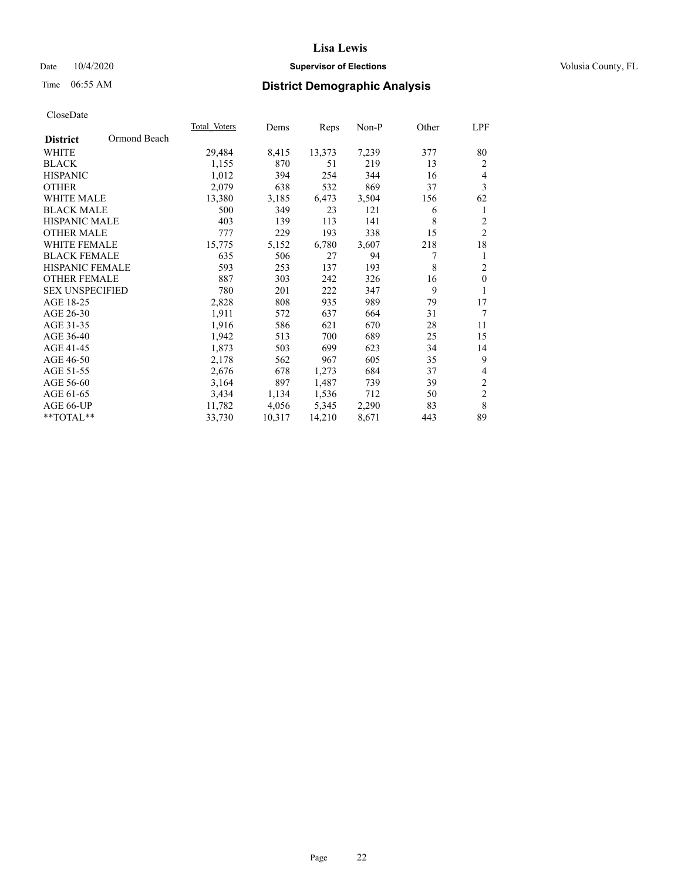## Date  $10/4/2020$  **Supervisor of Elections Supervisor of Elections** Volusia County, FL

# Time 06:55 AM **District Demographic Analysis**

|                                 | Total Voters | Dems   | Reps   | Non-P | Other | LPF              |
|---------------------------------|--------------|--------|--------|-------|-------|------------------|
| Ormond Beach<br><b>District</b> |              |        |        |       |       |                  |
| WHITE                           | 29,484       | 8,415  | 13,373 | 7,239 | 377   | 80               |
| <b>BLACK</b>                    | 1,155        | 870    | 51     | 219   | 13    | 2                |
| <b>HISPANIC</b>                 | 1,012        | 394    | 254    | 344   | 16    | 4                |
| <b>OTHER</b>                    | 2,079        | 638    | 532    | 869   | 37    | 3                |
| <b>WHITE MALE</b>               | 13,380       | 3,185  | 6,473  | 3,504 | 156   | 62               |
| <b>BLACK MALE</b>               | 500          | 349    | 23     | 121   | 6     | 1                |
| <b>HISPANIC MALE</b>            | 403          | 139    | 113    | 141   | 8     | $\overline{c}$   |
| <b>OTHER MALE</b>               | 777          | 229    | 193    | 338   | 15    | $\overline{2}$   |
| <b>WHITE FEMALE</b>             | 15,775       | 5,152  | 6,780  | 3,607 | 218   | 18               |
| <b>BLACK FEMALE</b>             | 635          | 506    | 27     | 94    | 7     | 1                |
| HISPANIC FEMALE                 | 593          | 253    | 137    | 193   | 8     | $\overline{2}$   |
| <b>OTHER FEMALE</b>             | 887          | 303    | 242    | 326   | 16    | $\theta$         |
| <b>SEX UNSPECIFIED</b>          | 780          | 201    | 222    | 347   | 9     | 1                |
| AGE 18-25                       | 2,828        | 808    | 935    | 989   | 79    | 17               |
| AGE 26-30                       | 1,911        | 572    | 637    | 664   | 31    | 7                |
| AGE 31-35                       | 1,916        | 586    | 621    | 670   | 28    | 11               |
| AGE 36-40                       | 1,942        | 513    | 700    | 689   | 25    | 15               |
| AGE 41-45                       | 1,873        | 503    | 699    | 623   | 34    | 14               |
| AGE 46-50                       | 2,178        | 562    | 967    | 605   | 35    | 9                |
| AGE 51-55                       | 2,676        | 678    | 1,273  | 684   | 37    | 4                |
| AGE 56-60                       | 3,164        | 897    | 1,487  | 739   | 39    | $\mathfrak{2}$   |
| AGE 61-65                       | 3,434        | 1,134  | 1,536  | 712   | 50    | $\boldsymbol{2}$ |
| AGE 66-UP                       | 11,782       | 4,056  | 5,345  | 2,290 | 83    | 8                |
| **TOTAL**                       | 33,730       | 10,317 | 14,210 | 8,671 | 443   | 89               |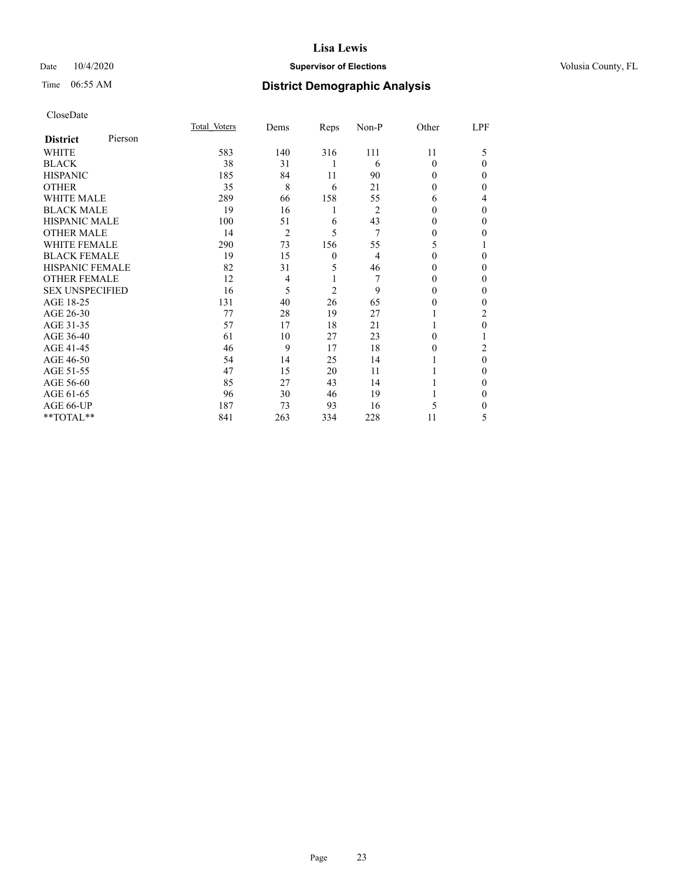## Date  $10/4/2020$  **Supervisor of Elections Supervisor of Elections** Volusia County, FL

| CloseDate |
|-----------|
|-----------|

|                        |         | Total Voters | Dems           | Reps           | Non-P          | Other    | LPF      |
|------------------------|---------|--------------|----------------|----------------|----------------|----------|----------|
| <b>District</b>        | Pierson |              |                |                |                |          |          |
| <b>WHITE</b>           |         | 583          | 140            | 316            | 111            | 11       | 5        |
| <b>BLACK</b>           |         | 38           | 31             | 1              | 6              | $\Omega$ | $\Omega$ |
| <b>HISPANIC</b>        |         | 185          | 84             | 11             | 90             | 0        | $\Omega$ |
| <b>OTHER</b>           |         | 35           | 8              | 6              | 21             | 0        | $\Omega$ |
| <b>WHITE MALE</b>      |         | 289          | 66             | 158            | 55             | 6        | 4        |
| <b>BLACK MALE</b>      |         | 19           | 16             | 1              | $\overline{2}$ | 0        | $\theta$ |
| <b>HISPANIC MALE</b>   |         | 100          | 51             | 6              | 43             | 0        | $\theta$ |
| <b>OTHER MALE</b>      |         | 14           | $\overline{2}$ | 5              | 7              | 0        | 0        |
| <b>WHITE FEMALE</b>    |         | 290          | 73             | 156            | 55             | 5        |          |
| <b>BLACK FEMALE</b>    |         | 19           | 15             | 0              | $\overline{4}$ | 0        | $\Omega$ |
| <b>HISPANIC FEMALE</b> |         | 82           | 31             | 5              | 46             | 0        | $\Omega$ |
| <b>OTHER FEMALE</b>    |         | 12           | 4              | 1              | 7              | $\Omega$ | $\Omega$ |
| <b>SEX UNSPECIFIED</b> |         | 16           | 5              | $\overline{c}$ | 9              | $\Omega$ | $\theta$ |
| AGE 18-25              |         | 131          | 40             | 26             | 65             | 0        | 0        |
| AGE 26-30              |         | 77           | 28             | 19             | 27             |          | 2        |
| AGE 31-35              |         | 57           | 17             | 18             | 21             |          | $\theta$ |
| AGE 36-40              |         | 61           | 10             | 27             | 23             | 0        |          |
| AGE 41-45              |         | 46           | 9              | 17             | 18             | 0        | 2        |
| AGE 46-50              |         | 54           | 14             | 25             | 14             |          | $\Omega$ |
| AGE 51-55              |         | 47           | 15             | 20             | 11             |          | $\theta$ |
| AGE 56-60              |         | 85           | 27             | 43             | 14             |          | 0        |
| AGE 61-65              |         | 96           | 30             | 46             | 19             |          | $\Omega$ |
| AGE 66-UP              |         | 187          | 73             | 93             | 16             | 5        | $\Omega$ |
| **TOTAL**              |         | 841          | 263            | 334            | 228            | 11       | 5        |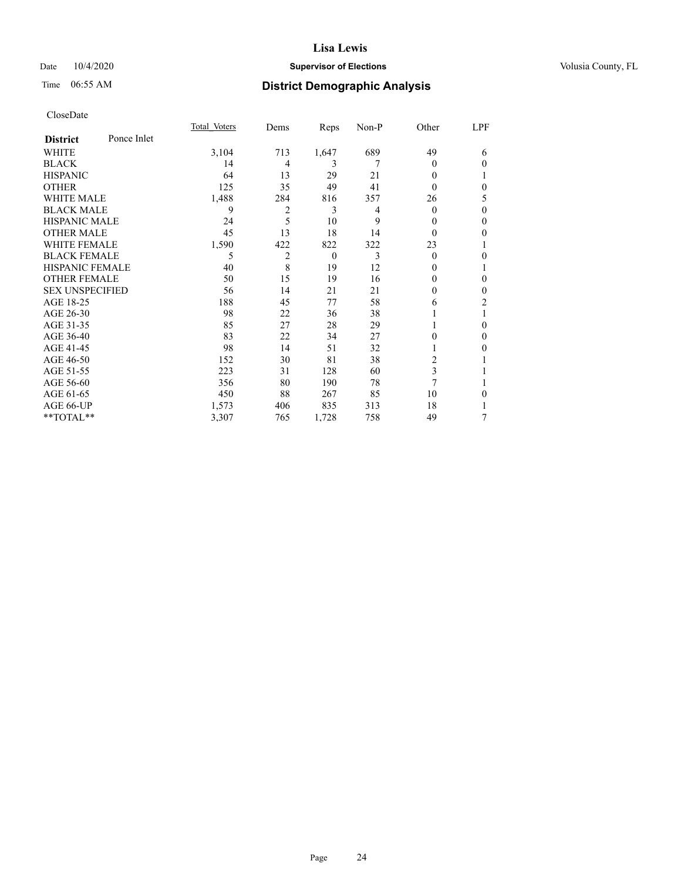## Date  $10/4/2020$  **Supervisor of Elections Supervisor of Elections** Volusia County, FL

# Time 06:55 AM **District Demographic Analysis**

|                        |             | Total Voters | Dems           | Reps     | Non-P | Other          | LPF            |
|------------------------|-------------|--------------|----------------|----------|-------|----------------|----------------|
| <b>District</b>        | Ponce Inlet |              |                |          |       |                |                |
| WHITE                  |             | 3,104        | 713            | 1,647    | 689   | 49             | 6              |
| <b>BLACK</b>           |             | 14           | 4              | 3        | 7     | 0              | $\theta$       |
| <b>HISPANIC</b>        |             | 64           | 13             | 29       | 21    | 0              |                |
| <b>OTHER</b>           |             | 125          | 35             | 49       | 41    | 0              | $\theta$       |
| WHITE MALE             |             | 1,488        | 284            | 816      | 357   | 26             | 5              |
| <b>BLACK MALE</b>      |             | 9            | $\overline{c}$ | 3        | 4     | 0              | $\theta$       |
| <b>HISPANIC MALE</b>   |             | 24           | 5              | 10       | 9     | 0              | $\theta$       |
| <b>OTHER MALE</b>      |             | 45           | 13             | 18       | 14    | $\Omega$       | $\mathbf{0}$   |
| <b>WHITE FEMALE</b>    |             | 1,590        | 422            | 822      | 322   | 23             | 1              |
| <b>BLACK FEMALE</b>    |             | 5            | 2              | $\theta$ | 3     | $\Omega$       | $\theta$       |
| <b>HISPANIC FEMALE</b> |             | 40           | 8              | 19       | 12    | $_{0}$         | 1              |
| <b>OTHER FEMALE</b>    |             | 50           | 15             | 19       | 16    | 0              | $\theta$       |
| <b>SEX UNSPECIFIED</b> |             | 56           | 14             | 21       | 21    | 0              | $\theta$       |
| AGE 18-25              |             | 188          | 45             | 77       | 58    | 6              | $\overline{c}$ |
| AGE 26-30              |             | 98           | 22             | 36       | 38    |                | 1              |
| AGE 31-35              |             | 85           | 27             | 28       | 29    |                | $\theta$       |
| AGE 36-40              |             | 83           | 22             | 34       | 27    | 0              | $\Omega$       |
| AGE 41-45              |             | 98           | 14             | 51       | 32    |                | $\theta$       |
| AGE 46-50              |             | 152          | 30             | 81       | 38    | $\overline{c}$ |                |
| AGE 51-55              |             | 223          | 31             | 128      | 60    | 3              |                |
| AGE 56-60              |             | 356          | 80             | 190      | 78    | 7              |                |
| AGE 61-65              |             | 450          | 88             | 267      | 85    | 10             | $\theta$       |
| AGE 66-UP              |             | 1,573        | 406            | 835      | 313   | 18             | 1              |
| **TOTAL**              |             | 3,307        | 765            | 1,728    | 758   | 49             | 7              |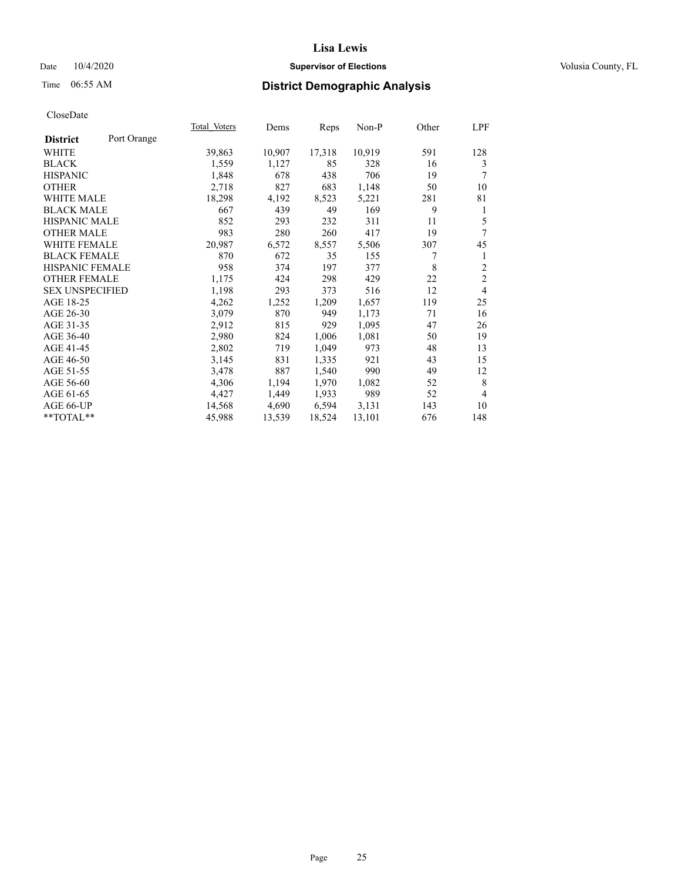## Date  $10/4/2020$  **Supervisor of Elections Supervisor of Elections** Volusia County, FL

# Time 06:55 AM **District Demographic Analysis**

|                                | Total Voters | Dems   | Reps   | Non-P  | Other | LPF            |
|--------------------------------|--------------|--------|--------|--------|-------|----------------|
| Port Orange<br><b>District</b> |              |        |        |        |       |                |
| WHITE                          | 39,863       | 10,907 | 17,318 | 10,919 | 591   | 128            |
| <b>BLACK</b>                   | 1,559        | 1,127  | 85     | 328    | 16    | 3              |
| <b>HISPANIC</b>                | 1,848        | 678    | 438    | 706    | 19    | 7              |
| <b>OTHER</b>                   | 2,718        | 827    | 683    | 1,148  | 50    | 10             |
| <b>WHITE MALE</b>              | 18,298       | 4,192  | 8,523  | 5,221  | 281   | 81             |
| <b>BLACK MALE</b>              | 667          | 439    | 49     | 169    | 9     | 1              |
| <b>HISPANIC MALE</b>           | 852          | 293    | 232    | 311    | 11    | 5              |
| <b>OTHER MALE</b>              | 983          | 280    | 260    | 417    | 19    | 7              |
| WHITE FEMALE                   | 20,987       | 6,572  | 8,557  | 5,506  | 307   | 45             |
| <b>BLACK FEMALE</b>            | 870          | 672    | 35     | 155    | 7     | 1              |
| HISPANIC FEMALE                | 958          | 374    | 197    | 377    | 8     | $\overline{c}$ |
| <b>OTHER FEMALE</b>            | 1,175        | 424    | 298    | 429    | 22    | $\overline{2}$ |
| <b>SEX UNSPECIFIED</b>         | 1,198        | 293    | 373    | 516    | 12    | $\overline{4}$ |
| AGE 18-25                      | 4,262        | 1,252  | 1,209  | 1,657  | 119   | 25             |
| AGE 26-30                      | 3,079        | 870    | 949    | 1,173  | 71    | 16             |
| AGE 31-35                      | 2,912        | 815    | 929    | 1,095  | 47    | 26             |
| AGE 36-40                      | 2,980        | 824    | 1,006  | 1,081  | 50    | 19             |
| AGE 41-45                      | 2,802        | 719    | 1,049  | 973    | 48    | 13             |
| AGE 46-50                      | 3,145        | 831    | 1,335  | 921    | 43    | 15             |
| AGE 51-55                      | 3,478        | 887    | 1,540  | 990    | 49    | 12             |
| AGE 56-60                      | 4,306        | 1,194  | 1,970  | 1,082  | 52    | 8              |
| AGE 61-65                      | 4,427        | 1,449  | 1,933  | 989    | 52    | $\overline{4}$ |
| AGE 66-UP                      | 14,568       | 4,690  | 6,594  | 3,131  | 143   | 10             |
| **TOTAL**                      | 45,988       | 13,539 | 18,524 | 13,101 | 676   | 148            |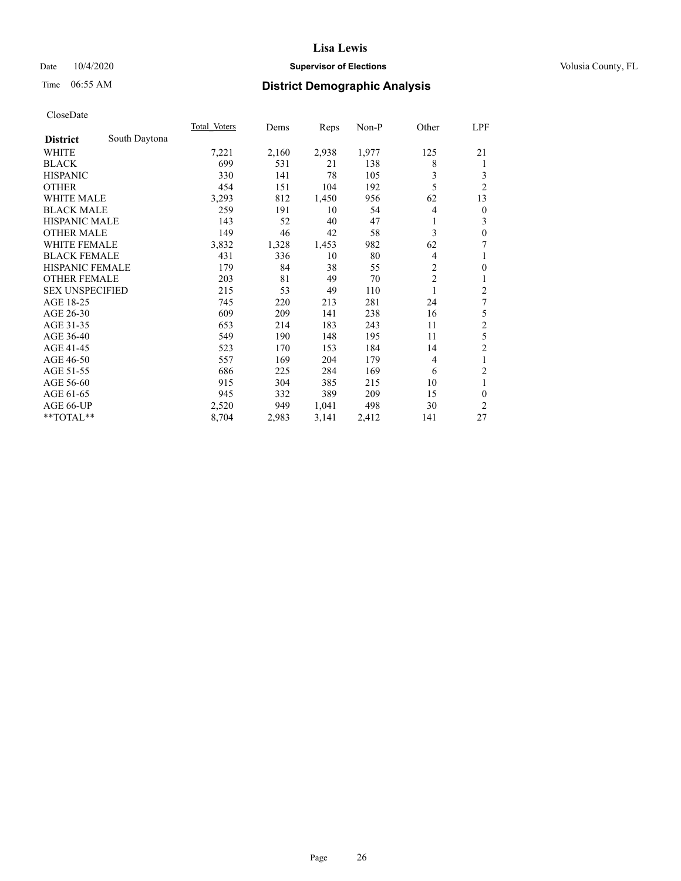## Date  $10/4/2020$  **Supervisor of Elections Supervisor of Elections** Volusia County, FL

# Time 06:55 AM **District Demographic Analysis**

|                        |               | Total Voters | Dems  | Reps  | Non-P | Other          | LPF            |
|------------------------|---------------|--------------|-------|-------|-------|----------------|----------------|
| <b>District</b>        | South Daytona |              |       |       |       |                |                |
| WHITE                  |               | 7,221        | 2,160 | 2,938 | 1,977 | 125            | 21             |
| <b>BLACK</b>           |               | 699          | 531   | 21    | 138   | 8              | 1              |
| <b>HISPANIC</b>        |               | 330          | 141   | 78    | 105   | 3              | 3              |
| <b>OTHER</b>           |               | 454          | 151   | 104   | 192   | 5              | $\overline{2}$ |
| <b>WHITE MALE</b>      |               | 3,293        | 812   | 1,450 | 956   | 62             | 13             |
| <b>BLACK MALE</b>      |               | 259          | 191   | 10    | 54    | 4              | $\theta$       |
| <b>HISPANIC MALE</b>   |               | 143          | 52    | 40    | 47    |                | 3              |
| <b>OTHER MALE</b>      |               | 149          | 46    | 42    | 58    | 3              | $\mathbf{0}$   |
| <b>WHITE FEMALE</b>    |               | 3,832        | 1,328 | 1,453 | 982   | 62             | 7              |
| <b>BLACK FEMALE</b>    |               | 431          | 336   | 10    | 80    | 4              | 1              |
| <b>HISPANIC FEMALE</b> |               | 179          | 84    | 38    | 55    | 2              | $\mathbf{0}$   |
| <b>OTHER FEMALE</b>    |               | 203          | 81    | 49    | 70    | $\overline{2}$ | 1              |
| <b>SEX UNSPECIFIED</b> |               | 215          | 53    | 49    | 110   | 1              | $\overline{2}$ |
| AGE 18-25              |               | 745          | 220   | 213   | 281   | 24             | 7              |
| AGE 26-30              |               | 609          | 209   | 141   | 238   | 16             | 5              |
| AGE 31-35              |               | 653          | 214   | 183   | 243   | 11             | $\overline{c}$ |
| AGE 36-40              |               | 549          | 190   | 148   | 195   | 11             | 5              |
| AGE 41-45              |               | 523          | 170   | 153   | 184   | 14             | $\overline{c}$ |
| AGE 46-50              |               | 557          | 169   | 204   | 179   | $\overline{4}$ | 1              |
| AGE 51-55              |               | 686          | 225   | 284   | 169   | 6              | 2              |
| AGE 56-60              |               | 915          | 304   | 385   | 215   | 10             | 1              |
| AGE 61-65              |               | 945          | 332   | 389   | 209   | 15             | $\theta$       |
| AGE 66-UP              |               | 2,520        | 949   | 1,041 | 498   | 30             | 2              |
| **TOTAL**              |               | 8,704        | 2,983 | 3,141 | 2,412 | 141            | 27             |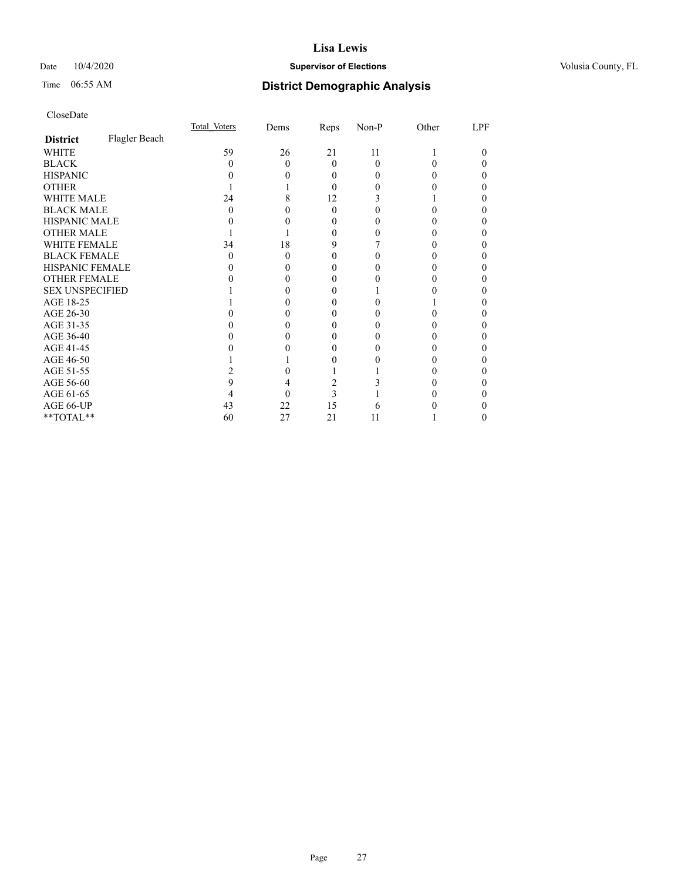## Date  $10/4/2020$  **Supervisor of Elections Supervisor of Elections** Volusia County, FL

# Time 06:55 AM **District Demographic Analysis**

|                        |               | Total Voters | Dems | Reps     | Non-P | Other | LPF |
|------------------------|---------------|--------------|------|----------|-------|-------|-----|
| <b>District</b>        | Flagler Beach |              |      |          |       |       |     |
| WHITE                  |               | 59           | 26   | 21       | 11    |       | 0   |
| <b>BLACK</b>           |               |              | 0    | 0        | 0     |       | 0   |
| <b>HISPANIC</b>        |               |              |      | $\theta$ |       |       | 0   |
| <b>OTHER</b>           |               |              |      | 0        |       |       |     |
| WHITE MALE             |               | 24           | 8    | 12       |       |       | 0   |
| <b>BLACK MALE</b>      |               |              |      | 0        |       |       |     |
| <b>HISPANIC MALE</b>   |               |              |      |          |       |       |     |
| <b>OTHER MALE</b>      |               |              |      | $\theta$ |       |       | 0   |
| <b>WHITE FEMALE</b>    |               | 34           | 18   | 9        |       |       | 0   |
| <b>BLACK FEMALE</b>    |               | 0            | 0    | $\theta$ |       |       | 0   |
| <b>HISPANIC FEMALE</b> |               |              |      |          |       |       |     |
| <b>OTHER FEMALE</b>    |               |              |      | 0        |       | 0     | 0   |
| <b>SEX UNSPECIFIED</b> |               |              |      |          |       |       | 0   |
| AGE 18-25              |               |              |      |          |       |       |     |
| AGE 26-30              |               |              |      |          |       |       |     |
| AGE 31-35              |               |              |      |          |       |       |     |
| AGE 36-40              |               |              |      |          |       |       | 0   |
| AGE 41-45              |               |              |      |          |       |       |     |
| AGE 46-50              |               |              |      |          |       | 0     | 0   |
| AGE 51-55              |               |              |      |          |       |       |     |
| AGE 56-60              |               |              |      |          |       |       | 0   |
| AGE 61-65              |               |              |      | 3        |       |       |     |
| AGE 66-UP              |               | 43           | 22   | 15       |       |       |     |
| **TOTAL**              |               | 60           | 27   | 21       | 11    |       | 0   |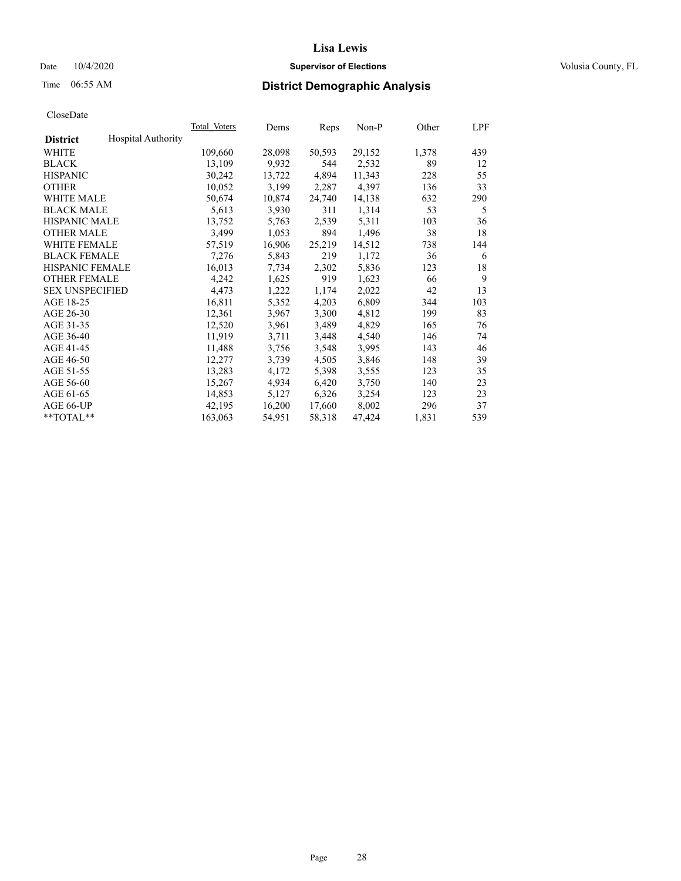## Date  $10/4/2020$  **Supervisor of Elections Supervisor of Elections** Volusia County, FL

# Time 06:55 AM **District Demographic Analysis**

|                        |                           | Total Voters | Dems   | Reps   | Non-P  | Other | LPF |
|------------------------|---------------------------|--------------|--------|--------|--------|-------|-----|
| <b>District</b>        | <b>Hospital Authority</b> |              |        |        |        |       |     |
| WHITE                  |                           | 109,660      | 28,098 | 50,593 | 29,152 | 1,378 | 439 |
| <b>BLACK</b>           |                           | 13,109       | 9,932  | 544    | 2,532  | 89    | 12  |
| <b>HISPANIC</b>        |                           | 30,242       | 13,722 | 4,894  | 11,343 | 228   | 55  |
| <b>OTHER</b>           |                           | 10,052       | 3,199  | 2,287  | 4,397  | 136   | 33  |
| <b>WHITE MALE</b>      |                           | 50,674       | 10,874 | 24,740 | 14,138 | 632   | 290 |
| <b>BLACK MALE</b>      |                           | 5,613        | 3,930  | 311    | 1,314  | 53    | 5   |
| <b>HISPANIC MALE</b>   |                           | 13,752       | 5,763  | 2,539  | 5,311  | 103   | 36  |
| <b>OTHER MALE</b>      |                           | 3,499        | 1,053  | 894    | 1,496  | 38    | 18  |
| <b>WHITE FEMALE</b>    |                           | 57,519       | 16,906 | 25,219 | 14,512 | 738   | 144 |
| <b>BLACK FEMALE</b>    |                           | 7,276        | 5,843  | 219    | 1,172  | 36    | 6   |
| <b>HISPANIC FEMALE</b> |                           | 16,013       | 7,734  | 2,302  | 5,836  | 123   | 18  |
| <b>OTHER FEMALE</b>    |                           | 4,242        | 1,625  | 919    | 1,623  | 66    | 9   |
| <b>SEX UNSPECIFIED</b> |                           | 4,473        | 1,222  | 1,174  | 2,022  | 42    | 13  |
| AGE 18-25              |                           | 16,811       | 5,352  | 4,203  | 6,809  | 344   | 103 |
| AGE 26-30              |                           | 12,361       | 3,967  | 3,300  | 4,812  | 199   | 83  |
| AGE 31-35              |                           | 12,520       | 3,961  | 3,489  | 4,829  | 165   | 76  |
| AGE 36-40              |                           | 11,919       | 3,711  | 3,448  | 4,540  | 146   | 74  |
| AGE 41-45              |                           | 11,488       | 3,756  | 3,548  | 3,995  | 143   | 46  |
| AGE 46-50              |                           | 12,277       | 3,739  | 4,505  | 3,846  | 148   | 39  |
| AGE 51-55              |                           | 13,283       | 4,172  | 5,398  | 3,555  | 123   | 35  |
| AGE 56-60              |                           | 15,267       | 4,934  | 6,420  | 3,750  | 140   | 23  |
| AGE 61-65              |                           | 14,853       | 5,127  | 6,326  | 3,254  | 123   | 23  |
| AGE 66-UP              |                           | 42,195       | 16,200 | 17,660 | 8,002  | 296   | 37  |
| $*$ TOTAL $*$          |                           | 163,063      | 54,951 | 58,318 | 47,424 | 1,831 | 539 |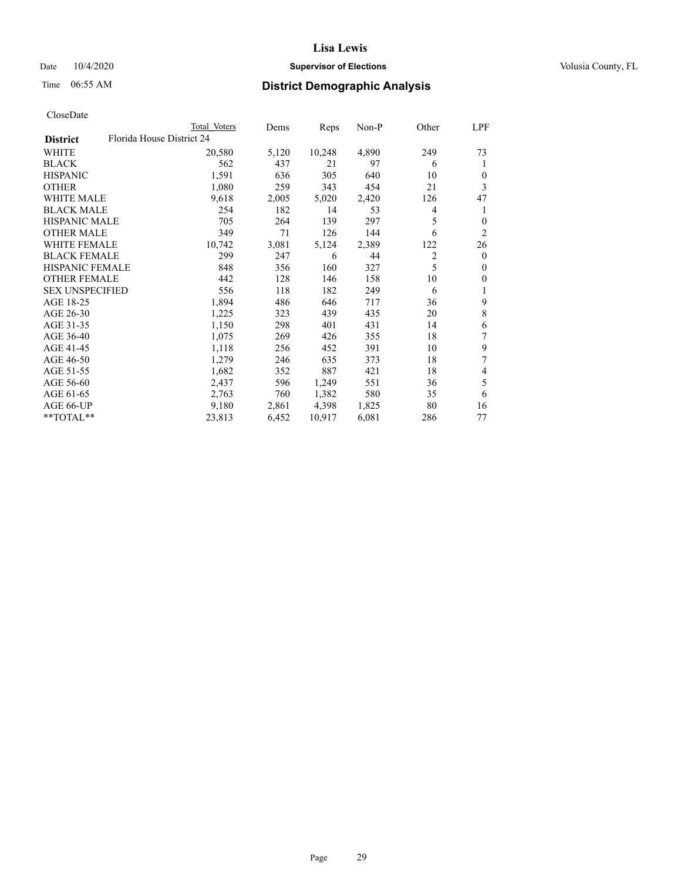## Date  $10/4/2020$  **Supervisor of Elections Supervisor of Elections** Volusia County, FL

| CloseDate |
|-----------|
|-----------|

|                        |                           | Total Voters | Dems  | Reps   | $Non-P$ | Other          | LPF            |
|------------------------|---------------------------|--------------|-------|--------|---------|----------------|----------------|
| <b>District</b>        | Florida House District 24 |              |       |        |         |                |                |
| WHITE                  |                           | 20,580       | 5,120 | 10,248 | 4,890   | 249            | 73             |
| <b>BLACK</b>           |                           | 562          | 437   | 21     | 97      | 6              | 1              |
| <b>HISPANIC</b>        |                           | 1,591        | 636   | 305    | 640     | 10             | $\theta$       |
| <b>OTHER</b>           |                           | 1,080        | 259   | 343    | 454     | 21             | 3              |
| <b>WHITE MALE</b>      |                           | 9,618        | 2,005 | 5,020  | 2,420   | 126            | 47             |
| <b>BLACK MALE</b>      |                           | 254          | 182   | 14     | 53      | 4              | 1              |
| <b>HISPANIC MALE</b>   |                           | 705          | 264   | 139    | 297     | 5              | $\theta$       |
| <b>OTHER MALE</b>      |                           | 349          | 71    | 126    | 144     | 6              | $\overline{2}$ |
| <b>WHITE FEMALE</b>    |                           | 10,742       | 3,081 | 5,124  | 2,389   | 122            | 26             |
| <b>BLACK FEMALE</b>    |                           | 299          | 247   | 6      | 44      | $\overline{2}$ | $\mathbf{0}$   |
| HISPANIC FEMALE        |                           | 848          | 356   | 160    | 327     | 5              | $\mathbf{0}$   |
| <b>OTHER FEMALE</b>    |                           | 442          | 128   | 146    | 158     | 10             | $\mathbf{0}$   |
| <b>SEX UNSPECIFIED</b> |                           | 556          | 118   | 182    | 249     | 6              | 1              |
| AGE 18-25              |                           | 1,894        | 486   | 646    | 717     | 36             | 9              |
| AGE 26-30              |                           | 1,225        | 323   | 439    | 435     | 20             | $\,$ 8 $\,$    |
| AGE 31-35              |                           | 1,150        | 298   | 401    | 431     | 14             | 6              |
| AGE 36-40              |                           | 1,075        | 269   | 426    | 355     | 18             | 7              |
| AGE 41-45              |                           | 1,118        | 256   | 452    | 391     | 10             | 9              |
| AGE 46-50              |                           | 1,279        | 246   | 635    | 373     | 18             | 7              |
| AGE 51-55              |                           | 1,682        | 352   | 887    | 421     | 18             | 4              |
| AGE 56-60              |                           | 2,437        | 596   | 1,249  | 551     | 36             | 5              |
| AGE 61-65              |                           | 2,763        | 760   | 1,382  | 580     | 35             | 6              |
| AGE 66-UP              |                           | 9,180        | 2,861 | 4,398  | 1,825   | 80             | 16             |
| **TOTAL**              |                           | 23,813       | 6,452 | 10,917 | 6,081   | 286            | 77             |
|                        |                           |              |       |        |         |                |                |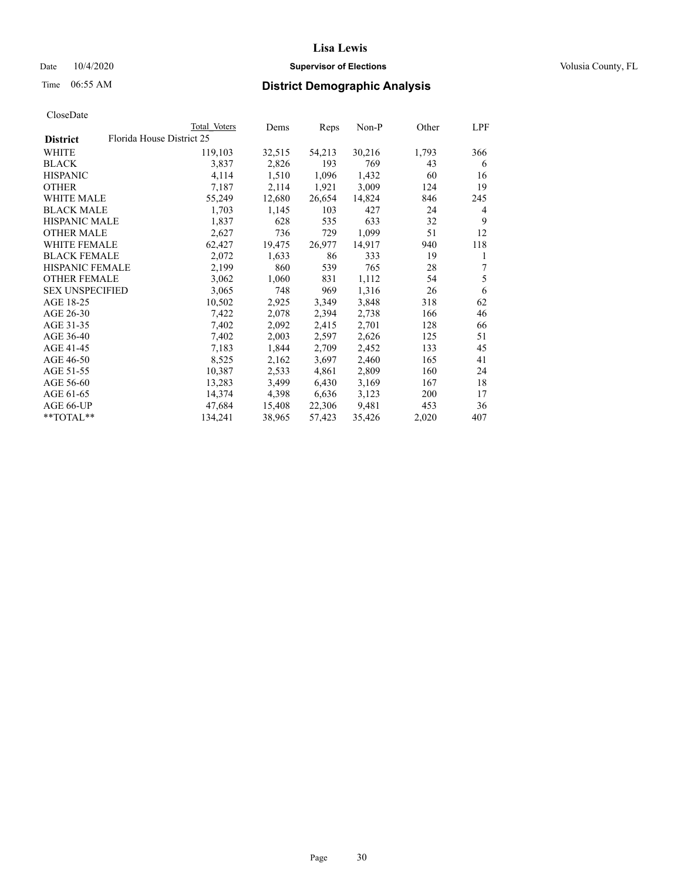## Date  $10/4/2020$  **Supervisor of Elections Supervisor of Elections** Volusia County, FL

| Total Voters              | Dems   |        | Non-P  | Other | LPF |
|---------------------------|--------|--------|--------|-------|-----|
| Florida House District 25 |        |        |        |       |     |
| 119,103                   | 32,515 | 54,213 | 30,216 | 1,793 | 366 |
| 3,837                     | 2,826  | 193    | 769    | 43    | 6   |
| 4,114                     | 1,510  | 1,096  | 1,432  | 60    | 16  |
| 7,187                     | 2,114  | 1,921  | 3,009  | 124   | 19  |
| 55,249                    | 12,680 | 26,654 | 14,824 | 846   | 245 |
| 1,703                     | 1,145  | 103    | 427    | 24    | 4   |
| 1,837                     | 628    | 535    | 633    | 32    | 9   |
| 2,627                     | 736    | 729    | 1,099  | 51    | 12  |
| 62,427                    | 19,475 | 26,977 | 14,917 | 940   | 118 |
| 2,072                     | 1,633  | 86     | 333    | 19    | 1   |
| 2,199                     | 860    | 539    | 765    | 28    | 7   |
| 3,062                     | 1,060  | 831    | 1,112  | 54    | 5   |
| 3,065                     | 748    | 969    | 1,316  | 26    | 6   |
| 10,502                    | 2,925  | 3,349  | 3,848  | 318   | 62  |
| 7,422                     | 2,078  | 2,394  | 2,738  | 166   | 46  |
| 7,402                     | 2,092  | 2,415  | 2,701  | 128   | 66  |
| 7,402                     | 2,003  | 2,597  | 2,626  | 125   | 51  |
| 7,183                     | 1,844  | 2,709  | 2,452  | 133   | 45  |
| 8,525                     | 2,162  | 3,697  | 2,460  | 165   | 41  |
| 10,387                    | 2,533  | 4,861  | 2,809  | 160   | 24  |
| 13,283                    | 3,499  | 6,430  | 3,169  | 167   | 18  |
| 14,374                    | 4,398  | 6,636  | 3,123  | 200   | 17  |
| 47,684                    | 15,408 | 22,306 | 9,481  | 453   | 36  |
| 134,241                   | 38,965 | 57,423 | 35,426 | 2,020 | 407 |
|                           |        |        | Reps   |       |     |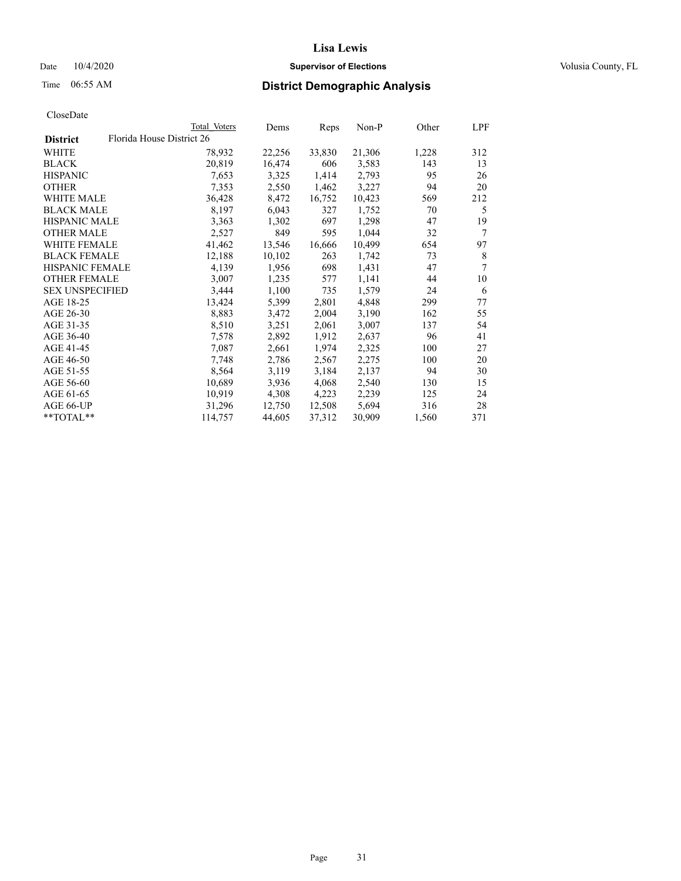## Date  $10/4/2020$  **Supervisor of Elections Supervisor of Elections** Volusia County, FL

| CloseDate |
|-----------|
|-----------|

|                        |                           | Total Voters | Dems   | Reps   | <u>Non-P</u> | Other | <u>LPF</u>     |
|------------------------|---------------------------|--------------|--------|--------|--------------|-------|----------------|
| <b>District</b>        | Florida House District 26 |              |        |        |              |       |                |
| WHITE                  |                           | 78,932       | 22,256 | 33,830 | 21,306       | 1,228 | 312            |
| <b>BLACK</b>           |                           | 20,819       | 16,474 | 606    | 3,583        | 143   | 13             |
| <b>HISPANIC</b>        |                           | 7,653        | 3,325  | 1,414  | 2,793        | 95    | 26             |
| <b>OTHER</b>           |                           | 7,353        | 2,550  | 1,462  | 3,227        | 94    | 20             |
| <b>WHITE MALE</b>      |                           | 36,428       | 8,472  | 16,752 | 10,423       | 569   | 212            |
| <b>BLACK MALE</b>      |                           | 8,197        | 6,043  | 327    | 1,752        | 70    | 5              |
| <b>HISPANIC MALE</b>   |                           | 3,363        | 1,302  | 697    | 1,298        | 47    | 19             |
| <b>OTHER MALE</b>      |                           | 2,527        | 849    | 595    | 1,044        | 32    | 7              |
| <b>WHITE FEMALE</b>    |                           | 41,462       | 13,546 | 16,666 | 10,499       | 654   | 97             |
| <b>BLACK FEMALE</b>    |                           | 12,188       | 10,102 | 263    | 1,742        | 73    | 8              |
| HISPANIC FEMALE        |                           | 4,139        | 1,956  | 698    | 1,431        | 47    | $\overline{7}$ |
| <b>OTHER FEMALE</b>    |                           | 3,007        | 1,235  | 577    | 1,141        | 44    | 10             |
| <b>SEX UNSPECIFIED</b> |                           | 3,444        | 1,100  | 735    | 1,579        | 24    | 6              |
| AGE 18-25              |                           | 13,424       | 5,399  | 2,801  | 4,848        | 299   | 77             |
| AGE 26-30              |                           | 8,883        | 3,472  | 2,004  | 3,190        | 162   | 55             |
| AGE 31-35              |                           | 8,510        | 3,251  | 2,061  | 3,007        | 137   | 54             |
| AGE 36-40              |                           | 7,578        | 2,892  | 1,912  | 2,637        | 96    | 41             |
| AGE 41-45              |                           | 7,087        | 2,661  | 1,974  | 2,325        | 100   | 27             |
| AGE 46-50              |                           | 7,748        | 2,786  | 2,567  | 2,275        | 100   | 20             |
| AGE 51-55              |                           | 8,564        | 3,119  | 3,184  | 2,137        | 94    | 30             |
| AGE 56-60              |                           | 10,689       | 3,936  | 4,068  | 2,540        | 130   | 15             |
| AGE 61-65              |                           | 10,919       | 4,308  | 4,223  | 2,239        | 125   | 24             |
| AGE 66-UP              |                           | 31,296       | 12,750 | 12,508 | 5,694        | 316   | 28             |
| **TOTAL**              |                           | 114,757      | 44,605 | 37,312 | 30,909       | 1,560 | 371            |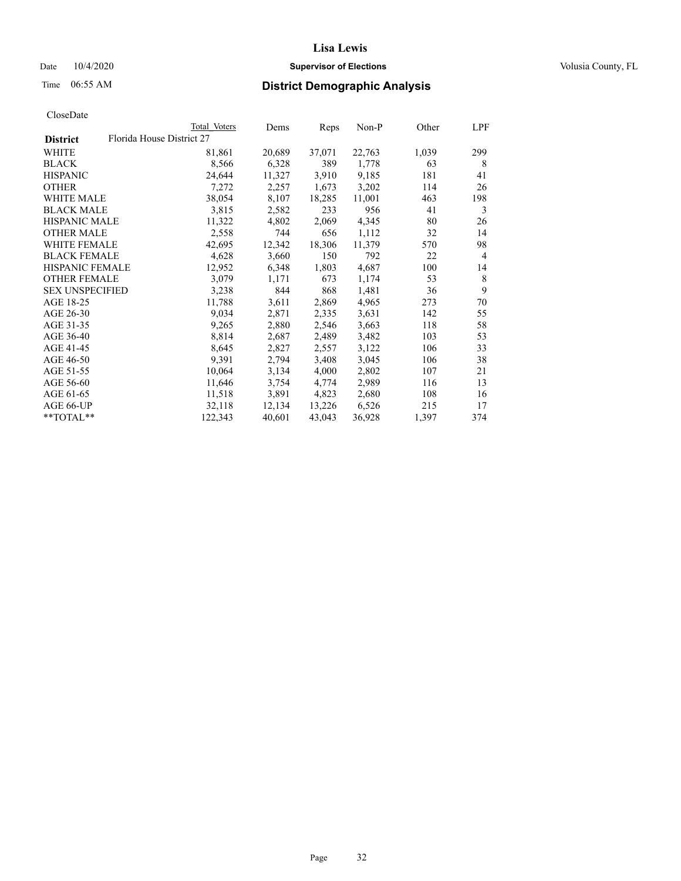## Date  $10/4/2020$  **Supervisor of Elections Supervisor of Elections** Volusia County, FL

|                        |                           | Total Voters | Dems   | Reps   | Non-P  | Other | LPF            |
|------------------------|---------------------------|--------------|--------|--------|--------|-------|----------------|
| <b>District</b>        | Florida House District 27 |              |        |        |        |       |                |
| WHITE                  |                           | 81,861       | 20,689 | 37,071 | 22,763 | 1,039 | 299            |
| <b>BLACK</b>           |                           | 8,566        | 6,328  | 389    | 1,778  | 63    | 8              |
| <b>HISPANIC</b>        |                           | 24,644       | 11,327 | 3,910  | 9,185  | 181   | 41             |
| <b>OTHER</b>           |                           | 7,272        | 2,257  | 1,673  | 3,202  | 114   | 26             |
| <b>WHITE MALE</b>      |                           | 38,054       | 8,107  | 18,285 | 11,001 | 463   | 198            |
| <b>BLACK MALE</b>      |                           | 3,815        | 2,582  | 233    | 956    | 41    | 3              |
| <b>HISPANIC MALE</b>   |                           | 11,322       | 4,802  | 2,069  | 4,345  | 80    | 26             |
| <b>OTHER MALE</b>      |                           | 2,558        | 744    | 656    | 1,112  | 32    | 14             |
| WHITE FEMALE           |                           | 42,695       | 12,342 | 18,306 | 11,379 | 570   | 98             |
| <b>BLACK FEMALE</b>    |                           | 4,628        | 3,660  | 150    | 792    | 22    | $\overline{4}$ |
| <b>HISPANIC FEMALE</b> |                           | 12,952       | 6,348  | 1,803  | 4,687  | 100   | 14             |
| <b>OTHER FEMALE</b>    |                           | 3,079        | 1,171  | 673    | 1,174  | 53    | 8              |
| <b>SEX UNSPECIFIED</b> |                           | 3,238        | 844    | 868    | 1,481  | 36    | 9              |
| AGE 18-25              |                           | 11,788       | 3,611  | 2,869  | 4,965  | 273   | 70             |
| AGE 26-30              |                           | 9,034        | 2,871  | 2,335  | 3,631  | 142   | 55             |
| AGE 31-35              |                           | 9,265        | 2,880  | 2,546  | 3,663  | 118   | 58             |
| AGE 36-40              |                           | 8,814        | 2,687  | 2,489  | 3,482  | 103   | 53             |
| AGE 41-45              |                           | 8,645        | 2,827  | 2,557  | 3,122  | 106   | 33             |
| AGE 46-50              |                           | 9,391        | 2,794  | 3,408  | 3,045  | 106   | 38             |
| AGE 51-55              |                           | 10,064       | 3,134  | 4,000  | 2,802  | 107   | 21             |
| AGE 56-60              |                           | 11,646       | 3,754  | 4,774  | 2,989  | 116   | 13             |
| AGE 61-65              |                           | 11,518       | 3,891  | 4,823  | 2,680  | 108   | 16             |
| AGE 66-UP              |                           | 32,118       | 12,134 | 13,226 | 6,526  | 215   | 17             |
| **TOTAL**              |                           | 122,343      | 40,601 | 43,043 | 36,928 | 1,397 | 374            |
|                        |                           |              |        |        |        |       |                |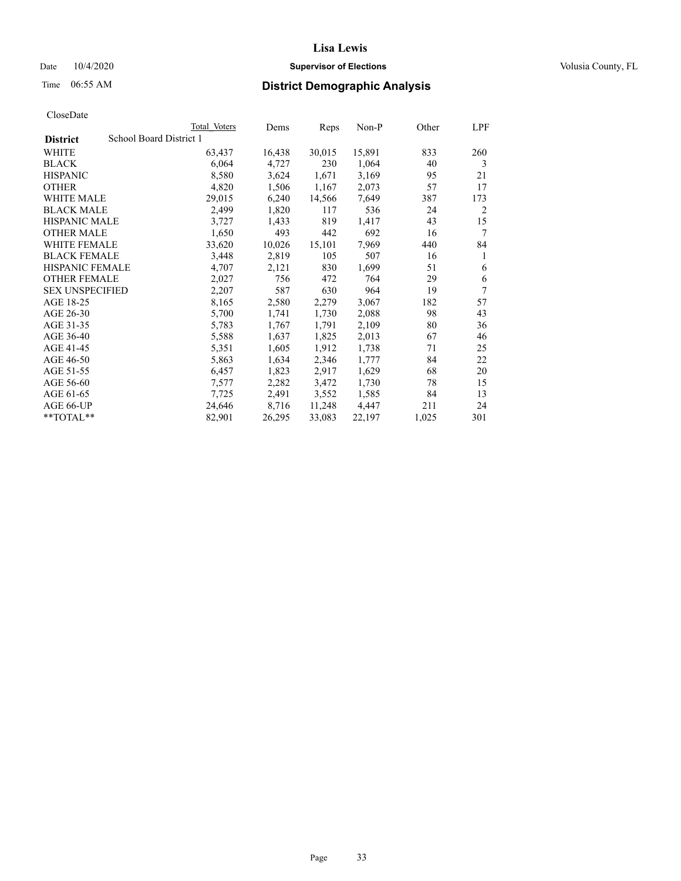## Date  $10/4/2020$  **Supervisor of Elections Supervisor of Elections** Volusia County, FL

# Time 06:55 AM **District Demographic Analysis**

|                        | Total Voters            | Dems   | Reps   | Non-P  | Other | LPF |
|------------------------|-------------------------|--------|--------|--------|-------|-----|
| <b>District</b>        | School Board District 1 |        |        |        |       |     |
| WHITE                  | 63,437                  | 16,438 | 30,015 | 15,891 | 833   | 260 |
| <b>BLACK</b>           | 6,064                   | 4,727  | 230    | 1,064  | 40    | 3   |
| <b>HISPANIC</b>        | 8,580                   | 3,624  | 1,671  | 3,169  | 95    | 21  |
| <b>OTHER</b>           | 4,820                   | 1,506  | 1,167  | 2,073  | 57    | 17  |
| WHITE MALE             | 29,015                  | 6,240  | 14,566 | 7,649  | 387   | 173 |
| <b>BLACK MALE</b>      | 2,499                   | 1,820  | 117    | 536    | 24    | 2   |
| <b>HISPANIC MALE</b>   | 3,727                   | 1,433  | 819    | 1,417  | 43    | 15  |
| <b>OTHER MALE</b>      | 1,650                   | 493    | 442    | 692    | 16    | 7   |
| WHITE FEMALE           | 33,620                  | 10,026 | 15,101 | 7,969  | 440   | 84  |
| <b>BLACK FEMALE</b>    | 3,448                   | 2,819  | 105    | 507    | 16    | 1   |
| <b>HISPANIC FEMALE</b> | 4,707                   | 2,121  | 830    | 1,699  | 51    | 6   |
| <b>OTHER FEMALE</b>    | 2,027                   | 756    | 472    | 764    | 29    | 6   |
| <b>SEX UNSPECIFIED</b> | 2,207                   | 587    | 630    | 964    | 19    | 7   |
| AGE 18-25              | 8,165                   | 2,580  | 2,279  | 3,067  | 182   | 57  |
| AGE 26-30              | 5,700                   | 1,741  | 1,730  | 2,088  | 98    | 43  |
| AGE 31-35              | 5,783                   | 1,767  | 1,791  | 2,109  | 80    | 36  |
| AGE 36-40              | 5,588                   | 1,637  | 1,825  | 2,013  | 67    | 46  |
| AGE 41-45              | 5,351                   | 1,605  | 1,912  | 1,738  | 71    | 25  |
| AGE 46-50              | 5,863                   | 1,634  | 2,346  | 1,777  | 84    | 22  |
| AGE 51-55              | 6,457                   | 1,823  | 2,917  | 1,629  | 68    | 20  |
| AGE 56-60              | 7,577                   | 2,282  | 3,472  | 1,730  | 78    | 15  |
| AGE 61-65              | 7,725                   | 2,491  | 3,552  | 1,585  | 84    | 13  |
| AGE 66-UP              | 24,646                  | 8,716  | 11,248 | 4,447  | 211   | 24  |
| $*$ $TOTAL**$          | 82,901                  | 26,295 | 33,083 | 22,197 | 1,025 | 301 |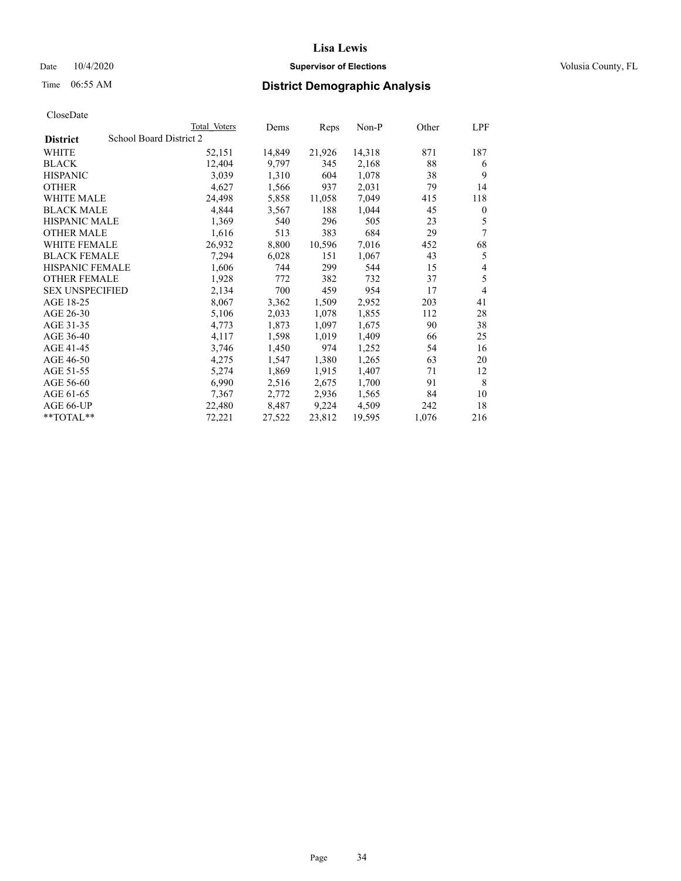## Date  $10/4/2020$  **Supervisor of Elections Supervisor of Elections** Volusia County, FL

# Time 06:55 AM **District Demographic Analysis**

|                        | Total Voters            | Dems   | Reps   | Non-P  | Other | LPF          |
|------------------------|-------------------------|--------|--------|--------|-------|--------------|
| <b>District</b>        | School Board District 2 |        |        |        |       |              |
| WHITE                  | 52,151                  | 14,849 | 21,926 | 14,318 | 871   | 187          |
| <b>BLACK</b>           | 12,404                  | 9,797  | 345    | 2,168  | 88    | 6            |
| <b>HISPANIC</b>        | 3,039                   | 1,310  | 604    | 1,078  | 38    | 9            |
| <b>OTHER</b>           | 4,627                   | 1,566  | 937    | 2,031  | 79    | 14           |
| WHITE MALE             | 24,498                  | 5,858  | 11,058 | 7,049  | 415   | 118          |
| <b>BLACK MALE</b>      | 4,844                   | 3,567  | 188    | 1,044  | 45    | $\mathbf{0}$ |
| <b>HISPANIC MALE</b>   | 1,369                   | 540    | 296    | 505    | 23    | 5            |
| <b>OTHER MALE</b>      | 1,616                   | 513    | 383    | 684    | 29    | 7            |
| WHITE FEMALE           | 26,932                  | 8,800  | 10,596 | 7,016  | 452   | 68           |
| <b>BLACK FEMALE</b>    | 7,294                   | 6,028  | 151    | 1,067  | 43    | 5            |
| <b>HISPANIC FEMALE</b> | 1,606                   | 744    | 299    | 544    | 15    | 4            |
| <b>OTHER FEMALE</b>    | 1,928                   | 772    | 382    | 732    | 37    | 5            |
| <b>SEX UNSPECIFIED</b> | 2,134                   | 700    | 459    | 954    | 17    | 4            |
| AGE 18-25              | 8,067                   | 3,362  | 1,509  | 2,952  | 203   | 41           |
| AGE 26-30              | 5,106                   | 2,033  | 1,078  | 1,855  | 112   | 28           |
| AGE 31-35              | 4,773                   | 1,873  | 1,097  | 1,675  | 90    | 38           |
| AGE 36-40              | 4,117                   | 1,598  | 1,019  | 1,409  | 66    | 25           |
| AGE 41-45              | 3,746                   | 1,450  | 974    | 1,252  | 54    | 16           |
| AGE 46-50              | 4,275                   | 1,547  | 1,380  | 1,265  | 63    | 20           |
| AGE 51-55              | 5,274                   | 1,869  | 1,915  | 1,407  | 71    | 12           |
| AGE 56-60              | 6,990                   | 2,516  | 2,675  | 1,700  | 91    | 8            |
| AGE 61-65              | 7,367                   | 2,772  | 2,936  | 1,565  | 84    | 10           |
| AGE 66-UP              | 22,480                  | 8,487  | 9,224  | 4,509  | 242   | 18           |
| $**TOTAL**$            | 72,221                  | 27,522 | 23,812 | 19,595 | 1,076 | 216          |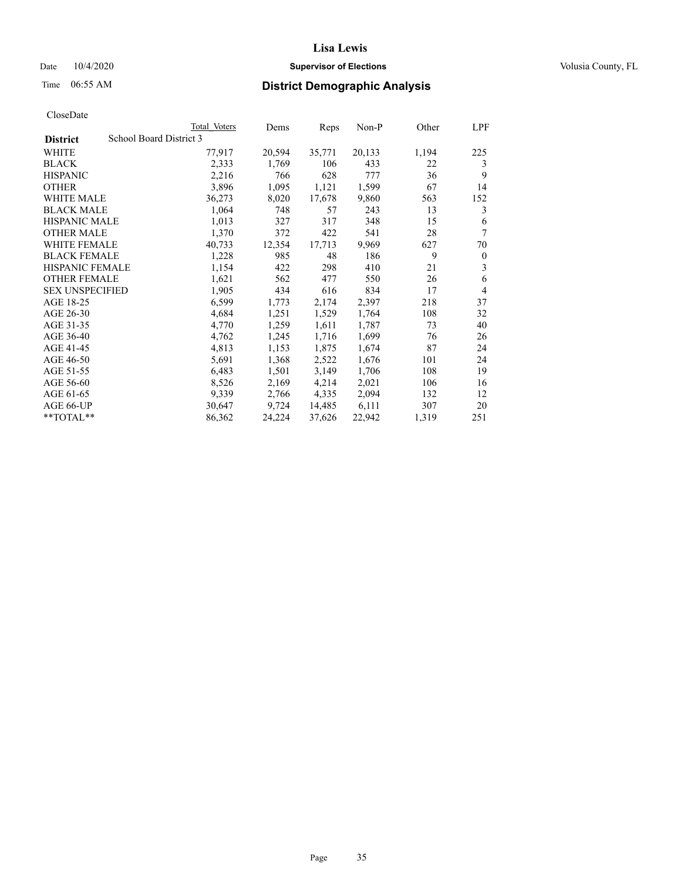## Date  $10/4/2020$  **Supervisor of Elections Supervisor of Elections** Volusia County, FL

# Time 06:55 AM **District Demographic Analysis**

|                                            | Total Voters | Dems   | Reps   | Non-P  | Other | LPF            |
|--------------------------------------------|--------------|--------|--------|--------|-------|----------------|
| School Board District 3<br><b>District</b> |              |        |        |        |       |                |
| WHITE                                      | 77,917       | 20,594 | 35,771 | 20,133 | 1,194 | 225            |
| <b>BLACK</b>                               | 2,333        | 1,769  | 106    | 433    | 22    | 3              |
| <b>HISPANIC</b>                            | 2,216        | 766    | 628    | 777    | 36    | 9              |
| <b>OTHER</b>                               | 3,896        | 1,095  | 1,121  | 1,599  | 67    | 14             |
| WHITE MALE                                 | 36,273       | 8,020  | 17,678 | 9,860  | 563   | 152            |
| <b>BLACK MALE</b>                          | 1,064        | 748    | 57     | 243    | 13    | 3              |
| <b>HISPANIC MALE</b>                       | 1,013        | 327    | 317    | 348    | 15    | 6              |
| <b>OTHER MALE</b>                          | 1,370        | 372    | 422    | 541    | 28    | 7              |
| <b>WHITE FEMALE</b>                        | 40,733       | 12,354 | 17,713 | 9,969  | 627   | 70             |
| <b>BLACK FEMALE</b>                        | 1,228        | 985    | 48     | 186    | 9     | $\theta$       |
| <b>HISPANIC FEMALE</b>                     | 1,154        | 422    | 298    | 410    | 21    | 3              |
| <b>OTHER FEMALE</b>                        | 1,621        | 562    | 477    | 550    | 26    | 6              |
| <b>SEX UNSPECIFIED</b>                     | 1,905        | 434    | 616    | 834    | 17    | $\overline{4}$ |
| AGE 18-25                                  | 6,599        | 1,773  | 2,174  | 2,397  | 218   | 37             |
| AGE 26-30                                  | 4,684        | 1,251  | 1,529  | 1,764  | 108   | 32             |
| AGE 31-35                                  | 4,770        | 1,259  | 1,611  | 1,787  | 73    | 40             |
| AGE 36-40                                  | 4,762        | 1,245  | 1,716  | 1,699  | 76    | 26             |
| AGE 41-45                                  | 4,813        | 1,153  | 1,875  | 1,674  | 87    | 24             |
| AGE 46-50                                  | 5,691        | 1,368  | 2,522  | 1,676  | 101   | 24             |
| AGE 51-55                                  | 6,483        | 1,501  | 3,149  | 1,706  | 108   | 19             |
| AGE 56-60                                  | 8,526        | 2,169  | 4,214  | 2,021  | 106   | 16             |
| AGE 61-65                                  | 9,339        | 2,766  | 4,335  | 2,094  | 132   | 12             |
| AGE 66-UP                                  | 30,647       | 9,724  | 14,485 | 6,111  | 307   | 20             |
| $*$ $TOTAL**$                              | 86,362       | 24,224 | 37,626 | 22,942 | 1,319 | 251            |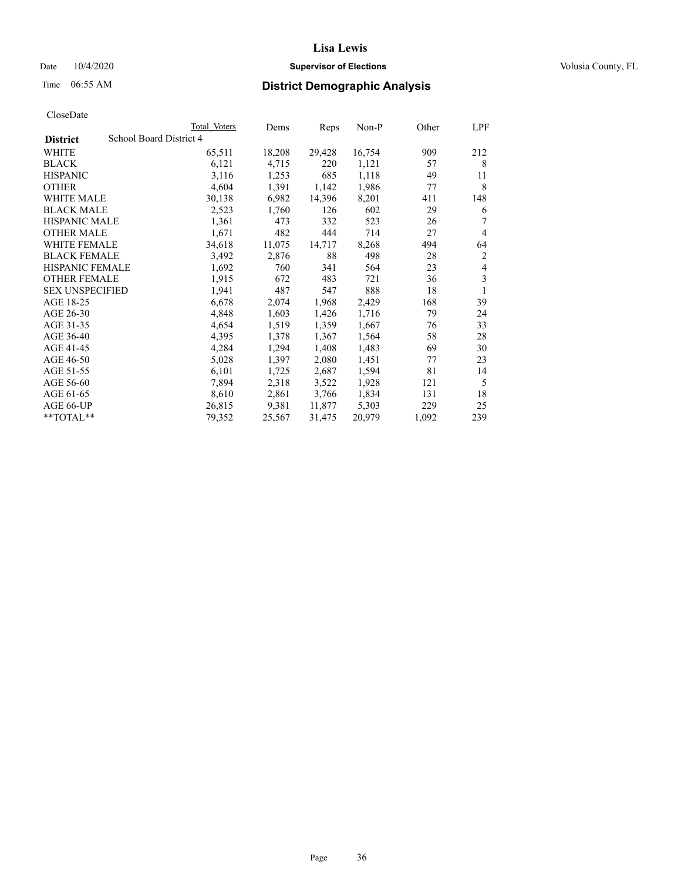## Date  $10/4/2020$  **Supervisor of Elections Supervisor of Elections** Volusia County, FL

| CloseDate |
|-----------|
|-----------|

|                                            | Total Voters | Dems   | Reps   | Non-P  | Other | LPF            |
|--------------------------------------------|--------------|--------|--------|--------|-------|----------------|
| School Board District 4<br><b>District</b> |              |        |        |        |       |                |
| WHITE                                      | 65,511       | 18,208 | 29,428 | 16,754 | 909   | 212            |
| <b>BLACK</b>                               | 6,121        | 4,715  | 220    | 1,121  | 57    | 8              |
| <b>HISPANIC</b>                            | 3,116        | 1,253  | 685    | 1,118  | 49    | 11             |
| <b>OTHER</b>                               | 4,604        | 1,391  | 1,142  | 1,986  | 77    | 8              |
| <b>WHITE MALE</b>                          | 30,138       | 6,982  | 14,396 | 8,201  | 411   | 148            |
| <b>BLACK MALE</b>                          | 2,523        | 1,760  | 126    | 602    | 29    | 6              |
| <b>HISPANIC MALE</b>                       | 1,361        | 473    | 332    | 523    | 26    | 7              |
| <b>OTHER MALE</b>                          | 1,671        | 482    | 444    | 714    | 27    | $\overline{4}$ |
| <b>WHITE FEMALE</b>                        | 34,618       | 11,075 | 14,717 | 8,268  | 494   | 64             |
| <b>BLACK FEMALE</b>                        | 3,492        | 2,876  | 88     | 498    | 28    | $\overline{2}$ |
| <b>HISPANIC FEMALE</b>                     | 1,692        | 760    | 341    | 564    | 23    | $\overline{4}$ |
| <b>OTHER FEMALE</b>                        | 1,915        | 672    | 483    | 721    | 36    | 3              |
| <b>SEX UNSPECIFIED</b>                     | 1,941        | 487    | 547    | 888    | 18    | 1              |
| AGE 18-25                                  | 6,678        | 2,074  | 1,968  | 2,429  | 168   | 39             |
| AGE 26-30                                  | 4,848        | 1,603  | 1,426  | 1,716  | 79    | 24             |
| AGE 31-35                                  | 4,654        | 1,519  | 1,359  | 1,667  | 76    | 33             |
| AGE 36-40                                  | 4,395        | 1,378  | 1,367  | 1,564  | 58    | 28             |
| AGE 41-45                                  | 4,284        | 1,294  | 1,408  | 1,483  | 69    | 30             |
| AGE 46-50                                  | 5,028        | 1,397  | 2,080  | 1,451  | 77    | 23             |
| AGE 51-55                                  | 6,101        | 1,725  | 2,687  | 1,594  | 81    | 14             |
| AGE 56-60                                  | 7,894        | 2,318  | 3,522  | 1,928  | 121   | 5              |
| AGE 61-65                                  | 8,610        | 2,861  | 3,766  | 1,834  | 131   | 18             |
| AGE 66-UP                                  | 26,815       | 9,381  | 11,877 | 5,303  | 229   | 25             |
| $**TOTAL**$                                | 79,352       | 25,567 | 31,475 | 20,979 | 1,092 | 239            |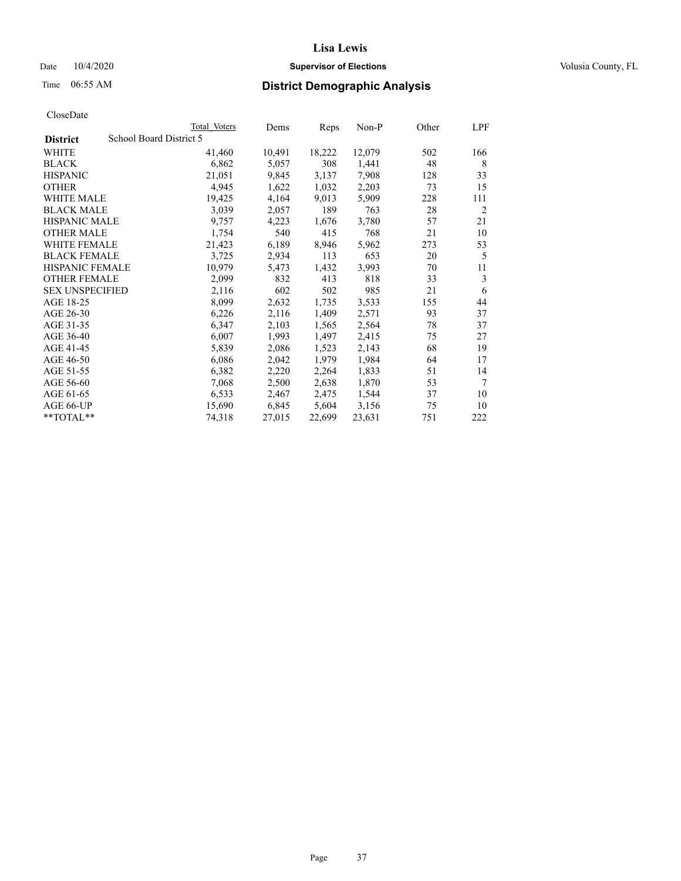## Date  $10/4/2020$  **Supervisor of Elections Supervisor of Elections** Volusia County, FL

|                        |                         | Total Voters | Dems   | Reps   | Non-P  | Other | LPF            |
|------------------------|-------------------------|--------------|--------|--------|--------|-------|----------------|
| <b>District</b>        | School Board District 5 |              |        |        |        |       |                |
| WHITE                  |                         | 41,460       | 10,491 | 18,222 | 12,079 | 502   | 166            |
| <b>BLACK</b>           |                         | 6,862        | 5,057  | 308    | 1,441  | 48    | 8              |
| <b>HISPANIC</b>        |                         | 21,051       | 9,845  | 3,137  | 7,908  | 128   | 33             |
| <b>OTHER</b>           |                         | 4,945        | 1,622  | 1,032  | 2,203  | 73    | 15             |
| WHITE MALE             |                         | 19,425       | 4,164  | 9,013  | 5,909  | 228   | 111            |
| <b>BLACK MALE</b>      |                         | 3,039        | 2,057  | 189    | 763    | 28    | $\overline{2}$ |
| <b>HISPANIC MALE</b>   |                         | 9,757        | 4,223  | 1,676  | 3,780  | 57    | 21             |
| <b>OTHER MALE</b>      |                         | 1,754        | 540    | 415    | 768    | 21    | 10             |
| <b>WHITE FEMALE</b>    |                         | 21,423       | 6,189  | 8,946  | 5,962  | 273   | 53             |
| <b>BLACK FEMALE</b>    |                         | 3,725        | 2,934  | 113    | 653    | 20    | 5              |
| HISPANIC FEMALE        |                         | 10,979       | 5,473  | 1,432  | 3,993  | 70    | 11             |
| <b>OTHER FEMALE</b>    |                         | 2,099        | 832    | 413    | 818    | 33    | 3              |
| <b>SEX UNSPECIFIED</b> |                         | 2,116        | 602    | 502    | 985    | 21    | 6              |
| AGE 18-25              |                         | 8,099        | 2,632  | 1,735  | 3,533  | 155   | 44             |
| AGE 26-30              |                         | 6,226        | 2,116  | 1,409  | 2,571  | 93    | 37             |
| AGE 31-35              |                         | 6,347        | 2,103  | 1,565  | 2,564  | 78    | 37             |
| AGE 36-40              |                         | 6,007        | 1,993  | 1,497  | 2,415  | 75    | 27             |
| AGE 41-45              |                         | 5,839        | 2,086  | 1,523  | 2,143  | 68    | 19             |
| AGE 46-50              |                         | 6,086        | 2,042  | 1,979  | 1,984  | 64    | 17             |
| AGE 51-55              |                         | 6,382        | 2,220  | 2,264  | 1,833  | 51    | 14             |
| AGE 56-60              |                         | 7,068        | 2,500  | 2,638  | 1,870  | 53    | 7              |
| AGE 61-65              |                         | 6,533        | 2,467  | 2,475  | 1,544  | 37    | 10             |
| AGE 66-UP              |                         | 15,690       | 6,845  | 5,604  | 3,156  | 75    | 10             |
| **TOTAL**              |                         | 74,318       | 27,015 | 22,699 | 23,631 | 751   | 222            |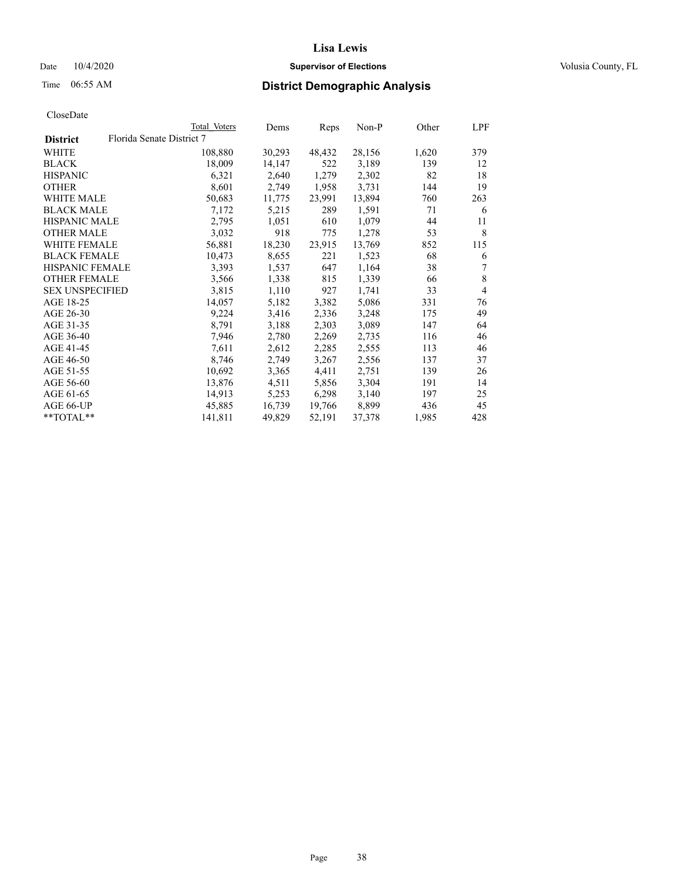## Date  $10/4/2020$  **Supervisor of Elections Supervisor of Elections** Volusia County, FL

# Time 06:55 AM **District Demographic Analysis**

|                        |                           | Total Voters | Dems   | Reps   | Non-P  | Other | LPF            |
|------------------------|---------------------------|--------------|--------|--------|--------|-------|----------------|
| <b>District</b>        | Florida Senate District 7 |              |        |        |        |       |                |
| WHITE                  |                           | 108,880      | 30,293 | 48,432 | 28,156 | 1,620 | 379            |
| <b>BLACK</b>           |                           | 18,009       | 14,147 | 522    | 3,189  | 139   | 12             |
| <b>HISPANIC</b>        |                           | 6,321        | 2,640  | 1,279  | 2,302  | 82    | 18             |
| <b>OTHER</b>           |                           | 8,601        | 2,749  | 1,958  | 3,731  | 144   | 19             |
| WHITE MALE             |                           | 50,683       | 11,775 | 23,991 | 13,894 | 760   | 263            |
| <b>BLACK MALE</b>      |                           | 7,172        | 5,215  | 289    | 1,591  | 71    | 6              |
| <b>HISPANIC MALE</b>   |                           | 2,795        | 1,051  | 610    | 1,079  | 44    | 11             |
| <b>OTHER MALE</b>      |                           | 3,032        | 918    | 775    | 1,278  | 53    | 8              |
| <b>WHITE FEMALE</b>    |                           | 56,881       | 18,230 | 23,915 | 13,769 | 852   | 115            |
| <b>BLACK FEMALE</b>    |                           | 10,473       | 8,655  | 221    | 1,523  | 68    | 6              |
| <b>HISPANIC FEMALE</b> |                           | 3,393        | 1,537  | 647    | 1,164  | 38    | 7              |
| <b>OTHER FEMALE</b>    |                           | 3,566        | 1,338  | 815    | 1,339  | 66    | 8              |
| <b>SEX UNSPECIFIED</b> |                           | 3,815        | 1,110  | 927    | 1,741  | 33    | $\overline{4}$ |
| AGE 18-25              |                           | 14,057       | 5,182  | 3,382  | 5,086  | 331   | 76             |
| AGE 26-30              |                           | 9,224        | 3,416  | 2,336  | 3,248  | 175   | 49             |
| AGE 31-35              |                           | 8,791        | 3,188  | 2,303  | 3,089  | 147   | 64             |
| AGE 36-40              |                           | 7,946        | 2,780  | 2,269  | 2,735  | 116   | 46             |
| AGE 41-45              |                           | 7,611        | 2,612  | 2,285  | 2,555  | 113   | 46             |
| AGE 46-50              |                           | 8,746        | 2,749  | 3,267  | 2,556  | 137   | 37             |
| AGE 51-55              |                           | 10,692       | 3,365  | 4,411  | 2,751  | 139   | 26             |
| AGE 56-60              |                           | 13,876       | 4,511  | 5,856  | 3,304  | 191   | 14             |
| AGE 61-65              |                           | 14,913       | 5,253  | 6,298  | 3,140  | 197   | 25             |
| AGE 66-UP              |                           | 45,885       | 16,739 | 19,766 | 8,899  | 436   | 45             |
| $*$ $TOTAL**$          |                           | 141,811      | 49,829 | 52,191 | 37,378 | 1,985 | 428            |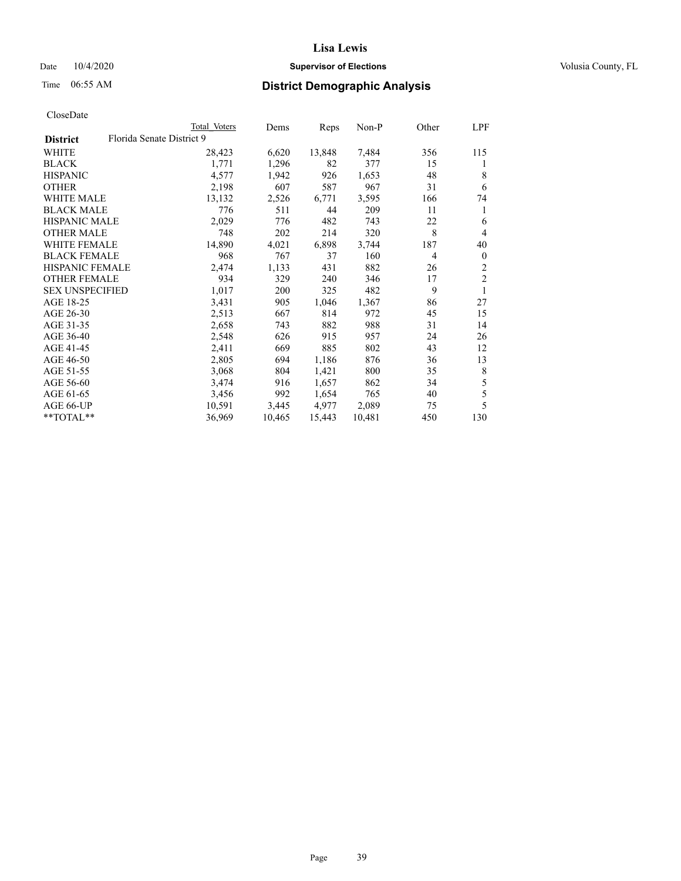## Date  $10/4/2020$  **Supervisor of Elections Supervisor of Elections** Volusia County, FL

# Time 06:55 AM **District Demographic Analysis**

|                        |                           | Total Voters | Dems   | Reps   | Non-P  | Other          | LPF            |
|------------------------|---------------------------|--------------|--------|--------|--------|----------------|----------------|
| <b>District</b>        | Florida Senate District 9 |              |        |        |        |                |                |
| WHITE                  |                           | 28,423       | 6,620  | 13,848 | 7,484  | 356            | 115            |
| <b>BLACK</b>           |                           | 1,771        | 1,296  | 82     | 377    | 15             | 1              |
| <b>HISPANIC</b>        |                           | 4,577        | 1,942  | 926    | 1,653  | 48             | 8              |
| <b>OTHER</b>           |                           | 2,198        | 607    | 587    | 967    | 31             | 6              |
| WHITE MALE             |                           | 13,132       | 2,526  | 6,771  | 3,595  | 166            | 74             |
| <b>BLACK MALE</b>      |                           | 776          | 511    | 44     | 209    | 11             | 1              |
| <b>HISPANIC MALE</b>   |                           | 2,029        | 776    | 482    | 743    | 22             | 6              |
| <b>OTHER MALE</b>      |                           | 748          | 202    | 214    | 320    | 8              | 4              |
| WHITE FEMALE           |                           | 14,890       | 4,021  | 6,898  | 3,744  | 187            | 40             |
| <b>BLACK FEMALE</b>    |                           | 968          | 767    | 37     | 160    | $\overline{4}$ | $\mathbf{0}$   |
| HISPANIC FEMALE        |                           | 2,474        | 1,133  | 431    | 882    | 26             | $\overline{2}$ |
| <b>OTHER FEMALE</b>    |                           | 934          | 329    | 240    | 346    | 17             | $\overline{c}$ |
| <b>SEX UNSPECIFIED</b> |                           | 1,017        | 200    | 325    | 482    | 9              |                |
| AGE 18-25              |                           | 3,431        | 905    | 1,046  | 1,367  | 86             | 27             |
| AGE 26-30              |                           | 2,513        | 667    | 814    | 972    | 45             | 15             |
| AGE 31-35              |                           | 2,658        | 743    | 882    | 988    | 31             | 14             |
| AGE 36-40              |                           | 2,548        | 626    | 915    | 957    | 24             | 26             |
| AGE 41-45              |                           | 2,411        | 669    | 885    | 802    | 43             | 12             |
| AGE 46-50              |                           | 2,805        | 694    | 1,186  | 876    | 36             | 13             |
| AGE 51-55              |                           | 3,068        | 804    | 1,421  | 800    | 35             | 8              |
| AGE 56-60              |                           | 3,474        | 916    | 1,657  | 862    | 34             | 5              |
| AGE 61-65              |                           | 3,456        | 992    | 1,654  | 765    | 40             | 5              |
| AGE 66-UP              |                           | 10,591       | 3,445  | 4,977  | 2,089  | 75             | 5              |
| **TOTAL**              |                           | 36,969       | 10,465 | 15,443 | 10,481 | 450            | 130            |
|                        |                           |              |        |        |        |                |                |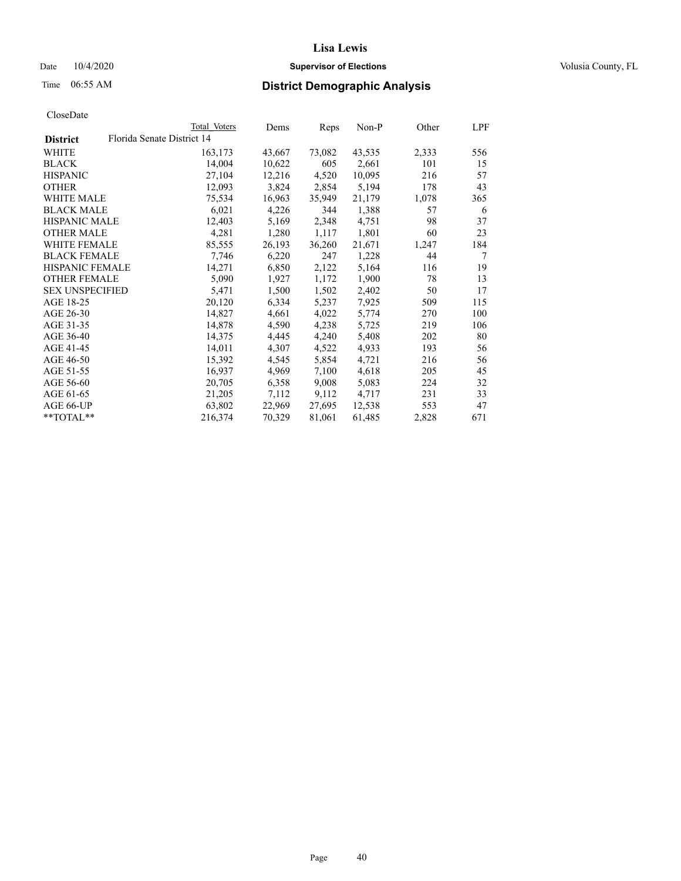## Date  $10/4/2020$  **Supervisor of Elections Supervisor of Elections** Volusia County, FL

|                        | Total Voters               | Dems   | Reps   | Non-P  | Other | LPF |
|------------------------|----------------------------|--------|--------|--------|-------|-----|
| <b>District</b>        | Florida Senate District 14 |        |        |        |       |     |
| WHITE                  | 163,173                    | 43,667 | 73,082 | 43,535 | 2,333 | 556 |
| <b>BLACK</b>           | 14,004                     | 10,622 | 605    | 2,661  | 101   | 15  |
| <b>HISPANIC</b>        | 27,104                     | 12,216 | 4,520  | 10,095 | 216   | 57  |
| <b>OTHER</b>           | 12,093                     | 3,824  | 2,854  | 5,194  | 178   | 43  |
| WHITE MALE             | 75,534                     | 16,963 | 35,949 | 21,179 | 1,078 | 365 |
| <b>BLACK MALE</b>      | 6,021                      | 4,226  | 344    | 1,388  | 57    | 6   |
| <b>HISPANIC MALE</b>   | 12,403                     | 5,169  | 2,348  | 4,751  | 98    | 37  |
| <b>OTHER MALE</b>      | 4,281                      | 1,280  | 1,117  | 1,801  | 60    | 23  |
| <b>WHITE FEMALE</b>    | 85,555                     | 26,193 | 36,260 | 21,671 | 1,247 | 184 |
| <b>BLACK FEMALE</b>    | 7,746                      | 6,220  | 247    | 1,228  | 44    | 7   |
| <b>HISPANIC FEMALE</b> | 14,271                     | 6,850  | 2,122  | 5,164  | 116   | 19  |
| <b>OTHER FEMALE</b>    | 5,090                      | 1,927  | 1,172  | 1,900  | 78    | 13  |
| <b>SEX UNSPECIFIED</b> | 5,471                      | 1,500  | 1,502  | 2,402  | 50    | 17  |
| AGE 18-25              | 20,120                     | 6,334  | 5,237  | 7,925  | 509   | 115 |
| AGE 26-30              | 14,827                     | 4,661  | 4,022  | 5,774  | 270   | 100 |
| AGE 31-35              | 14,878                     | 4,590  | 4,238  | 5,725  | 219   | 106 |
| AGE 36-40              | 14,375                     | 4,445  | 4,240  | 5,408  | 202   | 80  |
| AGE 41-45              | 14,011                     | 4,307  | 4,522  | 4,933  | 193   | 56  |
| AGE 46-50              | 15,392                     | 4,545  | 5,854  | 4,721  | 216   | 56  |
| AGE 51-55              | 16,937                     | 4,969  | 7,100  | 4,618  | 205   | 45  |
| AGE 56-60              | 20,705                     | 6,358  | 9,008  | 5,083  | 224   | 32  |
| AGE 61-65              | 21,205                     | 7,112  | 9,112  | 4,717  | 231   | 33  |
| AGE 66-UP              | 63,802                     | 22,969 | 27,695 | 12,538 | 553   | 47  |
| **TOTAL**              | 216,374                    | 70,329 | 81,061 | 61,485 | 2,828 | 671 |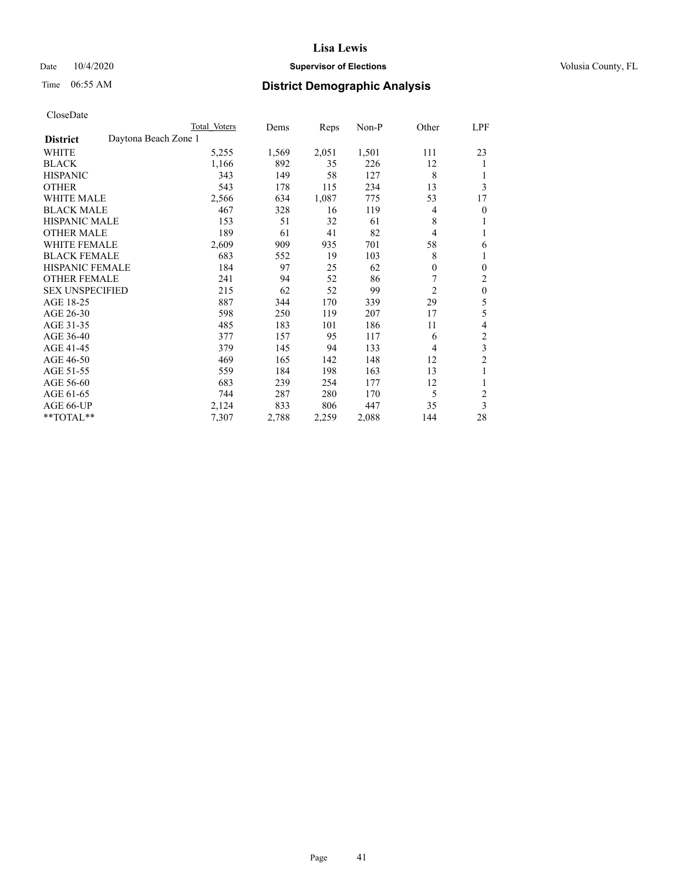## Date  $10/4/2020$  **Supervisor of Elections Supervisor of Elections** Volusia County, FL

# Time 06:55 AM **District Demographic Analysis**

|                                         | Total Voters | Dems  | Reps  | $Non-P$ | Other        | LPF            |
|-----------------------------------------|--------------|-------|-------|---------|--------------|----------------|
| Daytona Beach Zone 1<br><b>District</b> |              |       |       |         |              |                |
| WHITE                                   | 5,255        | 1,569 | 2,051 | 1,501   | 111          | 23             |
| <b>BLACK</b>                            | 1,166        | 892   | 35    | 226     | 12           | 1              |
| <b>HISPANIC</b>                         | 343          | 149   | 58    | 127     | 8            |                |
| <b>OTHER</b>                            | 543          | 178   | 115   | 234     | 13           | 3              |
| <b>WHITE MALE</b>                       | 2,566        | 634   | 1,087 | 775     | 53           | 17             |
| <b>BLACK MALE</b>                       | 467          | 328   | 16    | 119     | 4            | 0              |
| <b>HISPANIC MALE</b>                    | 153          | 51    | 32    | 61      | 8            | 1              |
| <b>OTHER MALE</b>                       | 189          | 61    | 41    | 82      | 4            | 1              |
| <b>WHITE FEMALE</b>                     | 2,609        | 909   | 935   | 701     | 58           | 6              |
| <b>BLACK FEMALE</b>                     | 683          | 552   | 19    | 103     | 8            | 1              |
| <b>HISPANIC FEMALE</b>                  | 184          | 97    | 25    | 62      | $\mathbf{0}$ | $\theta$       |
| <b>OTHER FEMALE</b>                     | 241          | 94    | 52    | 86      | 7            | 2              |
| <b>SEX UNSPECIFIED</b>                  | 215          | 62    | 52    | 99      | 2            | $\mathbf{0}$   |
| AGE 18-25                               | 887          | 344   | 170   | 339     | 29           | 5              |
| AGE 26-30                               | 598          | 250   | 119   | 207     | 17           | 5              |
| AGE 31-35                               | 485          | 183   | 101   | 186     | 11           | 4              |
| AGE 36-40                               | 377          | 157   | 95    | 117     | 6            | $\overline{2}$ |
| AGE 41-45                               | 379          | 145   | 94    | 133     | 4            | 3              |
| AGE 46-50                               | 469          | 165   | 142   | 148     | 12           | $\overline{c}$ |
| AGE 51-55                               | 559          | 184   | 198   | 163     | 13           | 1              |
| AGE 56-60                               | 683          | 239   | 254   | 177     | 12           | 1              |
| AGE 61-65                               | 744          | 287   | 280   | 170     | 5            | $\overline{c}$ |
| AGE 66-UP                               | 2,124        | 833   | 806   | 447     | 35           | 3              |
| **TOTAL**                               | 7,307        | 2,788 | 2,259 | 2,088   | 144          | 28             |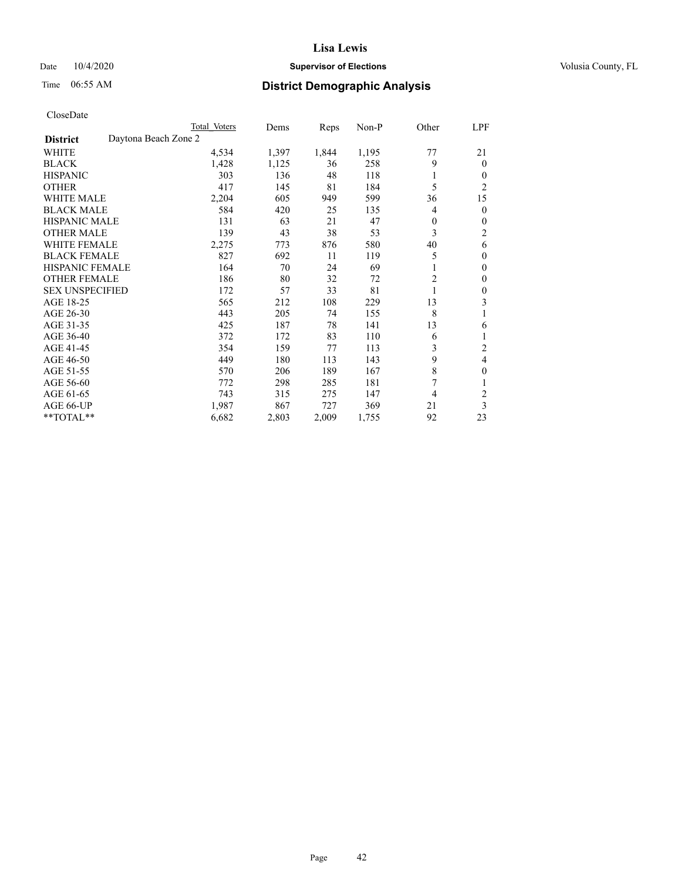### Date  $10/4/2020$  **Supervisor of Elections** Volusia County, FL

# Time 06:55 AM **District Demographic Analysis**

| Total Voters | Dems                 | Reps  | $Non-P$ | Other          | LPF            |
|--------------|----------------------|-------|---------|----------------|----------------|
|              |                      |       |         |                |                |
| 4,534        | 1,397                | 1,844 | 1,195   | 77             | 21             |
| 1,428        | 1,125                | 36    | 258     | 9              | $\Omega$       |
| 303          | 136                  | 48    | 118     | 1              | 0              |
| 417          | 145                  | 81    | 184     | 5              | $\overline{c}$ |
| 2,204        | 605                  | 949   | 599     | 36             | 15             |
| 584          | 420                  | 25    | 135     | 4              | 0              |
| 131          | 63                   | 21    | 47      | 0              | 0              |
| 139          | 43                   | 38    | 53      | 3              | 2              |
| 2,275        | 773                  | 876   | 580     | 40             | 6              |
| 827          | 692                  | 11    | 119     | 5              | 0              |
| 164          | 70                   | 24    | 69      | 1              | 0              |
| 186          | 80                   | 32    | 72      | $\overline{c}$ | 0              |
| 172          | 57                   | 33    | 81      | 1              | 0              |
| 565          | 212                  | 108   | 229     | 13             | 3              |
| 443          | 205                  | 74    | 155     | 8              | 1              |
| 425          | 187                  | 78    | 141     | 13             | 6              |
| 372          | 172                  | 83    | 110     | 6              |                |
| 354          | 159                  | 77    | 113     | 3              | 2              |
| 449          | 180                  | 113   | 143     |                | 4              |
| 570          | 206                  | 189   | 167     | 8              | 0              |
| 772          | 298                  | 285   | 181     | 7              |                |
| 743          | 315                  | 275   | 147     | 4              | $\overline{c}$ |
| 1,987        | 867                  | 727   | 369     | 21             | 3              |
| 6,682        | 2,803                | 2,009 | 1,755   | 92             | 23             |
|              | Daytona Beach Zone 2 |       |         |                | 9              |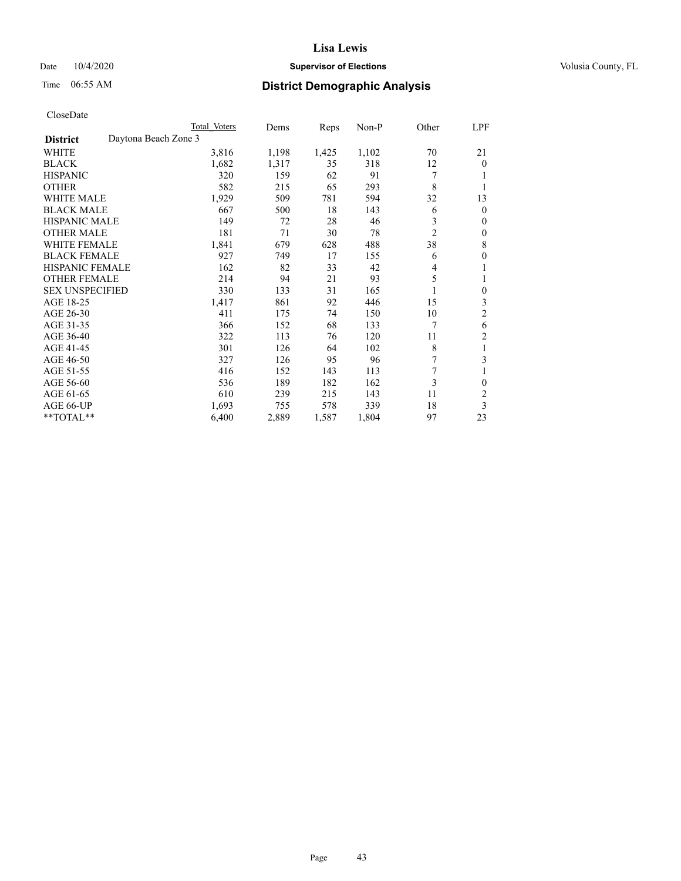## Date  $10/4/2020$  **Supervisor of Elections Supervisor of Elections** Volusia County, FL

# Time 06:55 AM **District Demographic Analysis**

|                        |                      | Total Voters | Dems  | Reps  | Non-P | Other          | LPF            |
|------------------------|----------------------|--------------|-------|-------|-------|----------------|----------------|
| <b>District</b>        | Daytona Beach Zone 3 |              |       |       |       |                |                |
| WHITE                  |                      | 3,816        | 1,198 | 1,425 | 1,102 | 70             | 21             |
| <b>BLACK</b>           |                      | 1,682        | 1,317 | 35    | 318   | 12             | $\overline{0}$ |
| <b>HISPANIC</b>        |                      | 320          | 159   | 62    | 91    | 7              |                |
| <b>OTHER</b>           |                      | 582          | 215   | 65    | 293   | 8              | 1              |
| WHITE MALE             |                      | 1,929        | 509   | 781   | 594   | 32             | 13             |
| <b>BLACK MALE</b>      |                      | 667          | 500   | 18    | 143   | 6              | $\theta$       |
| <b>HISPANIC MALE</b>   |                      | 149          | 72    | 28    | 46    | 3              | $\mathbf{0}$   |
| <b>OTHER MALE</b>      |                      | 181          | 71    | 30    | 78    | $\overline{2}$ | $\mathbf{0}$   |
| WHITE FEMALE           |                      | 1,841        | 679   | 628   | 488   | 38             | 8              |
| <b>BLACK FEMALE</b>    |                      | 927          | 749   | 17    | 155   | 6              | $\theta$       |
| <b>HISPANIC FEMALE</b> |                      | 162          | 82    | 33    | 42    | 4              | 1              |
| <b>OTHER FEMALE</b>    |                      | 214          | 94    | 21    | 93    | 5              | 1              |
| <b>SEX UNSPECIFIED</b> |                      | 330          | 133   | 31    | 165   |                | $\mathbf{0}$   |
| AGE 18-25              |                      | 1,417        | 861   | 92    | 446   | 15             | 3              |
| AGE 26-30              |                      | 411          | 175   | 74    | 150   | 10             | $\overline{2}$ |
| AGE 31-35              |                      | 366          | 152   | 68    | 133   | 7              | 6              |
| AGE 36-40              |                      | 322          | 113   | 76    | 120   | 11             | $\overline{2}$ |
| AGE 41-45              |                      | 301          | 126   | 64    | 102   | 8              | 1              |
| AGE 46-50              |                      | 327          | 126   | 95    | 96    | 7              | 3              |
| AGE 51-55              |                      | 416          | 152   | 143   | 113   | 7              | 1              |
| AGE 56-60              |                      | 536          | 189   | 182   | 162   | 3              | $\theta$       |
| AGE 61-65              |                      | 610          | 239   | 215   | 143   | 11             | 2              |
| AGE 66-UP              |                      | 1,693        | 755   | 578   | 339   | 18             | 3              |
| $*$ TOTAL $**$         |                      | 6,400        | 2,889 | 1,587 | 1,804 | 97             | 23             |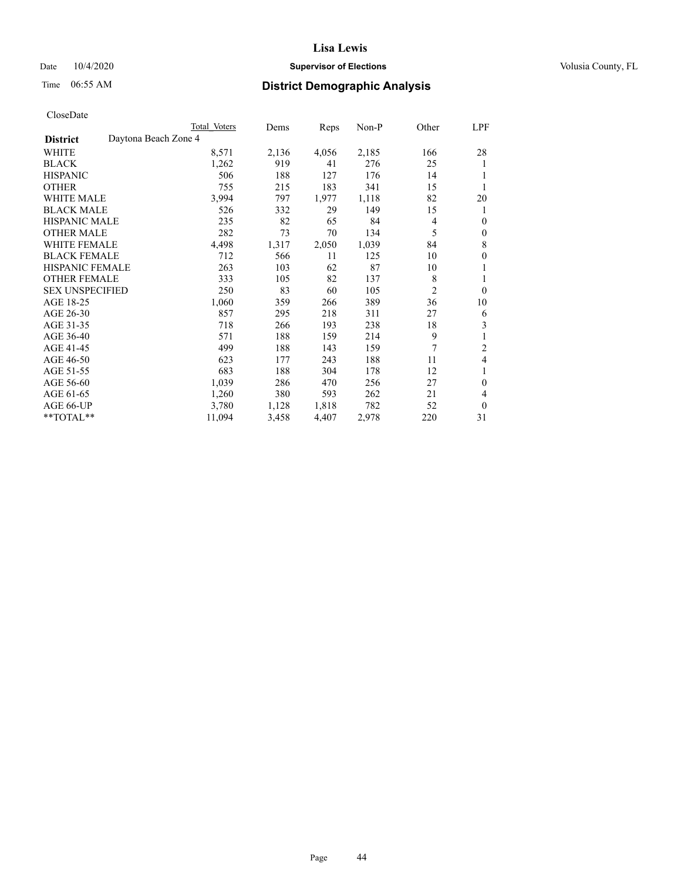## Date  $10/4/2020$  **Supervisor of Elections Supervisor of Elections** Volusia County, FL

| CloseDate |
|-----------|
|-----------|

|                        | Total Voters         | Dems  | Reps  | Non-P | Other          | LPF          |
|------------------------|----------------------|-------|-------|-------|----------------|--------------|
| <b>District</b>        | Daytona Beach Zone 4 |       |       |       |                |              |
| WHITE                  | 8,571                | 2,136 | 4,056 | 2,185 | 166            | 28           |
| <b>BLACK</b>           | 1,262                | 919   | 41    | 276   | 25             | 1            |
| <b>HISPANIC</b>        | 506                  | 188   | 127   | 176   | 14             | 1            |
| <b>OTHER</b>           | 755                  | 215   | 183   | 341   | 15             | 1            |
| <b>WHITE MALE</b>      | 3,994                | 797   | 1,977 | 1,118 | 82             | 20           |
| <b>BLACK MALE</b>      | 526                  | 332   | 29    | 149   | 15             | 1            |
| <b>HISPANIC MALE</b>   | 235                  | 82    | 65    | 84    | 4              | $\theta$     |
| <b>OTHER MALE</b>      | 282                  | 73    | 70    | 134   | 5              | 0            |
| <b>WHITE FEMALE</b>    | 4,498                | 1,317 | 2,050 | 1,039 | 84             | $\,$ 8 $\,$  |
| <b>BLACK FEMALE</b>    | 712                  | 566   | 11    | 125   | 10             | $\theta$     |
| <b>HISPANIC FEMALE</b> | 263                  | 103   | 62    | 87    | 10             | 1            |
| <b>OTHER FEMALE</b>    | 333                  | 105   | 82    | 137   | 8              | 1            |
| <b>SEX UNSPECIFIED</b> | 250                  | 83    | 60    | 105   | $\overline{c}$ | $\theta$     |
| AGE 18-25              | 1,060                | 359   | 266   | 389   | 36             | 10           |
| AGE 26-30              | 857                  | 295   | 218   | 311   | 27             | 6            |
| AGE 31-35              | 718                  | 266   | 193   | 238   | 18             | 3            |
| AGE 36-40              | 571                  | 188   | 159   | 214   | 9              |              |
| AGE 41-45              | 499                  | 188   | 143   | 159   | 7              | 2            |
| AGE 46-50              | 623                  | 177   | 243   | 188   | 11             | 4            |
| AGE 51-55              | 683                  | 188   | 304   | 178   | 12             | 1            |
| AGE 56-60              | 1,039                | 286   | 470   | 256   | 27             | $\theta$     |
| AGE 61-65              | 1,260                | 380   | 593   | 262   | 21             | 4            |
| AGE 66-UP              | 3,780                | 1,128 | 1,818 | 782   | 52             | $\mathbf{0}$ |
| **TOTAL**              | 11,094               | 3,458 | 4,407 | 2,978 | 220            | 31           |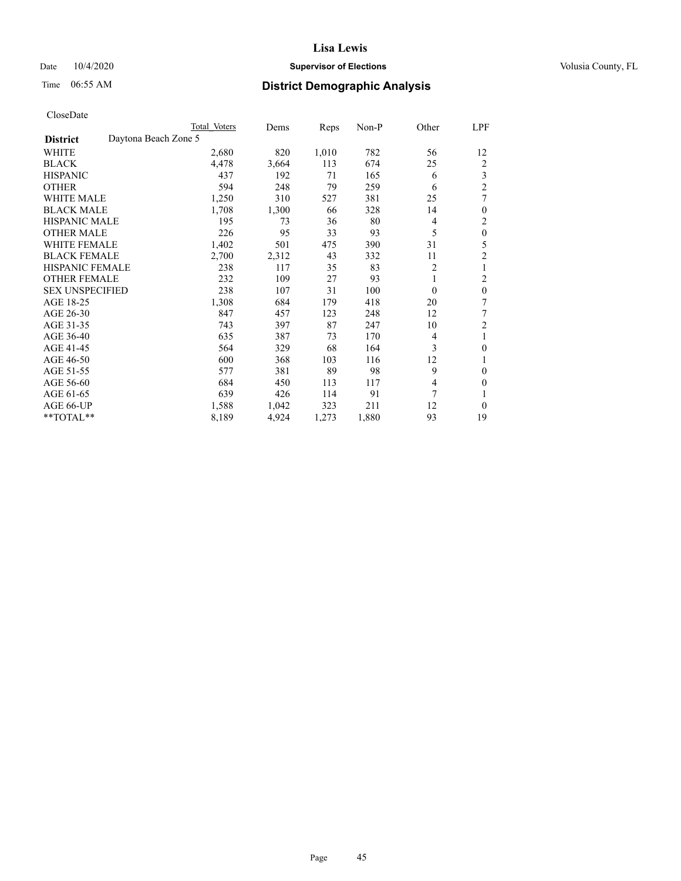## Date  $10/4/2020$  **Supervisor of Elections Supervisor of Elections** Volusia County, FL

# Time 06:55 AM **District Demographic Analysis**

|                        |                      | Total Voters | Dems  | Reps  | Non-P | Other    | LPF              |
|------------------------|----------------------|--------------|-------|-------|-------|----------|------------------|
| <b>District</b>        | Daytona Beach Zone 5 |              |       |       |       |          |                  |
| WHITE                  |                      | 2,680        | 820   | 1,010 | 782   | 56       | 12               |
| <b>BLACK</b>           |                      | 4,478        | 3,664 | 113   | 674   | 25       | 2                |
| <b>HISPANIC</b>        |                      | 437          | 192   | 71    | 165   | 6        | 3                |
| <b>OTHER</b>           |                      | 594          | 248   | 79    | 259   | 6        | $\overline{2}$   |
| WHITE MALE             |                      | 1,250        | 310   | 527   | 381   | 25       | 7                |
| <b>BLACK MALE</b>      |                      | 1,708        | 1,300 | 66    | 328   | 14       | $\mathbf{0}$     |
| <b>HISPANIC MALE</b>   |                      | 195          | 73    | 36    | 80    | 4        | 2                |
| <b>OTHER MALE</b>      |                      | 226          | 95    | 33    | 93    | 5        | $\boldsymbol{0}$ |
| WHITE FEMALE           |                      | 1,402        | 501   | 475   | 390   | 31       | 5                |
| <b>BLACK FEMALE</b>    |                      | 2,700        | 2,312 | 43    | 332   | 11       | $\overline{c}$   |
| HISPANIC FEMALE        |                      | 238          | 117   | 35    | 83    | 2        | 1                |
| <b>OTHER FEMALE</b>    |                      | 232          | 109   | 27    | 93    | 1        | $\overline{2}$   |
| <b>SEX UNSPECIFIED</b> |                      | 238          | 107   | 31    | 100   | $\theta$ | $\mathbf{0}$     |
| AGE 18-25              |                      | 1,308        | 684   | 179   | 418   | 20       | 7                |
| AGE 26-30              |                      | 847          | 457   | 123   | 248   | 12       | 7                |
| AGE 31-35              |                      | 743          | 397   | 87    | 247   | 10       | $\overline{2}$   |
| AGE 36-40              |                      | 635          | 387   | 73    | 170   | 4        | 1                |
| AGE 41-45              |                      | 564          | 329   | 68    | 164   | 3        | $\theta$         |
| AGE 46-50              |                      | 600          | 368   | 103   | 116   | 12       | 1                |
| AGE 51-55              |                      | 577          | 381   | 89    | 98    | 9        | $\mathbf{0}$     |
| AGE 56-60              |                      | 684          | 450   | 113   | 117   | 4        | $\theta$         |
| AGE 61-65              |                      | 639          | 426   | 114   | 91    | 7        | 1                |
| AGE 66-UP              |                      | 1,588        | 1,042 | 323   | 211   | 12       | $\theta$         |
| **TOTAL**              |                      | 8,189        | 4,924 | 1,273 | 1,880 | 93       | 19               |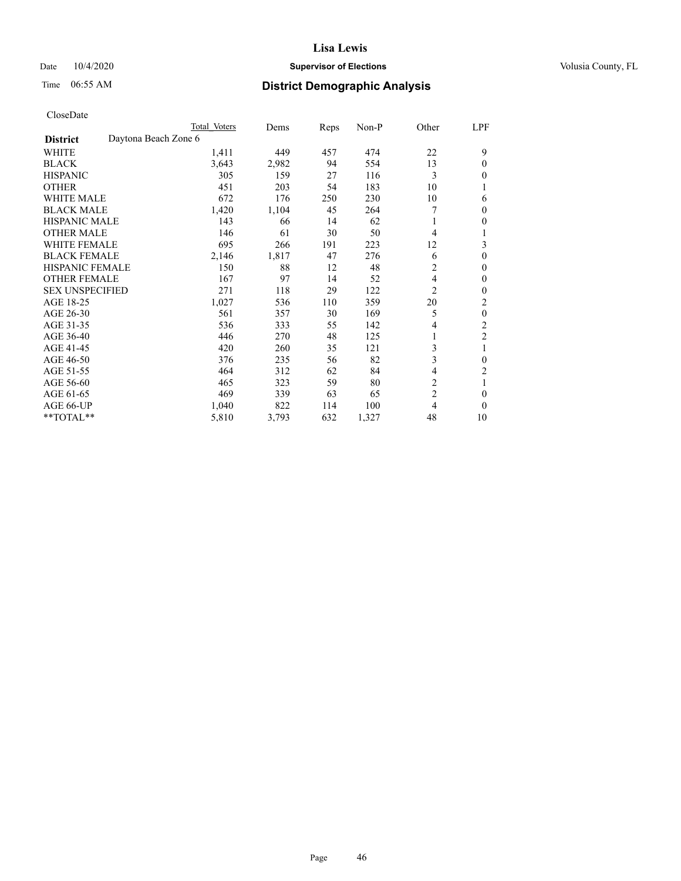## Date  $10/4/2020$  **Supervisor of Elections Supervisor of Elections** Volusia County, FL

| CloseDate |
|-----------|
|-----------|

|                                         | Total Voters | Dems  | Reps | Non-P | Other          | LPF              |
|-----------------------------------------|--------------|-------|------|-------|----------------|------------------|
| Daytona Beach Zone 6<br><b>District</b> |              |       |      |       |                |                  |
| WHITE                                   | 1,411        | 449   | 457  | 474   | 22             | 9                |
| <b>BLACK</b>                            | 3,643        | 2,982 | 94   | 554   | 13             | 0                |
| <b>HISPANIC</b>                         | 305          | 159   | 27   | 116   | 3              | 0                |
| <b>OTHER</b>                            | 451          | 203   | 54   | 183   | 10             | 1                |
| WHITE MALE                              | 672          | 176   | 250  | 230   | 10             | 6                |
| <b>BLACK MALE</b>                       | 1,420        | 1,104 | 45   | 264   | 7              | 0                |
| <b>HISPANIC MALE</b>                    | 143          | 66    | 14   | 62    |                | 0                |
| <b>OTHER MALE</b>                       | 146          | 61    | 30   | 50    | 4              | l                |
| <b>WHITE FEMALE</b>                     | 695          | 266   | 191  | 223   | 12             | 3                |
| <b>BLACK FEMALE</b>                     | 2,146        | 1,817 | 47   | 276   | 6              | 0                |
| <b>HISPANIC FEMALE</b>                  | 150          | 88    | 12   | 48    | $\overline{c}$ | 0                |
| <b>OTHER FEMALE</b>                     | 167          | 97    | 14   | 52    | 4              | 0                |
| <b>SEX UNSPECIFIED</b>                  | 271          | 118   | 29   | 122   | $\overline{2}$ | 0                |
| AGE 18-25                               | 1,027        | 536   | 110  | 359   | 20             | 2                |
| AGE 26-30                               | 561          | 357   | 30   | 169   | 5              | $\boldsymbol{0}$ |
| AGE 31-35                               | 536          | 333   | 55   | 142   | 4              | 2                |
| AGE 36-40                               | 446          | 270   | 48   | 125   |                | 2                |
| AGE 41-45                               | 420          | 260   | 35   | 121   | 3              | 1                |
| AGE 46-50                               | 376          | 235   | 56   | 82    | 3              | 0                |
| AGE 51-55                               | 464          | 312   | 62   | 84    | 4              | $\overline{2}$   |
| AGE 56-60                               | 465          | 323   | 59   | 80    | 2              | 1                |
| AGE 61-65                               | 469          | 339   | 63   | 65    | $\overline{2}$ | 0                |
| AGE 66-UP                               | 1,040        | 822   | 114  | 100   | 4              | 0                |
| **TOTAL**                               | 5,810        | 3,793 | 632  | 1,327 | 48             | 10               |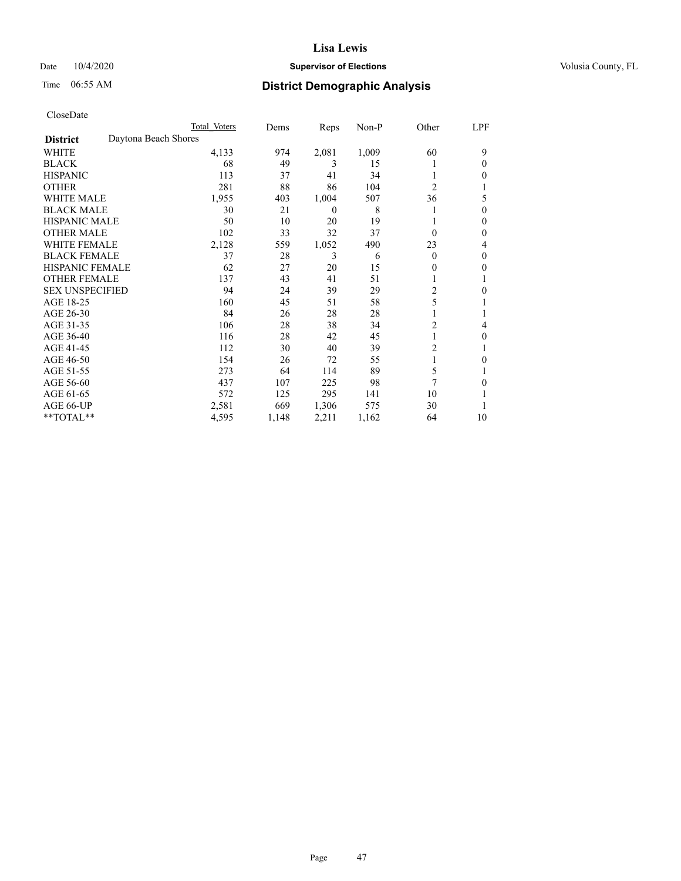## Date  $10/4/2020$  **Supervisor of Elections Supervisor of Elections** Volusia County, FL

| CloseDate |
|-----------|
|-----------|

|                        |                      | Total Voters | Dems  | Reps           | $Non-P$ | Other          | LPF |
|------------------------|----------------------|--------------|-------|----------------|---------|----------------|-----|
| <b>District</b>        | Daytona Beach Shores |              |       |                |         |                |     |
| WHITE                  |                      | 4,133        | 974   | 2,081          | 1,009   | 60             | 9   |
| <b>BLACK</b>           |                      | 68           | 49    | 3              | 15      |                | 0   |
| <b>HISPANIC</b>        |                      | 113          | 37    | 41             | 34      |                | 0   |
| <b>OTHER</b>           |                      | 281          | 88    | 86             | 104     | $\overline{c}$ |     |
| <b>WHITE MALE</b>      |                      | 1,955        | 403   | 1,004          | 507     | 36             | 5   |
| <b>BLACK MALE</b>      |                      | 30           | 21    | $\overline{0}$ | 8       | 1              | 0   |
| <b>HISPANIC MALE</b>   |                      | 50           | 10    | 20             | 19      |                | 0   |
| <b>OTHER MALE</b>      |                      | 102          | 33    | 32             | 37      | $\Omega$       | 0   |
| <b>WHITE FEMALE</b>    |                      | 2,128        | 559   | 1,052          | 490     | 23             | 4   |
| <b>BLACK FEMALE</b>    |                      | 37           | 28    | 3              | 6       | $\theta$       | 0   |
| <b>HISPANIC FEMALE</b> |                      | 62           | 27    | 20             | 15      | $\theta$       | 0   |
| <b>OTHER FEMALE</b>    |                      | 137          | 43    | 41             | 51      | 1              |     |
| <b>SEX UNSPECIFIED</b> |                      | 94           | 24    | 39             | 29      | 2              | 0   |
| AGE 18-25              |                      | 160          | 45    | 51             | 58      | 5              |     |
| AGE 26-30              |                      | 84           | 26    | 28             | 28      | 1              |     |
| AGE 31-35              |                      | 106          | 28    | 38             | 34      | $\overline{c}$ | 4   |
| AGE 36-40              |                      | 116          | 28    | 42             | 45      | 1              | 0   |
| AGE 41-45              |                      | 112          | 30    | 40             | 39      | 2              | 1   |
| AGE 46-50              |                      | 154          | 26    | 72             | 55      | 1              | 0   |
| AGE 51-55              |                      | 273          | 64    | 114            | 89      | 5              |     |
| AGE 56-60              |                      | 437          | 107   | 225            | 98      | 7              | 0   |
| AGE 61-65              |                      | 572          | 125   | 295            | 141     | 10             |     |
| AGE 66-UP              |                      | 2,581        | 669   | 1,306          | 575     | 30             |     |
| **TOTAL**              |                      | 4,595        | 1,148 | 2,211          | 1,162   | 64             | 10  |
|                        |                      |              |       |                |         |                |     |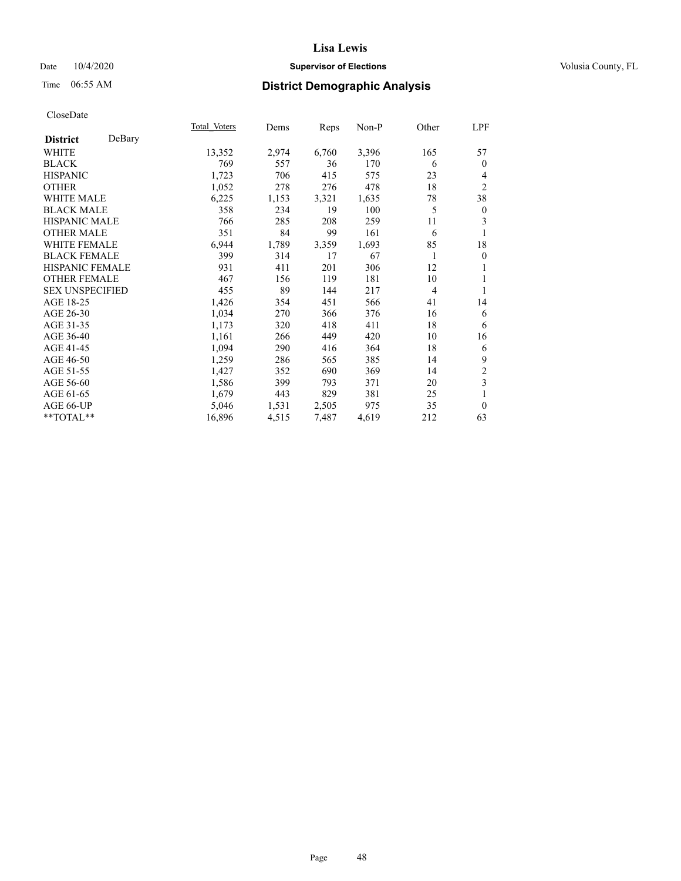## Date  $10/4/2020$  **Supervisor of Elections Supervisor of Elections** Volusia County, FL

# Time 06:55 AM **District Demographic Analysis**

|                           | Total Voters | Dems  | Reps  | Non-P | Other          | LPF              |
|---------------------------|--------------|-------|-------|-------|----------------|------------------|
| DeBary<br><b>District</b> |              |       |       |       |                |                  |
| WHITE                     | 13,352       | 2,974 | 6,760 | 3,396 | 165            | 57               |
| <b>BLACK</b>              | 769          | 557   | 36    | 170   | 6              | $\mathbf{0}$     |
| <b>HISPANIC</b>           | 1,723        | 706   | 415   | 575   | 23             | $\overline{4}$   |
| <b>OTHER</b>              | 1,052        | 278   | 276   | 478   | 18             | $\mathfrak{2}$   |
| WHITE MALE                | 6,225        | 1,153 | 3,321 | 1,635 | 78             | 38               |
| <b>BLACK MALE</b>         | 358          | 234   | 19    | 100   | 5              | $\boldsymbol{0}$ |
| <b>HISPANIC MALE</b>      | 766          | 285   | 208   | 259   | 11             | 3                |
| <b>OTHER MALE</b>         | 351          | 84    | 99    | 161   | 6              |                  |
| <b>WHITE FEMALE</b>       | 6,944        | 1,789 | 3,359 | 1,693 | 85             | 18               |
| <b>BLACK FEMALE</b>       | 399          | 314   | 17    | 67    | 1              | $\theta$         |
| <b>HISPANIC FEMALE</b>    | 931          | 411   | 201   | 306   | 12             | 1                |
| <b>OTHER FEMALE</b>       | 467          | 156   | 119   | 181   | 10             | 1                |
| <b>SEX UNSPECIFIED</b>    | 455          | 89    | 144   | 217   | $\overline{4}$ | 1                |
| AGE 18-25                 | 1,426        | 354   | 451   | 566   | 41             | 14               |
| AGE 26-30                 | 1,034        | 270   | 366   | 376   | 16             | 6                |
| AGE 31-35                 | 1,173        | 320   | 418   | 411   | 18             | 6                |
| AGE 36-40                 | 1,161        | 266   | 449   | 420   | 10             | 16               |
| AGE 41-45                 | 1,094        | 290   | 416   | 364   | 18             | 6                |
| AGE 46-50                 | 1,259        | 286   | 565   | 385   | 14             | 9                |
| AGE 51-55                 | 1,427        | 352   | 690   | 369   | 14             | $\sqrt{2}$       |
| AGE 56-60                 | 1,586        | 399   | 793   | 371   | 20             | 3                |
| AGE 61-65                 | 1,679        | 443   | 829   | 381   | 25             | 1                |
| AGE 66-UP                 | 5,046        | 1,531 | 2,505 | 975   | 35             | $\mathbf{0}$     |
| **TOTAL**                 | 16,896       | 4,515 | 7,487 | 4,619 | 212            | 63               |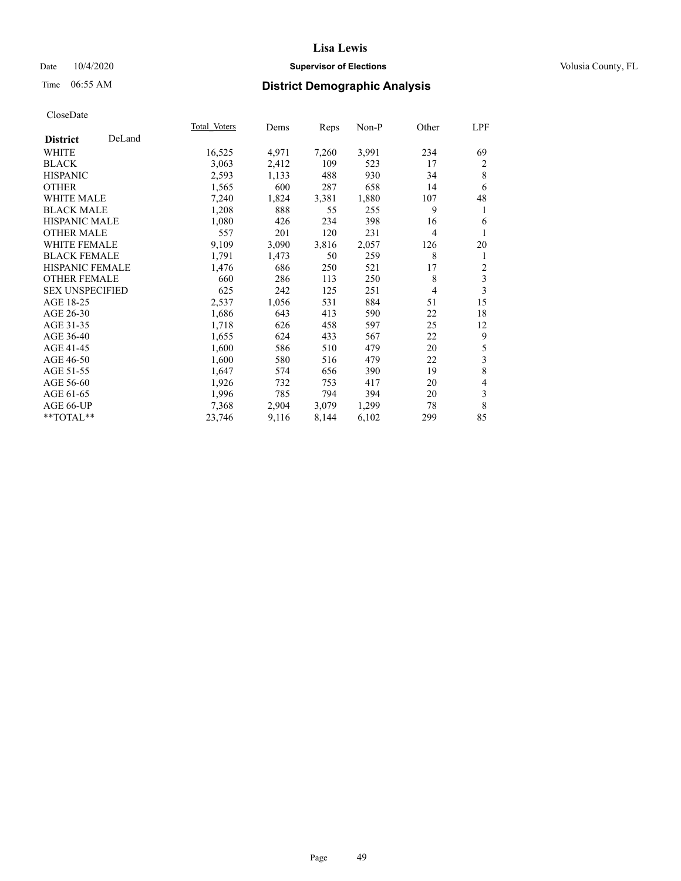## Date  $10/4/2020$  **Supervisor of Elections Supervisor of Elections** Volusia County, FL

# Time 06:55 AM **District Demographic Analysis**

|                           | Total Voters | Dems  | Reps  | Non-P | Other          | LPF   |
|---------------------------|--------------|-------|-------|-------|----------------|-------|
| DeLand<br><b>District</b> |              |       |       |       |                |       |
| WHITE                     | 16,525       | 4,971 | 7,260 | 3,991 | 234            | 69    |
| <b>BLACK</b>              | 3,063        | 2,412 | 109   | 523   | 17             | 2     |
| <b>HISPANIC</b>           | 2,593        | 1,133 | 488   | 930   | 34             | 8     |
| <b>OTHER</b>              | 1,565        | 600   | 287   | 658   | 14             | 6     |
| WHITE MALE                | 7,240        | 1,824 | 3,381 | 1,880 | 107            | 48    |
| <b>BLACK MALE</b>         | 1,208        | 888   | 55    | 255   | 9              | 1     |
| <b>HISPANIC MALE</b>      | 1,080        | 426   | 234   | 398   | 16             | 6     |
| <b>OTHER MALE</b>         | 557          | 201   | 120   | 231   | $\overline{4}$ | 1     |
| WHITE FEMALE              | 9,109        | 3,090 | 3,816 | 2,057 | 126            | 20    |
| <b>BLACK FEMALE</b>       | 1,791        | 1,473 | 50    | 259   | 8              | 1     |
| <b>HISPANIC FEMALE</b>    | 1,476        | 686   | 250   | 521   | 17             | 2     |
| <b>OTHER FEMALE</b>       | 660          | 286   | 113   | 250   | 8              | 3     |
| <b>SEX UNSPECIFIED</b>    | 625          | 242   | 125   | 251   | 4              | 3     |
| AGE 18-25                 | 2,537        | 1,056 | 531   | 884   | 51             | 15    |
| AGE 26-30                 | 1,686        | 643   | 413   | 590   | 22             | 18    |
| AGE 31-35                 | 1,718        | 626   | 458   | 597   | 25             | 12    |
| AGE 36-40                 | 1,655        | 624   | 433   | 567   | 22             | 9     |
| AGE 41-45                 | 1,600        | 586   | 510   | 479   | 20             | 5     |
| AGE 46-50                 | 1,600        | 580   | 516   | 479   | 22             | 3     |
| AGE 51-55                 | 1,647        | 574   | 656   | 390   | 19             | $\,8$ |
| AGE 56-60                 | 1,926        | 732   | 753   | 417   | 20             | 4     |
| AGE 61-65                 | 1,996        | 785   | 794   | 394   | 20             | 3     |
| AGE 66-UP                 | 7,368        | 2,904 | 3,079 | 1,299 | 78             | 8     |
| $*$ TOTAL $*$             | 23,746       | 9,116 | 8,144 | 6,102 | 299            | 85    |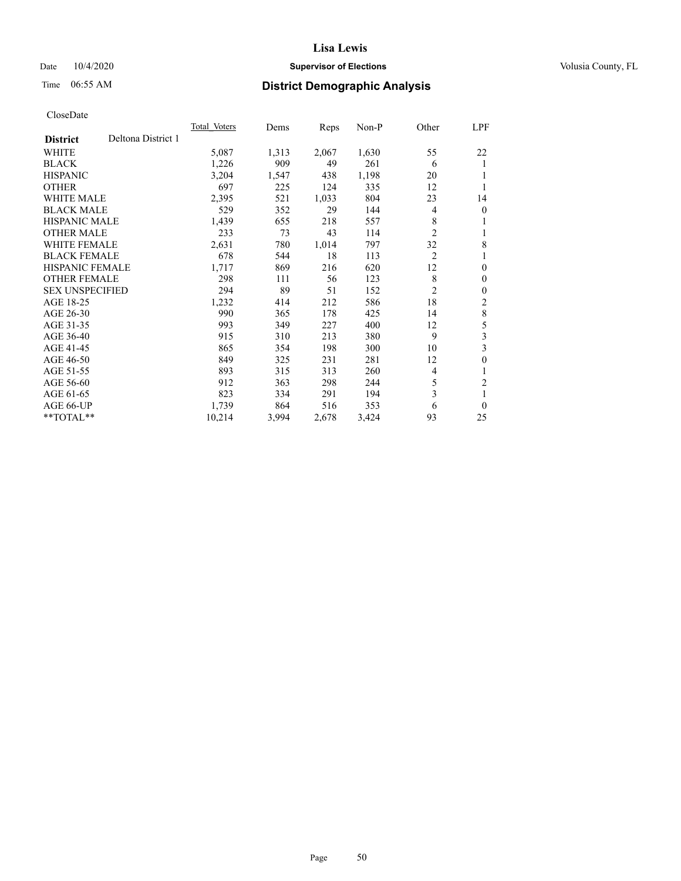## Date  $10/4/2020$  **Supervisor of Elections Supervisor of Elections** Volusia County, FL

# Time 06:55 AM **District Demographic Analysis**

|                        |                    | Total Voters | Dems  | Reps  | $Non-P$ | Other          | <u>LPF</u>              |
|------------------------|--------------------|--------------|-------|-------|---------|----------------|-------------------------|
| <b>District</b>        | Deltona District 1 |              |       |       |         |                |                         |
| WHITE                  |                    | 5,087        | 1,313 | 2,067 | 1,630   | 55             | 22                      |
| <b>BLACK</b>           |                    | 1,226        | 909   | 49    | 261     | 6              | 1                       |
| <b>HISPANIC</b>        |                    | 3,204        | 1,547 | 438   | 1,198   | 20             | 1                       |
| <b>OTHER</b>           |                    | 697          | 225   | 124   | 335     | 12             | 1                       |
| <b>WHITE MALE</b>      |                    | 2,395        | 521   | 1,033 | 804     | 23             | 14                      |
| <b>BLACK MALE</b>      |                    | 529          | 352   | 29    | 144     | 4              | $\mathbf{0}$            |
| <b>HISPANIC MALE</b>   |                    | 1,439        | 655   | 218   | 557     | 8              | 1                       |
| <b>OTHER MALE</b>      |                    | 233          | 73    | 43    | 114     | 2              | 1                       |
| <b>WHITE FEMALE</b>    |                    | 2,631        | 780   | 1,014 | 797     | 32             | 8                       |
| <b>BLACK FEMALE</b>    |                    | 678          | 544   | 18    | 113     | $\overline{2}$ | 1                       |
| <b>HISPANIC FEMALE</b> |                    | 1,717        | 869   | 216   | 620     | 12             | $\mathbf{0}$            |
| <b>OTHER FEMALE</b>    |                    | 298          | 111   | 56    | 123     | 8              | $\mathbf{0}$            |
| <b>SEX UNSPECIFIED</b> |                    | 294          | 89    | 51    | 152     | 2              | $\mathbf{0}$            |
| AGE 18-25              |                    | 1,232        | 414   | 212   | 586     | 18             | 2                       |
| AGE 26-30              |                    | 990          | 365   | 178   | 425     | 14             | $\,$ 8 $\,$             |
| AGE 31-35              |                    | 993          | 349   | 227   | 400     | 12             | 5                       |
| AGE 36-40              |                    | 915          | 310   | 213   | 380     | 9              | $\overline{\mathbf{3}}$ |
| AGE 41-45              |                    | 865          | 354   | 198   | 300     | 10             | 3                       |
| AGE 46-50              |                    | 849          | 325   | 231   | 281     | 12             | $\mathbf{0}$            |
| AGE 51-55              |                    | 893          | 315   | 313   | 260     | 4              | 1                       |
| AGE 56-60              |                    | 912          | 363   | 298   | 244     | 5              | $\overline{2}$          |
| AGE 61-65              |                    | 823          | 334   | 291   | 194     | 3              | 1                       |
| AGE 66-UP              |                    | 1,739        | 864   | 516   | 353     | 6              | $\theta$                |
| $*$ $TOTAL**$          |                    | 10,214       | 3,994 | 2,678 | 3,424   | 93             | 25                      |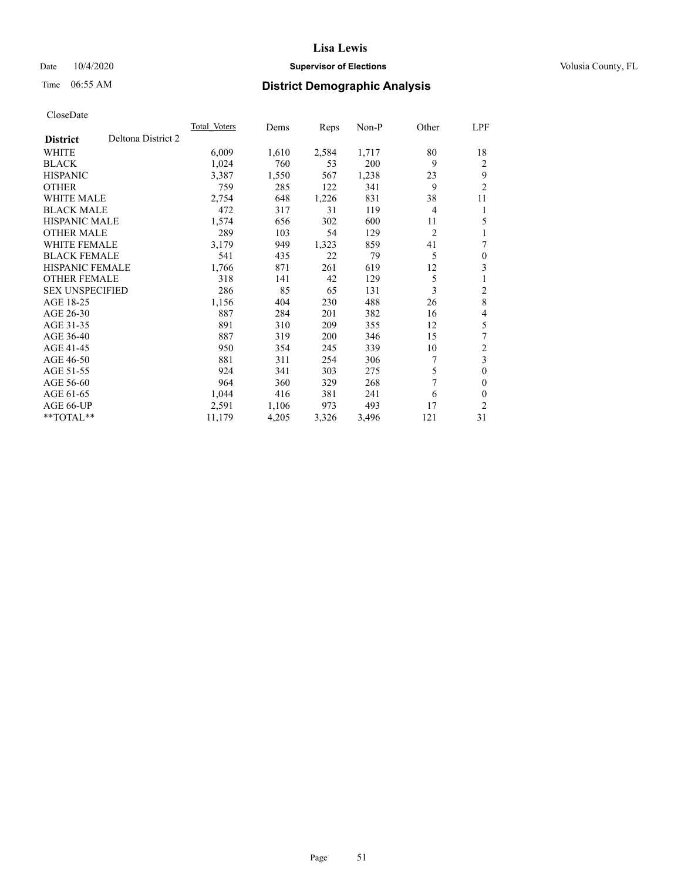## Date  $10/4/2020$  **Supervisor of Elections Supervisor of Elections** Volusia County, FL

# Time 06:55 AM **District Demographic Analysis**

|                        |                    | <b>Total Voters</b> | Dems  | Reps  | $Non-P$ | Other          | LPF            |
|------------------------|--------------------|---------------------|-------|-------|---------|----------------|----------------|
| <b>District</b>        | Deltona District 2 |                     |       |       |         |                |                |
| WHITE                  |                    | 6,009               | 1,610 | 2,584 | 1,717   | 80             | 18             |
| <b>BLACK</b>           |                    | 1,024               | 760   | 53    | 200     | 9              | $\overline{2}$ |
| <b>HISPANIC</b>        |                    | 3,387               | 1,550 | 567   | 1,238   | 23             | 9              |
| <b>OTHER</b>           |                    | 759                 | 285   | 122   | 341     | 9              | $\overline{2}$ |
| <b>WHITE MALE</b>      |                    | 2,754               | 648   | 1,226 | 831     | 38             | 11             |
| <b>BLACK MALE</b>      |                    | 472                 | 317   | 31    | 119     | 4              | 1              |
| <b>HISPANIC MALE</b>   |                    | 1,574               | 656   | 302   | 600     | 11             | 5              |
| <b>OTHER MALE</b>      |                    | 289                 | 103   | 54    | 129     | $\overline{2}$ | 1              |
| <b>WHITE FEMALE</b>    |                    | 3,179               | 949   | 1,323 | 859     | 41             | 7              |
| <b>BLACK FEMALE</b>    |                    | 541                 | 435   | 22    | 79      | 5              | $\theta$       |
| <b>HISPANIC FEMALE</b> |                    | 1,766               | 871   | 261   | 619     | 12             | 3              |
| <b>OTHER FEMALE</b>    |                    | 318                 | 141   | 42    | 129     | 5              | 1              |
| <b>SEX UNSPECIFIED</b> |                    | 286                 | 85    | 65    | 131     | 3              | 2              |
| AGE 18-25              |                    | 1,156               | 404   | 230   | 488     | 26             | 8              |
| AGE 26-30              |                    | 887                 | 284   | 201   | 382     | 16             | 4              |
| AGE 31-35              |                    | 891                 | 310   | 209   | 355     | 12             | 5              |
| AGE 36-40              |                    | 887                 | 319   | 200   | 346     | 15             | 7              |
| AGE 41-45              |                    | 950                 | 354   | 245   | 339     | 10             | $\mathfrak{2}$ |
| AGE 46-50              |                    | 881                 | 311   | 254   | 306     | 7              | 3              |
| AGE 51-55              |                    | 924                 | 341   | 303   | 275     | 5              | $\theta$       |
| AGE 56-60              |                    | 964                 | 360   | 329   | 268     | 7              | $\theta$       |
| AGE 61-65              |                    | 1,044               | 416   | 381   | 241     | 6              | $\theta$       |
| AGE 66-UP              |                    | 2,591               | 1,106 | 973   | 493     | 17             | $\overline{2}$ |
| $*$ $TOTAL**$          |                    | 11,179              | 4,205 | 3,326 | 3,496   | 121            | 31             |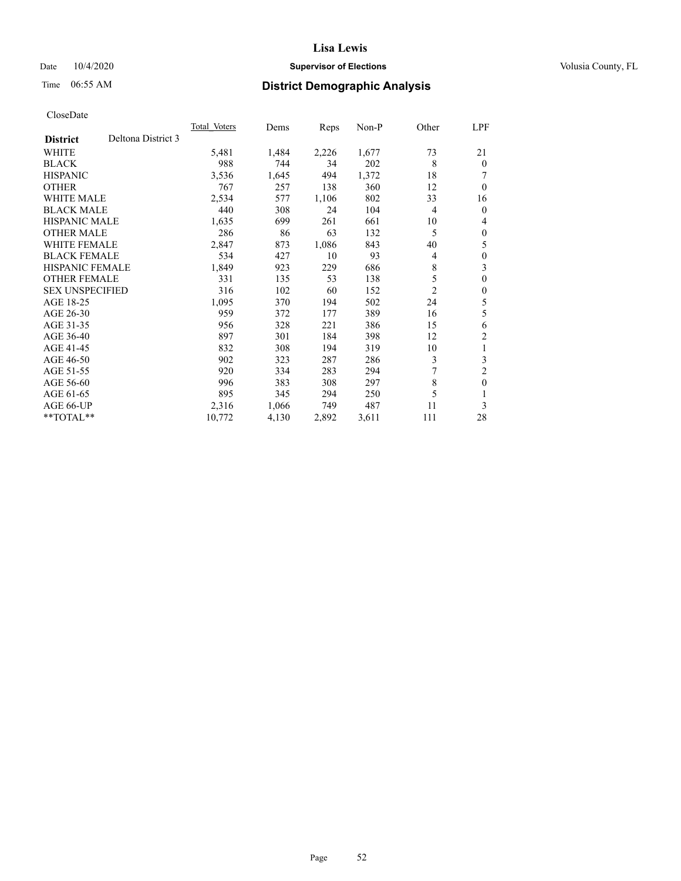## Date  $10/4/2020$  **Supervisor of Elections Supervisor of Elections** Volusia County, FL

# Time 06:55 AM **District Demographic Analysis**

|                        |                    | Total Voters | Dems  | Reps  | Non-P | Other          | LPF            |
|------------------------|--------------------|--------------|-------|-------|-------|----------------|----------------|
| <b>District</b>        | Deltona District 3 |              |       |       |       |                |                |
| WHITE                  |                    | 5,481        | 1,484 | 2,226 | 1,677 | 73             | 21             |
| <b>BLACK</b>           |                    | 988          | 744   | 34    | 202   | 8              | $\theta$       |
| <b>HISPANIC</b>        |                    | 3,536        | 1,645 | 494   | 1,372 | 18             |                |
| <b>OTHER</b>           |                    | 767          | 257   | 138   | 360   | 12             | $\theta$       |
| <b>WHITE MALE</b>      |                    | 2,534        | 577   | 1,106 | 802   | 33             | 16             |
| <b>BLACK MALE</b>      |                    | 440          | 308   | 24    | 104   | 4              | $\theta$       |
| <b>HISPANIC MALE</b>   |                    | 1,635        | 699   | 261   | 661   | 10             | 4              |
| <b>OTHER MALE</b>      |                    | 286          | 86    | 63    | 132   | 5              | $\theta$       |
| WHITE FEMALE           |                    | 2,847        | 873   | 1,086 | 843   | 40             | 5              |
| <b>BLACK FEMALE</b>    |                    | 534          | 427   | 10    | 93    | 4              | $\mathbf{0}$   |
| <b>HISPANIC FEMALE</b> |                    | 1,849        | 923   | 229   | 686   | 8              | 3              |
| <b>OTHER FEMALE</b>    |                    | 331          | 135   | 53    | 138   | 5              | $\theta$       |
| <b>SEX UNSPECIFIED</b> |                    | 316          | 102   | 60    | 152   | $\overline{c}$ | $\theta$       |
| AGE 18-25              |                    | 1,095        | 370   | 194   | 502   | 24             | 5              |
| AGE 26-30              |                    | 959          | 372   | 177   | 389   | 16             | 5              |
| AGE 31-35              |                    | 956          | 328   | 221   | 386   | 15             | 6              |
| AGE 36-40              |                    | 897          | 301   | 184   | 398   | 12             | $\overline{c}$ |
| AGE 41-45              |                    | 832          | 308   | 194   | 319   | 10             | 1              |
| AGE 46-50              |                    | 902          | 323   | 287   | 286   | 3              | 3              |
| AGE 51-55              |                    | 920          | 334   | 283   | 294   | 7              | $\overline{c}$ |
| AGE 56-60              |                    | 996          | 383   | 308   | 297   | 8              | $\theta$       |
| AGE 61-65              |                    | 895          | 345   | 294   | 250   | 5              | 1              |
| AGE 66-UP              |                    | 2,316        | 1,066 | 749   | 487   | 11             | 3              |
| $*$ $TOTAL**$          |                    | 10,772       | 4,130 | 2,892 | 3,611 | 111            | 28             |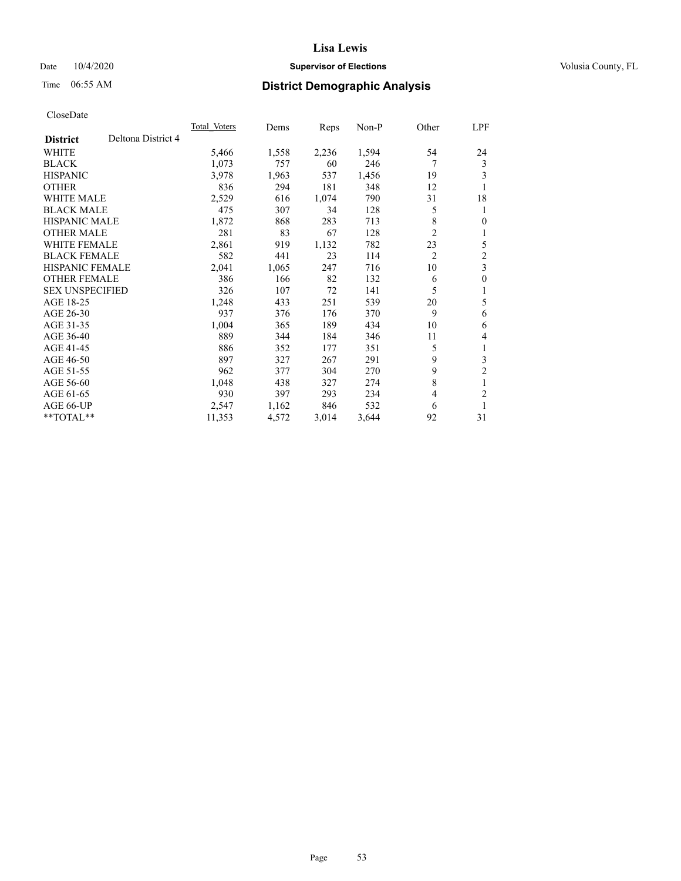## Date  $10/4/2020$  **Supervisor of Elections Supervisor of Elections** Volusia County, FL

# Time 06:55 AM **District Demographic Analysis**

|                                       | <b>Total Voters</b> | Dems  | Reps  | $Non-P$ | Other          | LPF            |
|---------------------------------------|---------------------|-------|-------|---------|----------------|----------------|
| Deltona District 4<br><b>District</b> |                     |       |       |         |                |                |
| WHITE                                 | 5,466               | 1,558 | 2,236 | 1,594   | 54             | 24             |
| <b>BLACK</b>                          | 1,073               | 757   | 60    | 246     | 7              | 3              |
| <b>HISPANIC</b>                       | 3,978               | 1,963 | 537   | 1,456   | 19             | 3              |
| <b>OTHER</b>                          | 836                 | 294   | 181   | 348     | 12             | 1              |
| <b>WHITE MALE</b>                     | 2,529               | 616   | 1,074 | 790     | 31             | 18             |
| <b>BLACK MALE</b>                     | 475                 | 307   | 34    | 128     | 5              | 1              |
| <b>HISPANIC MALE</b>                  | 1,872               | 868   | 283   | 713     | 8              | $\theta$       |
| <b>OTHER MALE</b>                     | 281                 | 83    | 67    | 128     | $\overline{2}$ | 1              |
| WHITE FEMALE                          | 2,861               | 919   | 1,132 | 782     | 23             | 5              |
| <b>BLACK FEMALE</b>                   | 582                 | 441   | 23    | 114     | $\overline{2}$ | $\overline{c}$ |
| <b>HISPANIC FEMALE</b>                | 2,041               | 1,065 | 247   | 716     | 10             | 3              |
| <b>OTHER FEMALE</b>                   | 386                 | 166   | 82    | 132     | 6              | $\mathbf{0}$   |
| <b>SEX UNSPECIFIED</b>                | 326                 | 107   | 72    | 141     | 5              | 1              |
| AGE 18-25                             | 1,248               | 433   | 251   | 539     | 20             | 5              |
| AGE 26-30                             | 937                 | 376   | 176   | 370     | 9              | 6              |
| AGE 31-35                             | 1,004               | 365   | 189   | 434     | 10             | 6              |
| AGE 36-40                             | 889                 | 344   | 184   | 346     | 11             | 4              |
| AGE 41-45                             | 886                 | 352   | 177   | 351     | 5              | 1              |
| AGE 46-50                             | 897                 | 327   | 267   | 291     | 9              | 3              |
| AGE 51-55                             | 962                 | 377   | 304   | 270     | 9              | $\overline{2}$ |
| AGE 56-60                             | 1,048               | 438   | 327   | 274     | 8              | 1              |
| AGE 61-65                             | 930                 | 397   | 293   | 234     | 4              | $\overline{2}$ |
| AGE 66-UP                             | 2,547               | 1,162 | 846   | 532     | 6              | 1              |
| $*$ $TOTAL**$                         | 11,353              | 4,572 | 3,014 | 3,644   | 92             | 31             |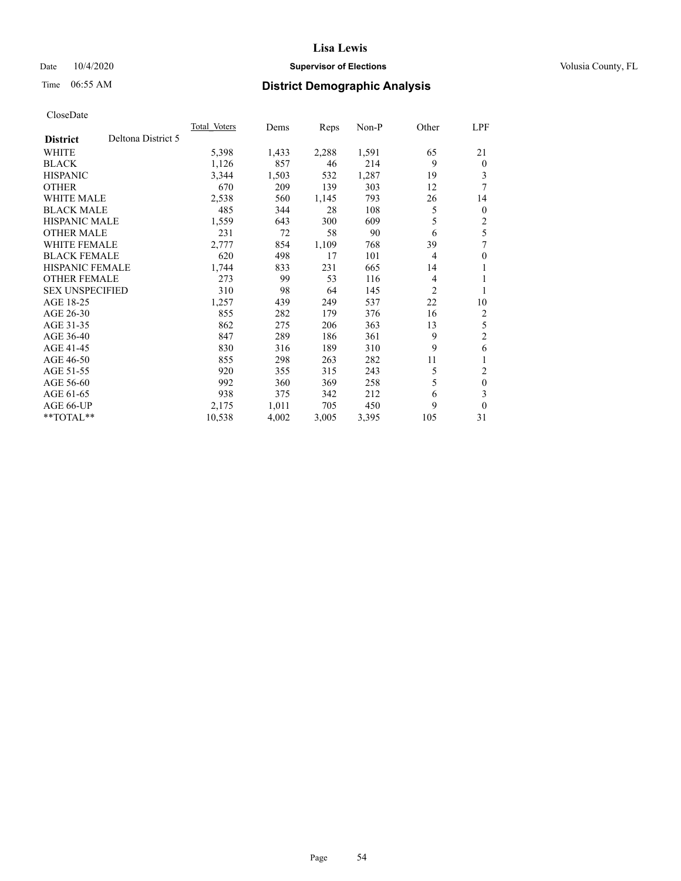## Date  $10/4/2020$  **Supervisor of Elections Supervisor of Elections** Volusia County, FL

# Time 06:55 AM **District Demographic Analysis**

|                        |                    | <b>Total Voters</b> | Dems  | Reps  | $Non-P$ | Other | LPF            |
|------------------------|--------------------|---------------------|-------|-------|---------|-------|----------------|
| <b>District</b>        | Deltona District 5 |                     |       |       |         |       |                |
| WHITE                  |                    | 5,398               | 1,433 | 2,288 | 1,591   | 65    | 21             |
| <b>BLACK</b>           |                    | 1,126               | 857   | 46    | 214     | 9     | $\theta$       |
| <b>HISPANIC</b>        |                    | 3,344               | 1,503 | 532   | 1,287   | 19    | 3              |
| <b>OTHER</b>           |                    | 670                 | 209   | 139   | 303     | 12    | 7              |
| <b>WHITE MALE</b>      |                    | 2,538               | 560   | 1,145 | 793     | 26    | 14             |
| <b>BLACK MALE</b>      |                    | 485                 | 344   | 28    | 108     | 5     | $\mathbf{0}$   |
| <b>HISPANIC MALE</b>   |                    | 1,559               | 643   | 300   | 609     | 5     | 2              |
| <b>OTHER MALE</b>      |                    | 231                 | 72    | 58    | 90      | 6     | 5              |
| <b>WHITE FEMALE</b>    |                    | 2,777               | 854   | 1,109 | 768     | 39    | 7              |
| <b>BLACK FEMALE</b>    |                    | 620                 | 498   | 17    | 101     | 4     | $\theta$       |
| <b>HISPANIC FEMALE</b> |                    | 1,744               | 833   | 231   | 665     | 14    | 1              |
| <b>OTHER FEMALE</b>    |                    | 273                 | 99    | 53    | 116     | 4     | 1              |
| <b>SEX UNSPECIFIED</b> |                    | 310                 | 98    | 64    | 145     | 2     | 1              |
| AGE 18-25              |                    | 1,257               | 439   | 249   | 537     | 22    | 10             |
| AGE 26-30              |                    | 855                 | 282   | 179   | 376     | 16    | 2              |
| AGE 31-35              |                    | 862                 | 275   | 206   | 363     | 13    | 5              |
| AGE 36-40              |                    | 847                 | 289   | 186   | 361     | 9     | $\overline{2}$ |
| AGE 41-45              |                    | 830                 | 316   | 189   | 310     | 9     | 6              |
| AGE 46-50              |                    | 855                 | 298   | 263   | 282     | 11    |                |
| AGE 51-55              |                    | 920                 | 355   | 315   | 243     | 5     | 2              |
| AGE 56-60              |                    | 992                 | 360   | 369   | 258     | 5     | $\mathbf{0}$   |
| AGE 61-65              |                    | 938                 | 375   | 342   | 212     | 6     | 3              |
| AGE 66-UP              |                    | 2,175               | 1,011 | 705   | 450     | 9     | $\theta$       |
| $*$ $TOTAL**$          |                    | 10,538              | 4,002 | 3,005 | 3,395   | 105   | 31             |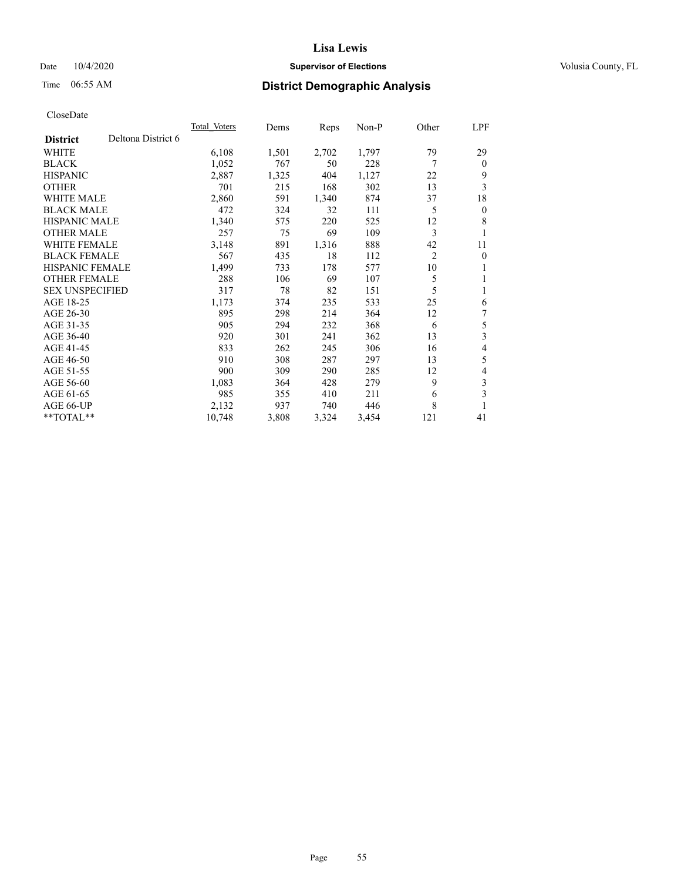## Date  $10/4/2020$  **Supervisor of Elections Supervisor of Elections** Volusia County, FL

# Time 06:55 AM **District Demographic Analysis**

|                        |                    | <b>Total Voters</b> | Dems  | Reps  | $Non-P$ | Other          | LPF          |
|------------------------|--------------------|---------------------|-------|-------|---------|----------------|--------------|
| <b>District</b>        | Deltona District 6 |                     |       |       |         |                |              |
| WHITE                  |                    | 6,108               | 1,501 | 2,702 | 1,797   | 79             | 29           |
| <b>BLACK</b>           |                    | 1,052               | 767   | 50    | 228     | 7              | $\theta$     |
| <b>HISPANIC</b>        |                    | 2,887               | 1,325 | 404   | 1,127   | 22             | 9            |
| <b>OTHER</b>           |                    | 701                 | 215   | 168   | 302     | 13             | 3            |
| <b>WHITE MALE</b>      |                    | 2,860               | 591   | 1,340 | 874     | 37             | 18           |
| <b>BLACK MALE</b>      |                    | 472                 | 324   | 32    | 111     | 5              | $\mathbf{0}$ |
| <b>HISPANIC MALE</b>   |                    | 1,340               | 575   | 220   | 525     | 12             | 8            |
| <b>OTHER MALE</b>      |                    | 257                 | 75    | 69    | 109     | 3              | 1            |
| WHITE FEMALE           |                    | 3,148               | 891   | 1,316 | 888     | 42             | 11           |
| <b>BLACK FEMALE</b>    |                    | 567                 | 435   | 18    | 112     | $\overline{2}$ | $\mathbf{0}$ |
| <b>HISPANIC FEMALE</b> |                    | 1,499               | 733   | 178   | 577     | 10             | 1            |
| <b>OTHER FEMALE</b>    |                    | 288                 | 106   | 69    | 107     | 5              | 1            |
| <b>SEX UNSPECIFIED</b> |                    | 317                 | 78    | 82    | 151     | 5              | 1            |
| AGE 18-25              |                    | 1,173               | 374   | 235   | 533     | 25             | 6            |
| AGE 26-30              |                    | 895                 | 298   | 214   | 364     | 12             | 7            |
| AGE 31-35              |                    | 905                 | 294   | 232   | 368     | 6              | 5            |
| AGE 36-40              |                    | 920                 | 301   | 241   | 362     | 13             | 3            |
| AGE 41-45              |                    | 833                 | 262   | 245   | 306     | 16             | 4            |
| AGE 46-50              |                    | 910                 | 308   | 287   | 297     | 13             | 5            |
| AGE 51-55              |                    | 900                 | 309   | 290   | 285     | 12             | 4            |
| AGE 56-60              |                    | 1,083               | 364   | 428   | 279     | 9              | 3            |
| AGE 61-65              |                    | 985                 | 355   | 410   | 211     | 6              | 3            |
| AGE 66-UP              |                    | 2,132               | 937   | 740   | 446     | 8              | 1            |
| $*$ $TOTAL**$          |                    | 10,748              | 3,808 | 3,324 | 3,454   | 121            | 41           |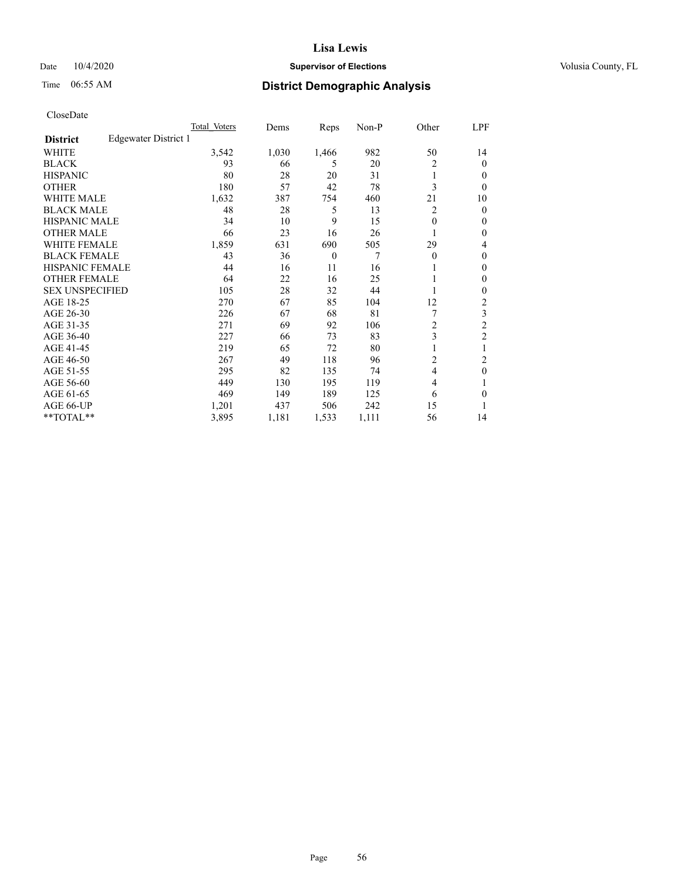## Date  $10/4/2020$  **Supervisor of Elections Supervisor of Elections** Volusia County, FL

# Time 06:55 AM **District Demographic Analysis**

| Total Voters | Dems                 | Reps         | $Non-P$ | Other          | <u>LPF</u>     |
|--------------|----------------------|--------------|---------|----------------|----------------|
|              |                      |              |         |                |                |
| 3,542        | 1,030                | 1,466        | 982     | 50             | 14             |
| 93           | 66                   | 5            | 20      | 2              | $\theta$       |
| 80           | 28                   | 20           | 31      |                | $\theta$       |
| 180          | 57                   | 42           | 78      | 3              | $\theta$       |
| 1,632        | 387                  | 754          | 460     | 21             | 10             |
| 48           | 28                   | 5            | 13      | 2              | $\mathbf{0}$   |
| 34           | 10                   | 9            | 15      | $\theta$       | $\mathbf{0}$   |
| 66           | 23                   | 16           | 26      |                | $\mathbf{0}$   |
| 1,859        | 631                  | 690          | 505     | 29             | 4              |
| 43           | 36                   | $\mathbf{0}$ | 7       | $\theta$       | $\mathbf{0}$   |
| 44           | 16                   | 11           | 16      |                | $\mathbf{0}$   |
| 64           | 22                   | 16           | 25      |                | $\mathbf{0}$   |
| 105          | 28                   | 32           | 44      |                | $\mathbf{0}$   |
| 270          | 67                   | 85           | 104     | 12             | 2              |
| 226          | 67                   | 68           | 81      |                | 3              |
| 271          | 69                   | 92           | 106     | $\overline{2}$ | $\overline{c}$ |
| 227          | 66                   | 73           | 83      | 3              | $\overline{2}$ |
| 219          | 65                   | 72           | 80      | 1              | 1              |
| 267          | 49                   | 118          | 96      | 2              | $\overline{c}$ |
| 295          | 82                   | 135          | 74      | $\overline{4}$ | $\mathbf{0}$   |
| 449          | 130                  | 195          | 119     | $\overline{4}$ | 1              |
| 469          | 149                  | 189          | 125     | 6              | $\theta$       |
| 1,201        | 437                  | 506          | 242     | 15             | 1              |
| 3,895        | 1,181                | 1,533        | 1,111   | 56             | 14             |
|              | Edgewater District 1 |              |         |                |                |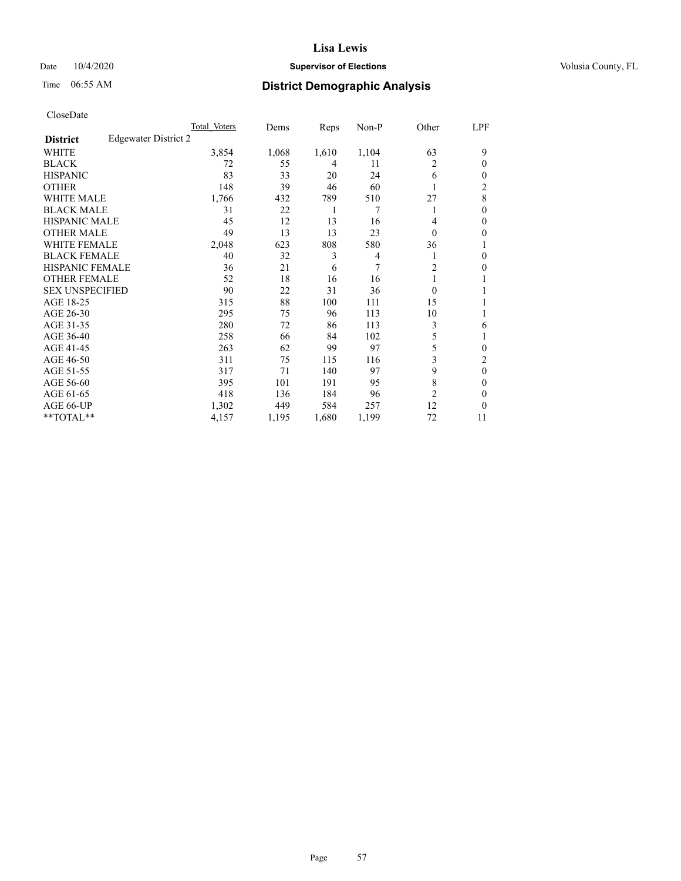## Date  $10/4/2020$  **Supervisor of Elections Supervisor of Elections** Volusia County, FL

# Time 06:55 AM **District Demographic Analysis**

|                        |                      | Total Voters | Dems  | Reps  | Non-P          | Other          | LPF            |
|------------------------|----------------------|--------------|-------|-------|----------------|----------------|----------------|
| <b>District</b>        | Edgewater District 2 |              |       |       |                |                |                |
| WHITE                  |                      | 3,854        | 1,068 | 1,610 | 1,104          | 63             | 9              |
| <b>BLACK</b>           |                      | 72           | 55    | 4     | 11             | 2              | 0              |
| <b>HISPANIC</b>        |                      | 83           | 33    | 20    | 24             | 6              | $_{0}$         |
| <b>OTHER</b>           |                      | 148          | 39    | 46    | 60             |                | $\overline{c}$ |
| WHITE MALE             |                      | 1,766        | 432   | 789   | 510            | 27             | 8              |
| <b>BLACK MALE</b>      |                      | 31           | 22    | 1     | 7              |                | 0              |
| <b>HISPANIC MALE</b>   |                      | 45           | 12    | 13    | 16             | 4              | 0              |
| <b>OTHER MALE</b>      |                      | 49           | 13    | 13    | 23             | 0              | 0              |
| WHITE FEMALE           |                      | 2,048        | 623   | 808   | 580            | 36             |                |
| <b>BLACK FEMALE</b>    |                      | 40           | 32    | 3     | $\overline{4}$ |                | 0              |
| <b>HISPANIC FEMALE</b> |                      | 36           | 21    | 6     | 7              | $\overline{2}$ | 0              |
| <b>OTHER FEMALE</b>    |                      | 52           | 18    | 16    | 16             |                |                |
| <b>SEX UNSPECIFIED</b> |                      | 90           | 22    | 31    | 36             | $\Omega$       |                |
| AGE 18-25              |                      | 315          | 88    | 100   | 111            | 15             |                |
| AGE 26-30              |                      | 295          | 75    | 96    | 113            | 10             | 1              |
| AGE 31-35              |                      | 280          | 72    | 86    | 113            | 3              | 6              |
| AGE 36-40              |                      | 258          | 66    | 84    | 102            | 5              |                |
| AGE 41-45              |                      | 263          | 62    | 99    | 97             | 5              | 0              |
| AGE 46-50              |                      | 311          | 75    | 115   | 116            | 3              | 2              |
| AGE 51-55              |                      | 317          | 71    | 140   | 97             | 9              | 0              |
| AGE 56-60              |                      | 395          | 101   | 191   | 95             | 8              | 0              |
| AGE 61-65              |                      | 418          | 136   | 184   | 96             | $\overline{2}$ | 0              |
| AGE 66-UP              |                      | 1,302        | 449   | 584   | 257            | 12             | 0              |
| **TOTAL**              |                      | 4,157        | 1,195 | 1,680 | 1,199          | 72             | 11             |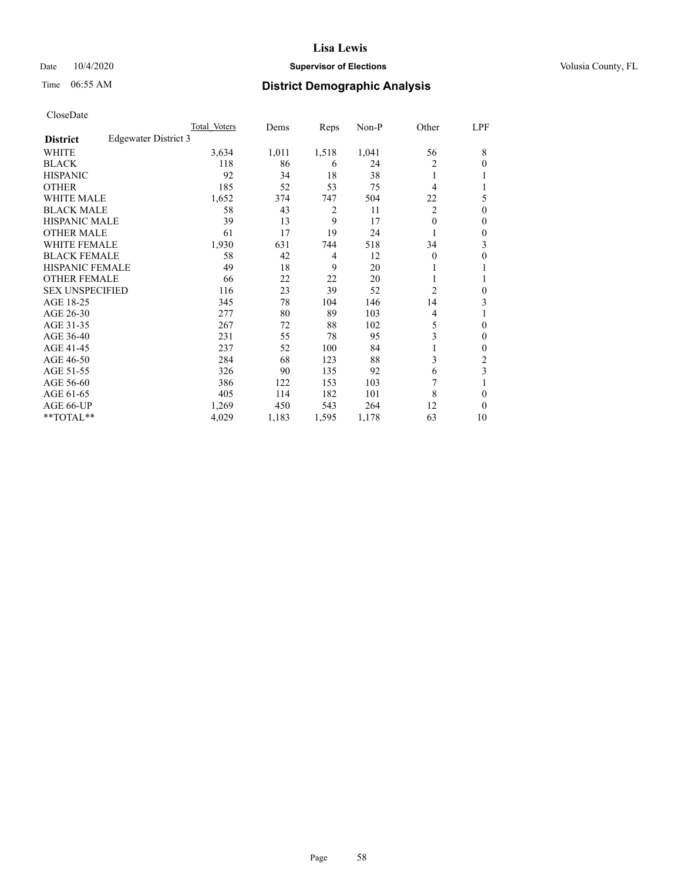## Date  $10/4/2020$  **Supervisor of Elections Supervisor of Elections** Volusia County, FL

# Time 06:55 AM **District Demographic Analysis**

|                        |                      | Total Voters | Dems  | Reps           | Non-P | Other          | LPF      |
|------------------------|----------------------|--------------|-------|----------------|-------|----------------|----------|
| <b>District</b>        | Edgewater District 3 |              |       |                |       |                |          |
| WHITE                  |                      | 3,634        | 1,011 | 1,518          | 1,041 | 56             | 8        |
| <b>BLACK</b>           |                      | 118          | 86    | 6              | 24    | 2              | 0        |
| <b>HISPANIC</b>        |                      | 92           | 34    | 18             | 38    | 1              |          |
| <b>OTHER</b>           |                      | 185          | 52    | 53             | 75    | 4              |          |
| WHITE MALE             |                      | 1,652        | 374   | 747            | 504   | 22             | 5        |
| <b>BLACK MALE</b>      |                      | 58           | 43    | 2              | 11    | $\overline{2}$ | $\theta$ |
| <b>HISPANIC MALE</b>   |                      | 39           | 13    | 9              | 17    | $\theta$       | 0        |
| <b>OTHER MALE</b>      |                      | 61           | 17    | 19             | 24    | 1              | 0        |
| WHITE FEMALE           |                      | 1,930        | 631   | 744            | 518   | 34             | 3        |
| <b>BLACK FEMALE</b>    |                      | 58           | 42    | $\overline{4}$ | 12    | $\Omega$       | 0        |
| <b>HISPANIC FEMALE</b> |                      | 49           | 18    | 9              | 20    |                |          |
| <b>OTHER FEMALE</b>    |                      | 66           | 22    | 22             | 20    | 1              |          |
| <b>SEX UNSPECIFIED</b> |                      | 116          | 23    | 39             | 52    | $\overline{2}$ | 0        |
| AGE 18-25              |                      | 345          | 78    | 104            | 146   | 14             | 3        |
| AGE 26-30              |                      | 277          | 80    | 89             | 103   | 4              |          |
| AGE 31-35              |                      | 267          | 72    | 88             | 102   | 5              | 0        |
| AGE 36-40              |                      | 231          | 55    | 78             | 95    | 3              | 0        |
| AGE 41-45              |                      | 237          | 52    | 100            | 84    |                | 0        |
| AGE 46-50              |                      | 284          | 68    | 123            | 88    | 3              | 2        |
| AGE 51-55              |                      | 326          | 90    | 135            | 92    | 6              | 3        |
| AGE 56-60              |                      | 386          | 122   | 153            | 103   |                |          |
| AGE 61-65              |                      | 405          | 114   | 182            | 101   | 8              | 0        |
| AGE 66-UP              |                      | 1,269        | 450   | 543            | 264   | 12             | 0        |
| **TOTAL**              |                      | 4,029        | 1,183 | 1,595          | 1,178 | 63             | 10       |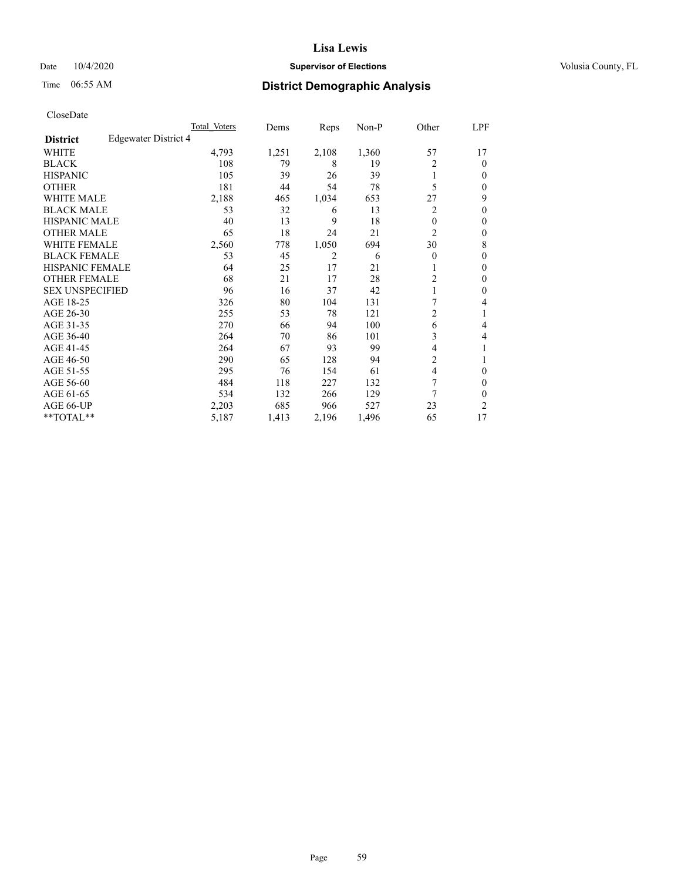## Date  $10/4/2020$  **Supervisor of Elections Supervisor of Elections** Volusia County, FL

# Time 06:55 AM **District Demographic Analysis**

|                        |                      | Total Voters | Dems  | Reps  | Non-P | Other          | LPF    |
|------------------------|----------------------|--------------|-------|-------|-------|----------------|--------|
| <b>District</b>        | Edgewater District 4 |              |       |       |       |                |        |
| WHITE                  |                      | 4,793        | 1,251 | 2,108 | 1,360 | 57             | 17     |
| <b>BLACK</b>           |                      | 108          | 79    | 8     | 19    | 2              | 0      |
| <b>HISPANIC</b>        |                      | 105          | 39    | 26    | 39    | 1              | $_{0}$ |
| <b>OTHER</b>           |                      | 181          | 44    | 54    | 78    | 5              | 0      |
| WHITE MALE             |                      | 2,188        | 465   | 1,034 | 653   | 27             | 9      |
| <b>BLACK MALE</b>      |                      | 53           | 32    | 6     | 13    | 2              | 0      |
| <b>HISPANIC MALE</b>   |                      | 40           | 13    | 9     | 18    | 0              | 0      |
| <b>OTHER MALE</b>      |                      | 65           | 18    | 24    | 21    | $\overline{c}$ | 0      |
| WHITE FEMALE           |                      | 2,560        | 778   | 1,050 | 694   | 30             | 8      |
| <b>BLACK FEMALE</b>    |                      | 53           | 45    | 2     | 6     | $\Omega$       | 0      |
| <b>HISPANIC FEMALE</b> |                      | 64           | 25    | 17    | 21    |                | 0      |
| <b>OTHER FEMALE</b>    |                      | 68           | 21    | 17    | 28    | $\overline{c}$ | 0      |
| <b>SEX UNSPECIFIED</b> |                      | 96           | 16    | 37    | 42    |                | 0      |
| AGE 18-25              |                      | 326          | 80    | 104   | 131   | 7              | 4      |
| AGE 26-30              |                      | 255          | 53    | 78    | 121   | $\overline{c}$ | 1      |
| AGE 31-35              |                      | 270          | 66    | 94    | 100   | 6              | 4      |
| AGE 36-40              |                      | 264          | 70    | 86    | 101   | 3              | 4      |
| AGE 41-45              |                      | 264          | 67    | 93    | 99    | 4              |        |
| AGE 46-50              |                      | 290          | 65    | 128   | 94    | 2              |        |
| AGE 51-55              |                      | 295          | 76    | 154   | 61    | 4              | 0      |
| AGE 56-60              |                      | 484          | 118   | 227   | 132   | 7              | 0      |
| AGE 61-65              |                      | 534          | 132   | 266   | 129   | 7              | 0      |
| AGE 66-UP              |                      | 2,203        | 685   | 966   | 527   | 23             | 2      |
| **TOTAL**              |                      | 5,187        | 1,413 | 2,196 | 1,496 | 65             | 17     |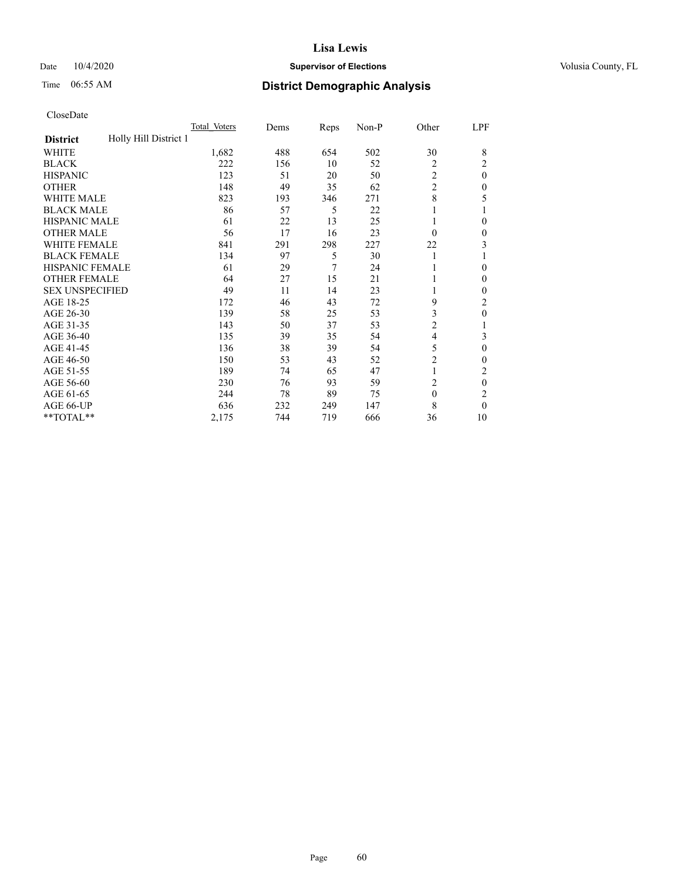## Date  $10/4/2020$  **Supervisor of Elections Supervisor of Elections** Volusia County, FL

# Time 06:55 AM **District Demographic Analysis**

|                                          | Total Voters | Dems | Reps | Non-P | Other          | LPF      |
|------------------------------------------|--------------|------|------|-------|----------------|----------|
| Holly Hill District 1<br><b>District</b> |              |      |      |       |                |          |
| WHITE                                    | 1,682        | 488  | 654  | 502   | 30             | 8        |
| <b>BLACK</b>                             | 222          | 156  | 10   | 52    | 2              | 2        |
| <b>HISPANIC</b>                          | 123          | 51   | 20   | 50    | 2              | $\Omega$ |
| <b>OTHER</b>                             | 148          | 49   | 35   | 62    | $\overline{2}$ | 0        |
| WHITE MALE                               | 823          | 193  | 346  | 271   | 8              | 5        |
| <b>BLACK MALE</b>                        | 86           | 57   | 5    | 22    |                |          |
| <b>HISPANIC MALE</b>                     | 61           | 22   | 13   | 25    |                | 0        |
| <b>OTHER MALE</b>                        | 56           | 17   | 16   | 23    | $\Omega$       | 0        |
| WHITE FEMALE                             | 841          | 291  | 298  | 227   | 22             | 3        |
| <b>BLACK FEMALE</b>                      | 134          | 97   | 5    | 30    | 1              |          |
| <b>HISPANIC FEMALE</b>                   | 61           | 29   | 7    | 24    |                | 0        |
| <b>OTHER FEMALE</b>                      | 64           | 27   | 15   | 21    |                | 0        |
| <b>SEX UNSPECIFIED</b>                   | 49           | 11   | 14   | 23    |                | 0        |
| AGE 18-25                                | 172          | 46   | 43   | 72    | 9              | 2        |
| AGE 26-30                                | 139          | 58   | 25   | 53    | 3              | 0        |
| AGE 31-35                                | 143          | 50   | 37   | 53    | $\overline{c}$ |          |
| AGE 36-40                                | 135          | 39   | 35   | 54    | 4              | 3        |
| AGE 41-45                                | 136          | 38   | 39   | 54    | 5              | 0        |
| AGE 46-50                                | 150          | 53   | 43   | 52    | $\overline{2}$ | 0        |
| AGE 51-55                                | 189          | 74   | 65   | 47    | 1              | 2        |
| AGE 56-60                                | 230          | 76   | 93   | 59    | $\overline{c}$ | $\theta$ |
| AGE 61-65                                | 244          | 78   | 89   | 75    | $\theta$       | 2        |
| AGE 66-UP                                | 636          | 232  | 249  | 147   | 8              | 0        |
| **TOTAL**                                | 2,175        | 744  | 719  | 666   | 36             | 10       |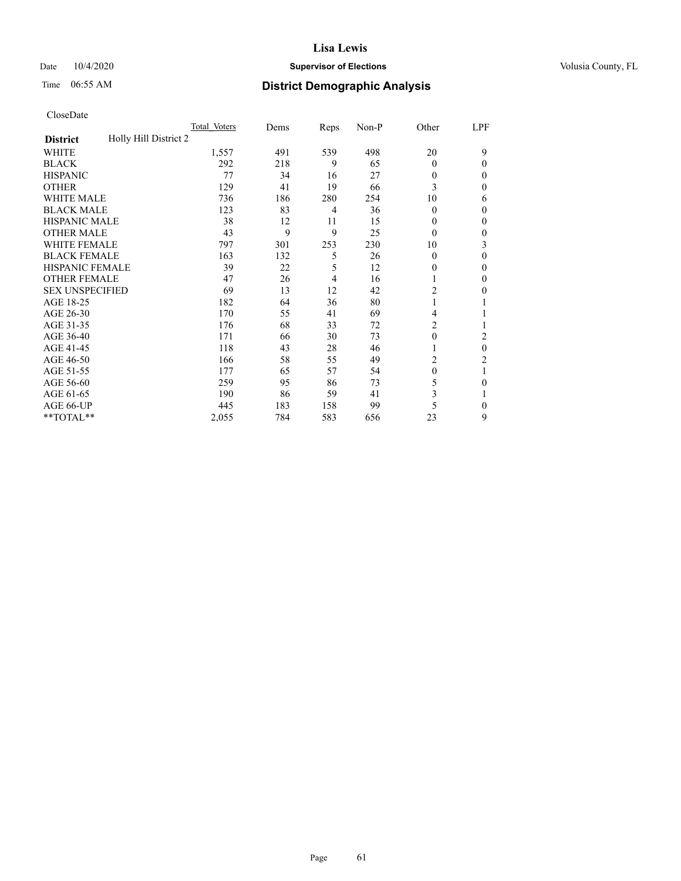## Date  $10/4/2020$  **Supervisor of Elections Supervisor of Elections** Volusia County, FL

# Time 06:55 AM **District Demographic Analysis**

|                                          | Total Voters | Dems | Reps | Non-P | Other          | LPF |
|------------------------------------------|--------------|------|------|-------|----------------|-----|
| Holly Hill District 2<br><b>District</b> |              |      |      |       |                |     |
| WHITE                                    | 1,557        | 491  | 539  | 498   | 20             | 9   |
| <b>BLACK</b>                             | 292          | 218  | 9    | 65    | $\theta$       | 0   |
| <b>HISPANIC</b>                          | 77           | 34   | 16   | 27    | $\theta$       | 0   |
| <b>OTHER</b>                             | 129          | 41   | 19   | 66    | 3              | 0   |
| WHITE MALE                               | 736          | 186  | 280  | 254   | 10             | 6   |
| <b>BLACK MALE</b>                        | 123          | 83   | 4    | 36    | $\theta$       | 0   |
| <b>HISPANIC MALE</b>                     | 38           | 12   | 11   | 15    | $\theta$       | 0   |
| <b>OTHER MALE</b>                        | 43           | 9    | 9    | 25    | $\theta$       | 0   |
| WHITE FEMALE                             | 797          | 301  | 253  | 230   | 10             | 3   |
| <b>BLACK FEMALE</b>                      | 163          | 132  | 5    | 26    | $\theta$       | 0   |
| <b>HISPANIC FEMALE</b>                   | 39           | 22   | 5    | 12    | 0              | 0   |
| <b>OTHER FEMALE</b>                      | 47           | 26   | 4    | 16    |                | 0   |
| <b>SEX UNSPECIFIED</b>                   | 69           | 13   | 12   | 42    | $\overline{2}$ | 0   |
| AGE 18-25                                | 182          | 64   | 36   | 80    |                |     |
| AGE 26-30                                | 170          | 55   | 41   | 69    | 4              |     |
| AGE 31-35                                | 176          | 68   | 33   | 72    | 2              |     |
| AGE 36-40                                | 171          | 66   | 30   | 73    | $\theta$       | 2   |
| AGE 41-45                                | 118          | 43   | 28   | 46    |                | 0   |
| AGE 46-50                                | 166          | 58   | 55   | 49    | 2              | 2   |
| AGE 51-55                                | 177          | 65   | 57   | 54    | $\theta$       | 1   |
| AGE 56-60                                | 259          | 95   | 86   | 73    | 5              | 0   |
| AGE 61-65                                | 190          | 86   | 59   | 41    | 3              |     |
| AGE 66-UP                                | 445          | 183  | 158  | 99    | 5              | 0   |
| **TOTAL**                                | 2,055        | 784  | 583  | 656   | 23             | 9   |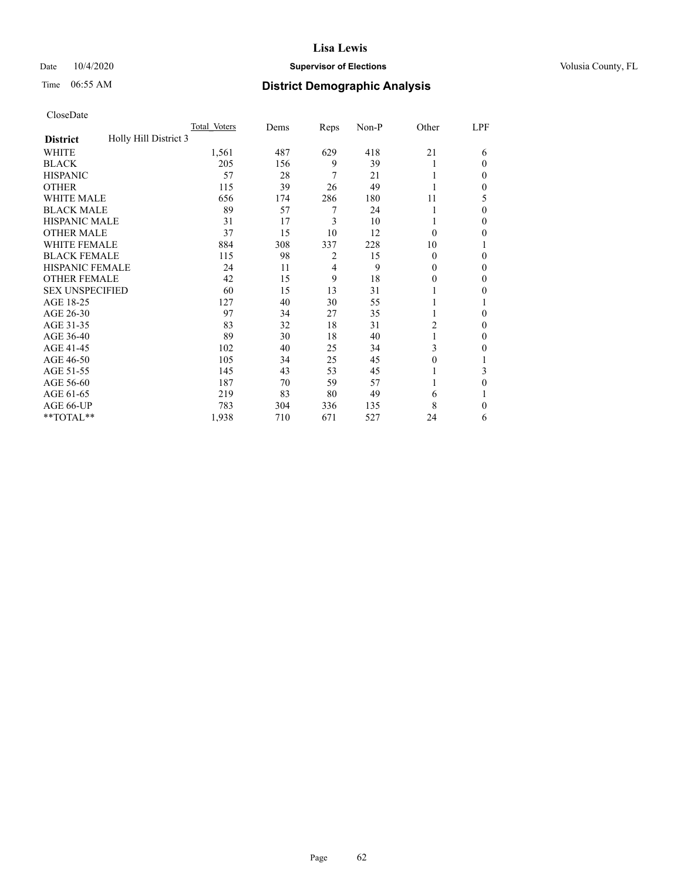## Date  $10/4/2020$  **Supervisor of Elections Supervisor of Elections** Volusia County, FL

# Time 06:55 AM **District Demographic Analysis**

|                                          | Total Voters | Dems | Reps           | Non-P | Other    | LPF          |
|------------------------------------------|--------------|------|----------------|-------|----------|--------------|
| Holly Hill District 3<br><b>District</b> |              |      |                |       |          |              |
| WHITE                                    | 1,561        | 487  | 629            | 418   | 21       | 6            |
| <b>BLACK</b>                             | 205          | 156  | 9              | 39    |          | $\Omega$     |
| <b>HISPANIC</b>                          | 57           | 28   | 7              | 21    |          | $\Omega$     |
| <b>OTHER</b>                             | 115          | 39   | 26             | 49    |          | $\Omega$     |
| <b>WHITE MALE</b>                        | 656          | 174  | 286            | 180   | 11       | 5            |
| <b>BLACK MALE</b>                        | 89           | 57   | 7              | 24    |          | $\theta$     |
| <b>HISPANIC MALE</b>                     | 31           | 17   | 3              | 10    |          | $\theta$     |
| <b>OTHER MALE</b>                        | 37           | 15   | 10             | 12    | $\Omega$ | 0            |
| WHITE FEMALE                             | 884          | 308  | 337            | 228   | 10       |              |
| <b>BLACK FEMALE</b>                      | 115          | 98   | $\overline{2}$ | 15    | $\Omega$ | $\mathbf{0}$ |
| <b>HISPANIC FEMALE</b>                   | 24           | 11   | 4              | 9     | 0        | $\Omega$     |
| <b>OTHER FEMALE</b>                      | 42           | 15   | 9              | 18    | 0        | $\Omega$     |
| <b>SEX UNSPECIFIED</b>                   | 60           | 15   | 13             | 31    |          | 0            |
| AGE 18-25                                | 127          | 40   | 30             | 55    |          |              |
| AGE 26-30                                | 97           | 34   | 27             | 35    |          | $\theta$     |
| AGE 31-35                                | 83           | 32   | 18             | 31    | 2        | 0            |
| AGE 36-40                                | 89           | 30   | 18             | 40    |          | $\mathbf{0}$ |
| AGE 41-45                                | 102          | 40   | 25             | 34    | 3        | 0            |
| AGE 46-50                                | 105          | 34   | 25             | 45    | 0        |              |
| AGE 51-55                                | 145          | 43   | 53             | 45    |          | 3            |
| AGE 56-60                                | 187          | 70   | 59             | 57    |          | $\theta$     |
| AGE 61-65                                | 219          | 83   | 80             | 49    | 6        | 1            |
| AGE 66-UP                                | 783          | 304  | 336            | 135   | 8        | $\Omega$     |
| **TOTAL**                                | 1,938        | 710  | 671            | 527   | 24       | 6            |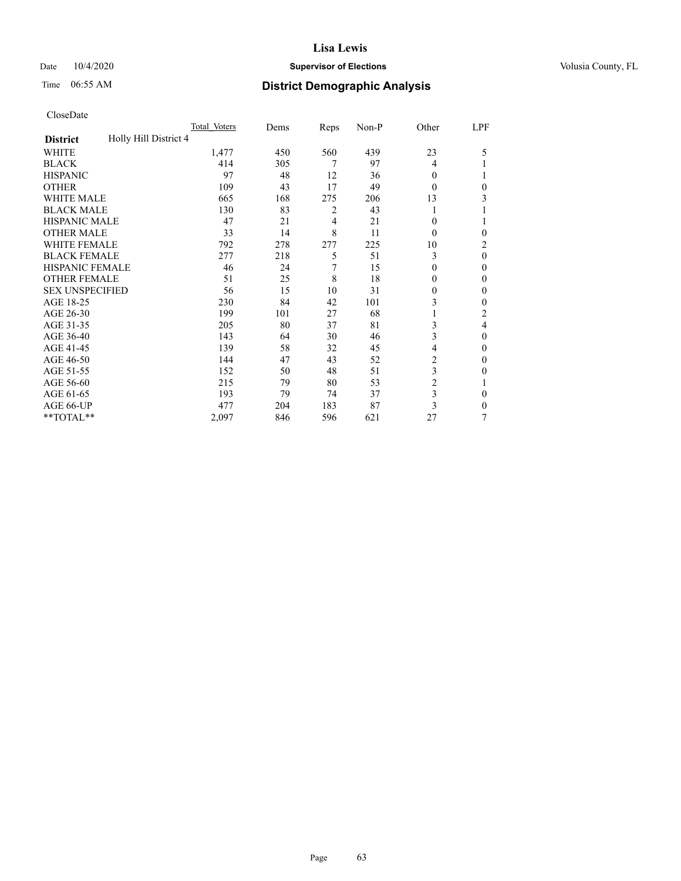## Date  $10/4/2020$  **Supervisor of Elections Supervisor of Elections** Volusia County, FL

# Time 06:55 AM **District Demographic Analysis**

|                                          | Total Voters | Dems | Reps | Non-P | Other          | LPF            |
|------------------------------------------|--------------|------|------|-------|----------------|----------------|
| Holly Hill District 4<br><b>District</b> |              |      |      |       |                |                |
| WHITE                                    | 1,477        | 450  | 560  | 439   | 23             | 5              |
| <b>BLACK</b>                             | 414          | 305  | 7    | 97    | 4              |                |
| <b>HISPANIC</b>                          | 97           | 48   | 12   | 36    | $\Omega$       | 1              |
| <b>OTHER</b>                             | 109          | 43   | 17   | 49    | $\theta$       | $\theta$       |
| <b>WHITE MALE</b>                        | 665          | 168  | 275  | 206   | 13             | 3              |
| <b>BLACK MALE</b>                        | 130          | 83   | 2    | 43    |                |                |
| <b>HISPANIC MALE</b>                     | 47           | 21   | 4    | 21    | 0              | 1              |
| <b>OTHER MALE</b>                        | 33           | 14   | 8    | 11    | $\theta$       | $\mathbf{0}$   |
| <b>WHITE FEMALE</b>                      | 792          | 278  | 277  | 225   | 10             | $\overline{c}$ |
| <b>BLACK FEMALE</b>                      | 277          | 218  | 5    | 51    | 3              | $\theta$       |
| <b>HISPANIC FEMALE</b>                   | 46           | 24   | 7    | 15    | $\Omega$       | $\Omega$       |
| <b>OTHER FEMALE</b>                      | 51           | 25   | 8    | 18    | $\Omega$       | $\theta$       |
| <b>SEX UNSPECIFIED</b>                   | 56           | 15   | 10   | 31    | 0              | $\theta$       |
| AGE 18-25                                | 230          | 84   | 42   | 101   | 3              | $\theta$       |
| AGE 26-30                                | 199          | 101  | 27   | 68    |                | $\overline{2}$ |
| AGE 31-35                                | 205          | 80   | 37   | 81    | 3              | 4              |
| AGE 36-40                                | 143          | 64   | 30   | 46    | 3              | $\theta$       |
| AGE 41-45                                | 139          | 58   | 32   | 45    | 4              | $\theta$       |
| AGE 46-50                                | 144          | 47   | 43   | 52    | $\overline{2}$ | $\theta$       |
| AGE 51-55                                | 152          | 50   | 48   | 51    | 3              | $\theta$       |
| AGE 56-60                                | 215          | 79   | 80   | 53    | $\overline{2}$ |                |
| AGE 61-65                                | 193          | 79   | 74   | 37    | 3              | $\theta$       |
| AGE 66-UP                                | 477          | 204  | 183  | 87    | 3              | $\Omega$       |
| **TOTAL**                                | 2,097        | 846  | 596  | 621   | 27             | 7              |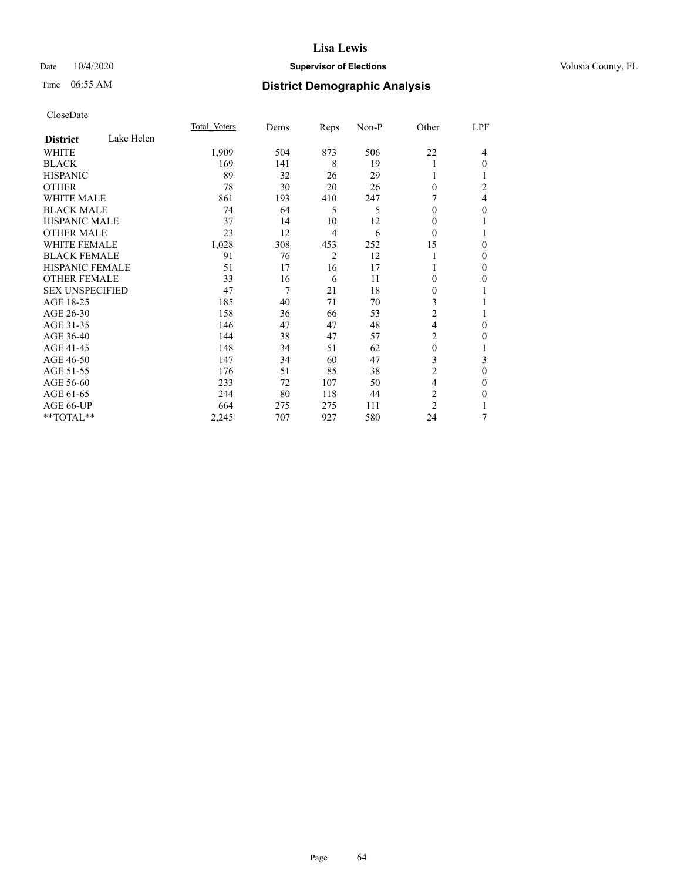## Date  $10/4/2020$  **Supervisor of Elections Supervisor of Elections** Volusia County, FL

# Time 06:55 AM **District Demographic Analysis**

|                        |            | Total Voters | Dems | Reps           | Non-P | Other          | LPF            |
|------------------------|------------|--------------|------|----------------|-------|----------------|----------------|
| <b>District</b>        | Lake Helen |              |      |                |       |                |                |
| WHITE                  |            | 1,909        | 504  | 873            | 506   | 22             | 4              |
| <b>BLACK</b>           |            | 169          | 141  | 8              | 19    | 1              | 0              |
| <b>HISPANIC</b>        |            | 89           | 32   | 26             | 29    | 1              |                |
| <b>OTHER</b>           |            | 78           | 30   | 20             | 26    | $\theta$       | $\overline{c}$ |
| <b>WHITE MALE</b>      |            | 861          | 193  | 410            | 247   |                | 4              |
| <b>BLACK MALE</b>      |            | 74           | 64   | 5              | 5     | $\Omega$       | 0              |
| <b>HISPANIC MALE</b>   |            | 37           | 14   | 10             | 12    | 0              |                |
| <b>OTHER MALE</b>      |            | 23           | 12   | 4              | 6     | $\Omega$       | 1              |
| <b>WHITE FEMALE</b>    |            | 1,028        | 308  | 453            | 252   | 15             | 0              |
| <b>BLACK FEMALE</b>    |            | 91           | 76   | $\overline{2}$ | 12    | 1              | 0              |
| <b>HISPANIC FEMALE</b> |            | 51           | 17   | 16             | 17    |                | 0              |
| <b>OTHER FEMALE</b>    |            | 33           | 16   | 6              | 11    | $\Omega$       | 0              |
| <b>SEX UNSPECIFIED</b> |            | 47           | 7    | 21             | 18    | $\overline{0}$ |                |
| AGE 18-25              |            | 185          | 40   | 71             | 70    | 3              |                |
| AGE 26-30              |            | 158          | 36   | 66             | 53    | $\overline{c}$ |                |
| AGE 31-35              |            | 146          | 47   | 47             | 48    | 4              | 0              |
| AGE 36-40              |            | 144          | 38   | 47             | 57    | 2              | 0              |
| AGE 41-45              |            | 148          | 34   | 51             | 62    | $\theta$       | 1              |
| AGE 46-50              |            | 147          | 34   | 60             | 47    | 3              | 3              |
| AGE 51-55              |            | 176          | 51   | 85             | 38    | $\overline{2}$ | $\mathbf{0}$   |
| AGE 56-60              |            | 233          | 72   | 107            | 50    | 4              | 0              |
| AGE 61-65              |            | 244          | 80   | 118            | 44    | 2              | 0              |
| AGE 66-UP              |            | 664          | 275  | 275            | 111   | $\overline{c}$ |                |
| **TOTAL**              |            | 2,245        | 707  | 927            | 580   | 24             | 7              |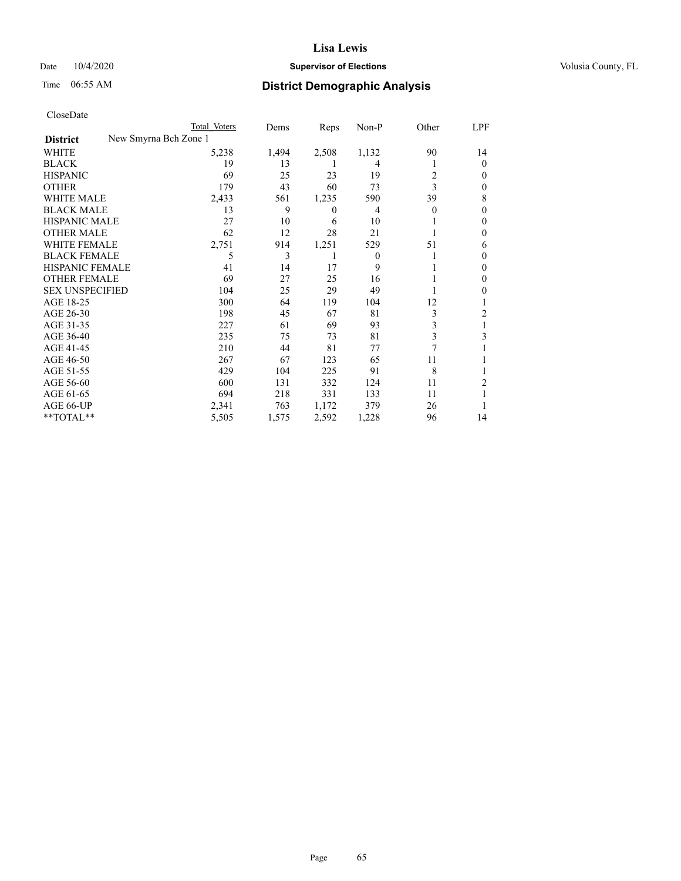## Date  $10/4/2020$  **Supervisor of Elections Supervisor of Elections** Volusia County, FL

| CloseDate |
|-----------|
|-----------|

| Total Voters | Dems                  | Reps     | $Non-P$ | Other    | LPF            |
|--------------|-----------------------|----------|---------|----------|----------------|
|              |                       |          |         |          |                |
| 5,238        | 1,494                 | 2,508    | 1,132   | 90       | 14             |
| 19           | 13                    | L        | 4       |          | $\theta$       |
| 69           | 25                    | 23       | 19      | 2        | $\Omega$       |
| 179          | 43                    | 60       | 73      | 3        | $\Omega$       |
| 2,433        | 561                   | 1,235    | 590     | 39       | 8              |
| 13           | 9                     | $\theta$ | 4       | $\theta$ | $\Omega$       |
| 27           | 10                    | 6        | 10      |          | $\Omega$       |
| 62           | 12                    | 28       | 21      |          | $\Omega$       |
| 2,751        | 914                   | 1,251    | 529     | 51       | 6              |
| 5            | 3                     | 1        | 0       |          | $\Omega$       |
| 41           | 14                    | 17       | 9       |          | $\Omega$       |
| 69           | 27                    | 25       | 16      |          | 0              |
| 104          | 25                    | 29       | 49      |          | 0              |
| 300          | 64                    | 119      | 104     | 12       |                |
| 198          | 45                    | 67       | 81      | 3        | $\overline{c}$ |
| 227          | 61                    | 69       | 93      | 3        |                |
| 235          | 75                    | 73       | 81      | 3        | 3              |
| 210          | 44                    | 81       | 77      | 7        |                |
| 267          | 67                    | 123      | 65      | 11       |                |
| 429          | 104                   | 225      | 91      | 8        |                |
| 600          | 131                   | 332      | 124     | 11       | $\overline{2}$ |
| 694          | 218                   | 331      | 133     | 11       |                |
| 2,341        | 763                   | 1,172    | 379     | 26       |                |
| 5,505        | 1,575                 | 2,592    | 1,228   | 96       | 14             |
|              | New Smyrna Bch Zone 1 |          |         |          |                |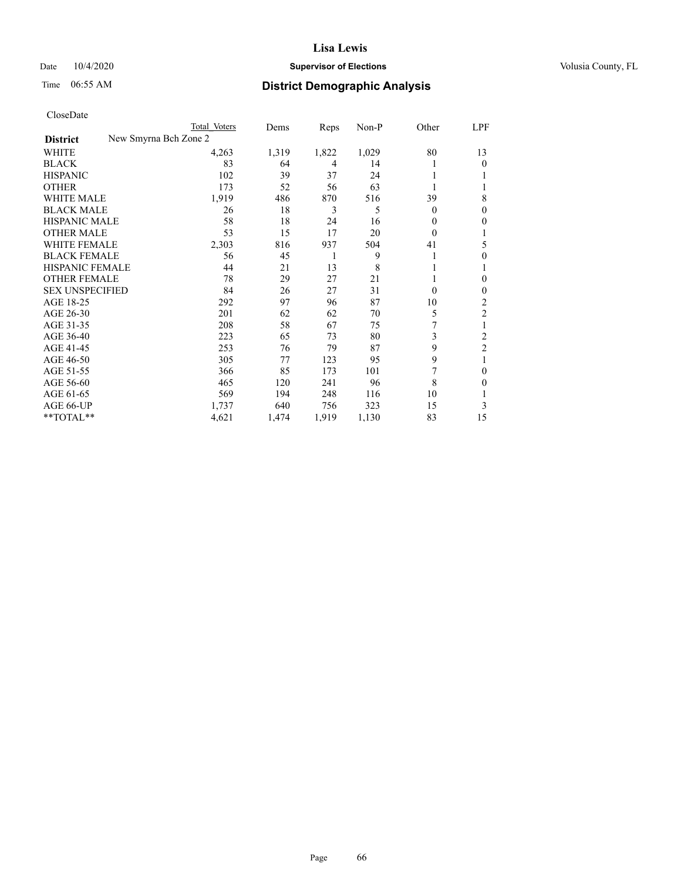## Date  $10/4/2020$  **Supervisor of Elections Supervisor of Elections** Volusia County, FL

|                                          | Total Voters | Dems  | Reps  | $Non-P$ | Other    | <u>LPF</u>     |
|------------------------------------------|--------------|-------|-------|---------|----------|----------------|
| New Smyrna Bch Zone 2<br><b>District</b> |              |       |       |         |          |                |
| WHITE                                    | 4,263        | 1,319 | 1,822 | 1,029   | 80       | 13             |
| <b>BLACK</b>                             | 83           | 64    | 4     | 14      |          | $\theta$       |
| <b>HISPANIC</b>                          | 102          | 39    | 37    | 24      |          | 1              |
| <b>OTHER</b>                             | 173          | 52    | 56    | 63      |          | 1              |
| <b>WHITE MALE</b>                        | 1,919        | 486   | 870   | 516     | 39       | 8              |
| <b>BLACK MALE</b>                        | 26           | 18    | 3     | 5       | 0        | $\mathbf{0}$   |
| <b>HISPANIC MALE</b>                     | 58           | 18    | 24    | 16      | 0        | $\mathbf{0}$   |
| <b>OTHER MALE</b>                        | 53           | 15    | 17    | 20      | 0        | 1              |
| <b>WHITE FEMALE</b>                      | 2,303        | 816   | 937   | 504     | 41       | 5              |
| <b>BLACK FEMALE</b>                      | 56           | 45    | 1     | 9       |          | $\theta$       |
| HISPANIC FEMALE                          | 44           | 21    | 13    | 8       |          | 1              |
| <b>OTHER FEMALE</b>                      | 78           | 29    | 27    | 21      |          | $\theta$       |
| <b>SEX UNSPECIFIED</b>                   | 84           | 26    | 27    | 31      | $\theta$ | $\mathbf{0}$   |
| AGE 18-25                                | 292          | 97    | 96    | 87      | 10       | 2              |
| AGE 26-30                                | 201          | 62    | 62    | 70      | 5        | $\overline{c}$ |
| AGE 31-35                                | 208          | 58    | 67    | 75      | 7        | 1              |
| AGE 36-40                                | 223          | 65    | 73    | 80      | 3        | 2              |
| AGE 41-45                                | 253          | 76    | 79    | 87      | 9        | $\overline{c}$ |
| AGE 46-50                                | 305          | 77    | 123   | 95      | 9        | 1              |
| AGE 51-55                                | 366          | 85    | 173   | 101     | 7        | $\mathbf{0}$   |
| AGE 56-60                                | 465          | 120   | 241   | 96      | 8        | $\theta$       |
| AGE 61-65                                | 569          | 194   | 248   | 116     | 10       | 1              |
| AGE 66-UP                                | 1,737        | 640   | 756   | 323     | 15       | 3              |
| **TOTAL**                                | 4,621        | 1,474 | 1,919 | 1,130   | 83       | 15             |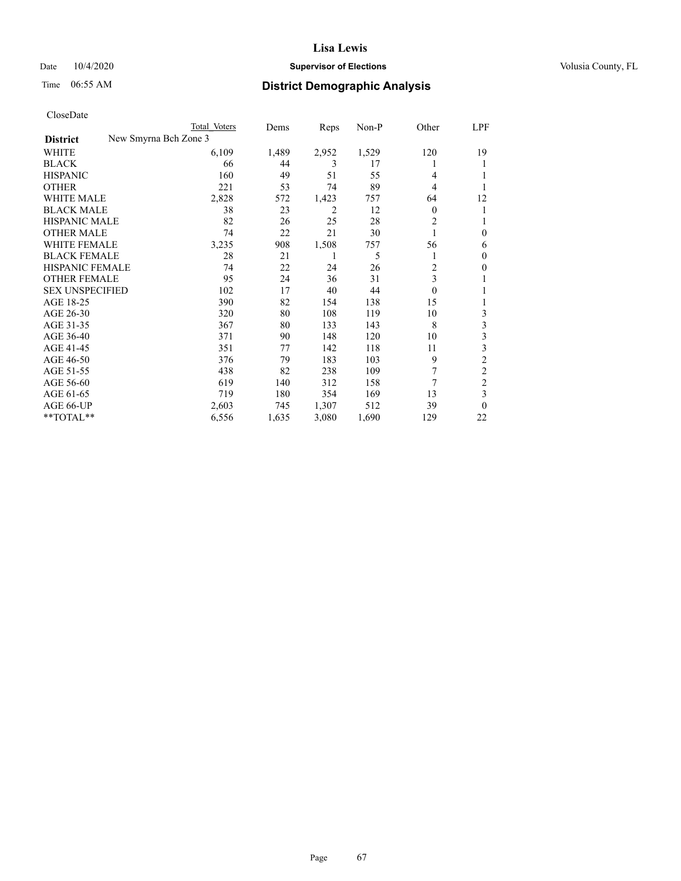## Date  $10/4/2020$  **Supervisor of Elections Supervisor of Elections** Volusia County, FL

|                                          | Total Voters | Dems  | Reps  | Non-P | Other    | LPF            |
|------------------------------------------|--------------|-------|-------|-------|----------|----------------|
| New Smyrna Bch Zone 3<br><b>District</b> |              |       |       |       |          |                |
| WHITE                                    | 6,109        | 1,489 | 2,952 | 1,529 | 120      | 19             |
| <b>BLACK</b>                             | 66           | 44    | 3     | 17    |          | 1              |
| <b>HISPANIC</b>                          | 160          | 49    | 51    | 55    | 4        | L              |
| <b>OTHER</b>                             | 221          | 53    | 74    | 89    | 4        |                |
| <b>WHITE MALE</b>                        | 2,828        | 572   | 1,423 | 757   | 64       | 12             |
| <b>BLACK MALE</b>                        | 38           | 23    | 2     | 12    | 0        | 1              |
| <b>HISPANIC MALE</b>                     | 82           | 26    | 25    | 28    | 2        | 1              |
| <b>OTHER MALE</b>                        | 74           | 22    | 21    | 30    |          | $\theta$       |
| <b>WHITE FEMALE</b>                      | 3,235        | 908   | 1,508 | 757   | 56       | 6              |
| <b>BLACK FEMALE</b>                      | 28           | 21    | 1     | 5     |          | $\mathbf{0}$   |
| <b>HISPANIC FEMALE</b>                   | 74           | 22    | 24    | 26    | 2        | $\mathbf{0}$   |
| <b>OTHER FEMALE</b>                      | 95           | 24    | 36    | 31    | 3        | 1              |
| <b>SEX UNSPECIFIED</b>                   | 102          | 17    | 40    | 44    | $\theta$ | 1              |
| AGE 18-25                                | 390          | 82    | 154   | 138   | 15       | 1              |
| AGE 26-30                                | 320          | 80    | 108   | 119   | 10       | 3              |
| AGE 31-35                                | 367          | 80    | 133   | 143   | 8        | 3              |
| AGE 36-40                                | 371          | 90    | 148   | 120   | 10       | 3              |
| AGE 41-45                                | 351          | 77    | 142   | 118   | 11       | 3              |
| AGE 46-50                                | 376          | 79    | 183   | 103   | 9        | $\overline{c}$ |
| AGE 51-55                                | 438          | 82    | 238   | 109   | 7        | 2              |
| AGE 56-60                                | 619          | 140   | 312   | 158   | 7        | $\overline{c}$ |
| AGE 61-65                                | 719          | 180   | 354   | 169   | 13       | 3              |
| AGE 66-UP                                | 2,603        | 745   | 1,307 | 512   | 39       | $\theta$       |
| **TOTAL**                                | 6,556        | 1,635 | 3,080 | 1,690 | 129      | 22             |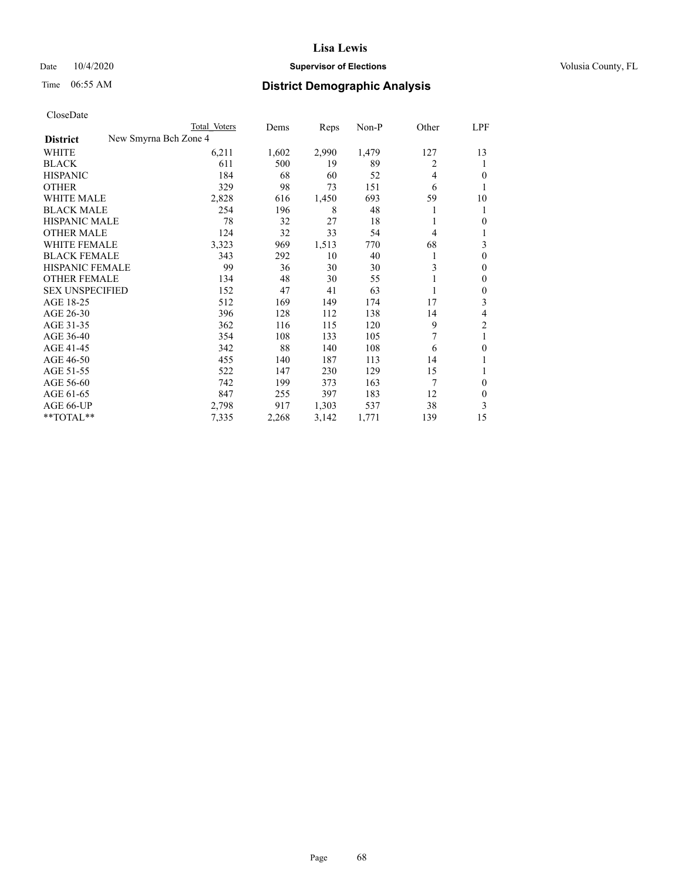## Date  $10/4/2020$  **Supervisor of Elections Supervisor of Elections** Volusia County, FL

|                                          | Total Voters | Dems  | Reps  | Non-P | Other | LPF            |
|------------------------------------------|--------------|-------|-------|-------|-------|----------------|
| New Smyrna Bch Zone 4<br><b>District</b> |              |       |       |       |       |                |
| WHITE                                    | 6,211        | 1,602 | 2,990 | 1,479 | 127   | 13             |
| <b>BLACK</b>                             | 611          | 500   | 19    | 89    | 2     | 1              |
| <b>HISPANIC</b>                          | 184          | 68    | 60    | 52    | 4     | $\theta$       |
| <b>OTHER</b>                             | 329          | 98    | 73    | 151   | 6     | 1              |
| <b>WHITE MALE</b>                        | 2,828        | 616   | 1,450 | 693   | 59    | 10             |
| <b>BLACK MALE</b>                        | 254          | 196   | 8     | 48    |       | 1              |
| <b>HISPANIC MALE</b>                     | 78           | 32    | 27    | 18    |       | $\overline{0}$ |
| <b>OTHER MALE</b>                        | 124          | 32    | 33    | 54    | 4     | 1              |
| <b>WHITE FEMALE</b>                      | 3,323        | 969   | 1,513 | 770   | 68    | 3              |
| <b>BLACK FEMALE</b>                      | 343          | 292   | 10    | 40    |       | $\mathbf{0}$   |
| <b>HISPANIC FEMALE</b>                   | 99           | 36    | 30    | 30    | 3     | $\mathbf{0}$   |
| <b>OTHER FEMALE</b>                      | 134          | 48    | 30    | 55    |       | $\theta$       |
| <b>SEX UNSPECIFIED</b>                   | 152          | 47    | 41    | 63    |       | $\theta$       |
| AGE 18-25                                | 512          | 169   | 149   | 174   | 17    | 3              |
| AGE 26-30                                | 396          | 128   | 112   | 138   | 14    | 4              |
| AGE 31-35                                | 362          | 116   | 115   | 120   | 9     | $\overline{c}$ |
| AGE 36-40                                | 354          | 108   | 133   | 105   |       | 1              |
| AGE 41-45                                | 342          | 88    | 140   | 108   | 6     | $\theta$       |
| AGE 46-50                                | 455          | 140   | 187   | 113   | 14    | 1              |
| AGE 51-55                                | 522          | 147   | 230   | 129   | 15    | 1              |
| AGE 56-60                                | 742          | 199   | 373   | 163   | 7     | $\theta$       |
| AGE 61-65                                | 847          | 255   | 397   | 183   | 12    | $\theta$       |
| AGE 66-UP                                | 2,798        | 917   | 1,303 | 537   | 38    | 3              |
| **TOTAL**                                | 7,335        | 2,268 | 3,142 | 1,771 | 139   | 15             |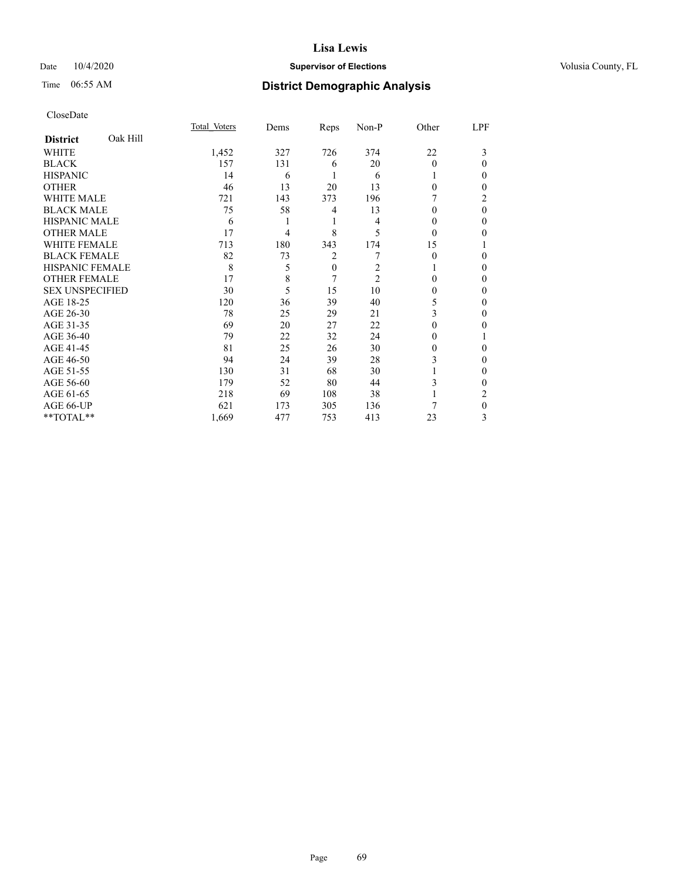## Date  $10/4/2020$  **Supervisor of Elections Supervisor of Elections** Volusia County, FL

# Time 06:55 AM **District Demographic Analysis**

|                        |          | Total Voters | Dems | Reps     | Non-P          | Other    | LPF      |
|------------------------|----------|--------------|------|----------|----------------|----------|----------|
| <b>District</b>        | Oak Hill |              |      |          |                |          |          |
| WHITE                  |          | 1,452        | 327  | 726      | 374            | 22       | 3        |
| <b>BLACK</b>           |          | 157          | 131  | 6        | 20             | $\Omega$ | 0        |
| <b>HISPANIC</b>        |          | 14           | 6    |          | 6              |          | 0        |
| <b>OTHER</b>           |          | 46           | 13   | 20       | 13             | $\Omega$ | 0        |
| WHITE MALE             |          | 721          | 143  | 373      | 196            |          | 2        |
| <b>BLACK MALE</b>      |          | 75           | 58   | 4        | 13             | $\theta$ | $\theta$ |
| <b>HISPANIC MALE</b>   |          | 6            |      | 1        | 4              | $\theta$ | 0        |
| <b>OTHER MALE</b>      |          | 17           | 4    | 8        | 5              | $\Omega$ | 0        |
| WHITE FEMALE           |          | 713          | 180  | 343      | 174            | 15       |          |
| <b>BLACK FEMALE</b>    |          | 82           | 73   | 2        |                | $\Omega$ | 0        |
| <b>HISPANIC FEMALE</b> |          | 8            | 5    | $\theta$ | 2              |          | 0        |
| <b>OTHER FEMALE</b>    |          | 17           | 8    | 7        | $\overline{2}$ | $\Omega$ | 0        |
| <b>SEX UNSPECIFIED</b> |          | 30           | 5    | 15       | 10             | 0        | 0        |
| AGE 18-25              |          | 120          | 36   | 39       | 40             | 5        | 0        |
| AGE 26-30              |          | 78           | 25   | 29       | 21             | 3        | 0        |
| AGE 31-35              |          | 69           | 20   | 27       | 22             | 0        | 0        |
| AGE 36-40              |          | 79           | 22   | 32       | 24             | 0        |          |
| AGE 41-45              |          | 81           | 25   | 26       | 30             | $\theta$ | 0        |
| AGE 46-50              |          | 94           | 24   | 39       | 28             | 3        | 0        |
| AGE 51-55              |          | 130          | 31   | 68       | 30             |          | 0        |
| AGE 56-60              |          | 179          | 52   | 80       | 44             | 3        | 0        |
| AGE 61-65              |          | 218          | 69   | 108      | 38             |          | 2        |
| AGE 66-UP              |          | 621          | 173  | 305      | 136            |          | 0        |
| **TOTAL**              |          | 1,669        | 477  | 753      | 413            | 23       | 3        |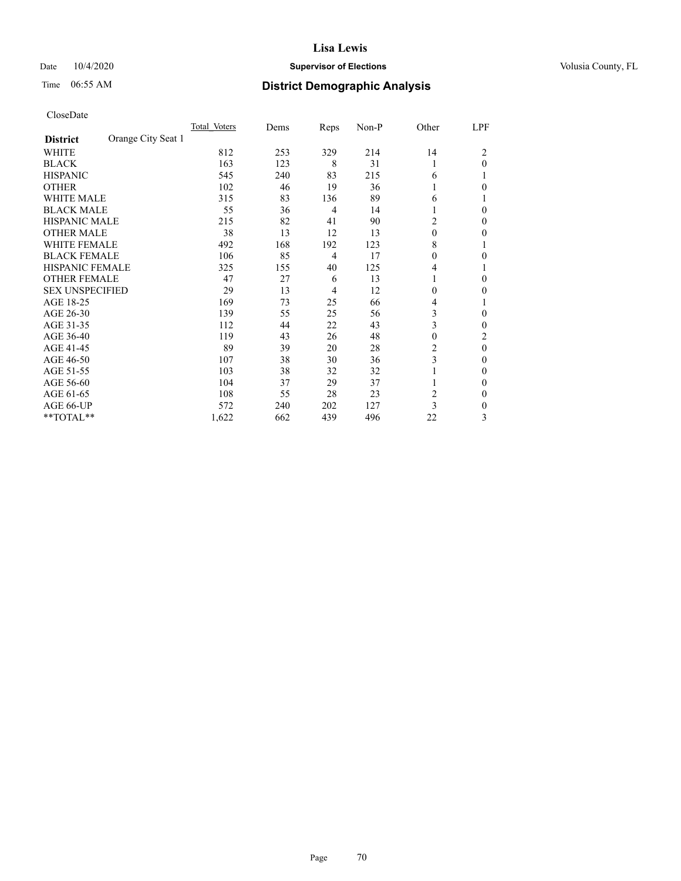## Date  $10/4/2020$  **Supervisor of Elections Supervisor of Elections** Volusia County, FL

# Time 06:55 AM **District Demographic Analysis**

|                        |                    | Total Voters | Dems | Reps           | Non-P | Other    | LPF          |
|------------------------|--------------------|--------------|------|----------------|-------|----------|--------------|
| <b>District</b>        | Orange City Seat 1 |              |      |                |       |          |              |
| WHITE                  |                    | 812          | 253  | 329            | 214   | 14       | 2            |
| <b>BLACK</b>           |                    | 163          | 123  | 8              | 31    | 1        | $\theta$     |
| <b>HISPANIC</b>        |                    | 545          | 240  | 83             | 215   | 6        |              |
| <b>OTHER</b>           |                    | 102          | 46   | 19             | 36    | 1        | 0            |
| <b>WHITE MALE</b>      |                    | 315          | 83   | 136            | 89    | 6        |              |
| <b>BLACK MALE</b>      |                    | 55           | 36   | 4              | 14    | 1        | $\Omega$     |
| <b>HISPANIC MALE</b>   |                    | 215          | 82   | 41             | 90    | 2        | 0            |
| <b>OTHER MALE</b>      |                    | 38           | 13   | 12             | 13    | $\theta$ | 0            |
| <b>WHITE FEMALE</b>    |                    | 492          | 168  | 192            | 123   | 8        |              |
| <b>BLACK FEMALE</b>    |                    | 106          | 85   | $\overline{4}$ | 17    | $\theta$ | 0            |
| <b>HISPANIC FEMALE</b> |                    | 325          | 155  | 40             | 125   | 4        |              |
| <b>OTHER FEMALE</b>    |                    | 47           | 27   | 6              | 13    | 1        | 0            |
| <b>SEX UNSPECIFIED</b> |                    | 29           | 13   | 4              | 12    | $\theta$ | 0            |
| AGE 18-25              |                    | 169          | 73   | 25             | 66    | 4        |              |
| AGE 26-30              |                    | 139          | 55   | 25             | 56    | 3        | $\mathbf{0}$ |
| AGE 31-35              |                    | 112          | 44   | 22             | 43    | 3        | 0            |
| AGE 36-40              |                    | 119          | 43   | 26             | 48    | $\theta$ | 2            |
| AGE 41-45              |                    | 89           | 39   | 20             | 28    | 2        | $\theta$     |
| AGE 46-50              |                    | 107          | 38   | 30             | 36    | 3        | 0            |
| AGE 51-55              |                    | 103          | 38   | 32             | 32    |          | 0            |
| AGE 56-60              |                    | 104          | 37   | 29             | 37    |          | 0            |
| AGE 61-65              |                    | 108          | 55   | 28             | 23    | 2        | 0            |
| AGE 66-UP              |                    | 572          | 240  | 202            | 127   | 3        | 0            |
| **TOTAL**              |                    | 1,622        | 662  | 439            | 496   | 22       | 3            |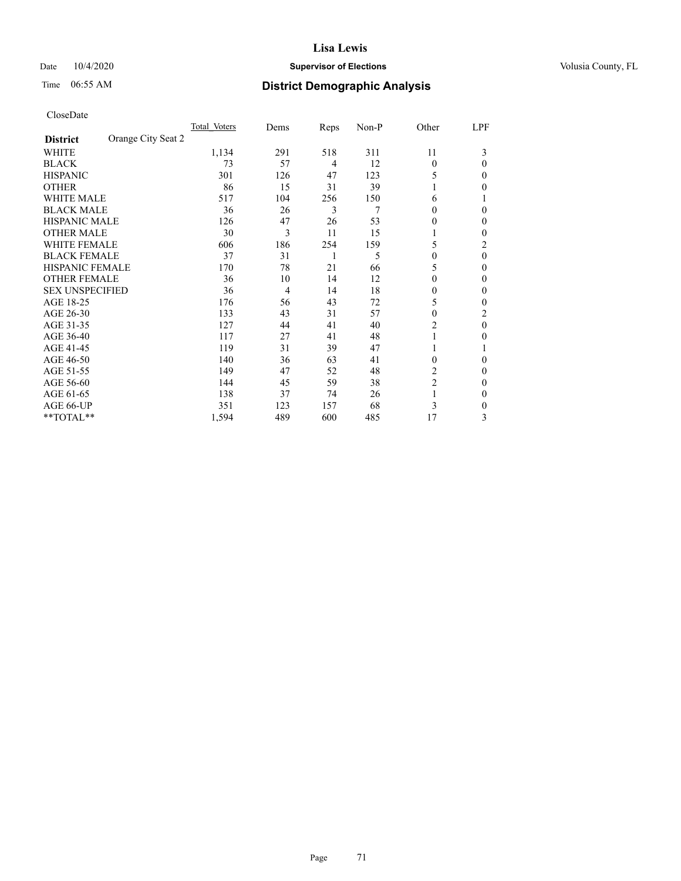## Date  $10/4/2020$  **Supervisor of Elections Supervisor of Elections** Volusia County, FL

# Time 06:55 AM **District Demographic Analysis**

|                                       | Total Voters | Dems | Reps | Non-P | Other          | LPF            |
|---------------------------------------|--------------|------|------|-------|----------------|----------------|
| Orange City Seat 2<br><b>District</b> |              |      |      |       |                |                |
| WHITE                                 | 1,134        | 291  | 518  | 311   | 11             | 3              |
| <b>BLACK</b>                          | 73           | 57   | 4    | 12    | $\theta$       | 0              |
| <b>HISPANIC</b>                       | 301          | 126  | 47   | 123   | 5              | 0              |
| <b>OTHER</b>                          | 86           | 15   | 31   | 39    |                | 0              |
| WHITE MALE                            | 517          | 104  | 256  | 150   | 6              |                |
| <b>BLACK MALE</b>                     | 36           | 26   | 3    | 7     | 0              | 0              |
| <b>HISPANIC MALE</b>                  | 126          | 47   | 26   | 53    | $_{0}$         | 0              |
| <b>OTHER MALE</b>                     | 30           | 3    | 11   | 15    | 1              | 0              |
| <b>WHITE FEMALE</b>                   | 606          | 186  | 254  | 159   | 5              | $\overline{c}$ |
| <b>BLACK FEMALE</b>                   | 37           | 31   | 1    | 5     | 0              | 0              |
| <b>HISPANIC FEMALE</b>                | 170          | 78   | 21   | 66    | 5              | 0              |
| <b>OTHER FEMALE</b>                   | 36           | 10   | 14   | 12    | 0              | 0              |
| <b>SEX UNSPECIFIED</b>                | 36           | 4    | 14   | 18    | 0              | 0              |
| AGE 18-25                             | 176          | 56   | 43   | 72    | 5              | 0              |
| AGE 26-30                             | 133          | 43   | 31   | 57    | $\overline{0}$ | 2              |
| AGE 31-35                             | 127          | 44   | 41   | 40    | $\overline{c}$ | 0              |
| AGE 36-40                             | 117          | 27   | 41   | 48    | 1              | 0              |
| AGE 41-45                             | 119          | 31   | 39   | 47    |                |                |
| AGE 46-50                             | 140          | 36   | 63   | 41    | $\Omega$       | 0              |
| AGE 51-55                             | 149          | 47   | 52   | 48    | 2              | 0              |
| AGE 56-60                             | 144          | 45   | 59   | 38    | $\overline{2}$ | 0              |
| AGE 61-65                             | 138          | 37   | 74   | 26    | 1              | 0              |
| AGE 66-UP                             | 351          | 123  | 157  | 68    | 3              | 0              |
| **TOTAL**                             | 1,594        | 489  | 600  | 485   | 17             | 3              |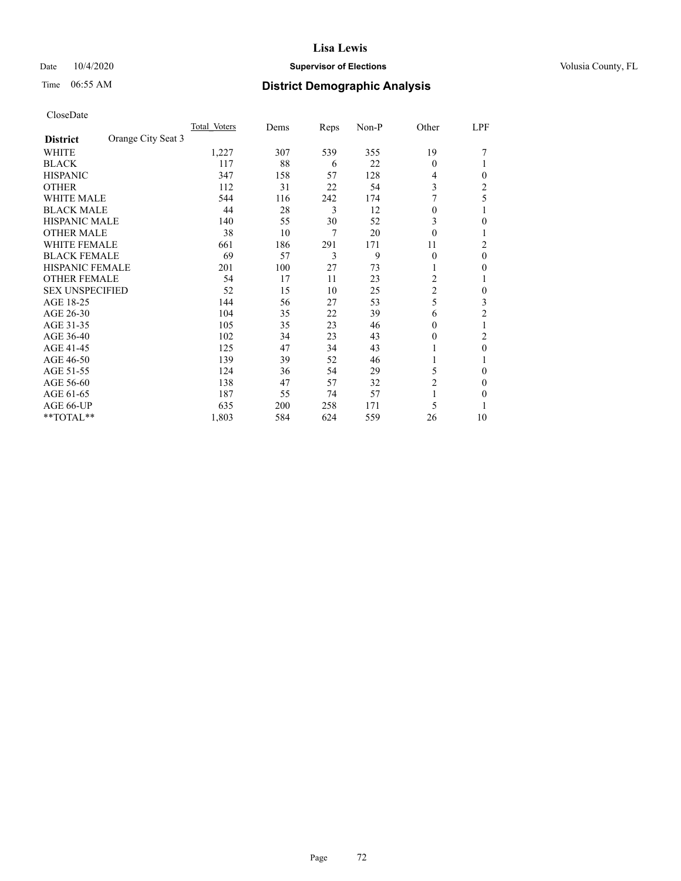## Date  $10/4/2020$  **Supervisor of Elections Supervisor of Elections** Volusia County, FL

# Time 06:55 AM **District Demographic Analysis**

|                                       | Total Voters | Dems | Reps | Non-P | Other          | LPF            |
|---------------------------------------|--------------|------|------|-------|----------------|----------------|
| Orange City Seat 3<br><b>District</b> |              |      |      |       |                |                |
| WHITE                                 | 1,227        | 307  | 539  | 355   | 19             |                |
| <b>BLACK</b>                          | 117          | 88   | 6    | 22    | 0              |                |
| <b>HISPANIC</b>                       | 347          | 158  | 57   | 128   | 4              | 0              |
| <b>OTHER</b>                          | 112          | 31   | 22   | 54    | 3              | 2              |
| <b>WHITE MALE</b>                     | 544          | 116  | 242  | 174   |                | 5              |
| <b>BLACK MALE</b>                     | 44           | 28   | 3    | 12    | $\overline{0}$ | 1              |
| <b>HISPANIC MALE</b>                  | 140          | 55   | 30   | 52    | 3              | 0              |
| <b>OTHER MALE</b>                     | 38           | 10   | 7    | 20    | $\overline{0}$ | 1              |
| <b>WHITE FEMALE</b>                   | 661          | 186  | 291  | 171   | 11             | 2              |
| <b>BLACK FEMALE</b>                   | 69           | 57   | 3    | 9     | $\theta$       | $\theta$       |
| HISPANIC FEMALE                       | 201          | 100  | 27   | 73    |                | 0              |
| <b>OTHER FEMALE</b>                   | 54           | 17   | 11   | 23    | 2              | 1              |
| <b>SEX UNSPECIFIED</b>                | 52           | 15   | 10   | 25    | $\overline{c}$ | 0              |
| AGE 18-25                             | 144          | 56   | 27   | 53    | 5              | 3              |
| AGE 26-30                             | 104          | 35   | 22   | 39    | 6              | $\overline{2}$ |
| AGE 31-35                             | 105          | 35   | 23   | 46    | 0              | 1              |
| AGE 36-40                             | 102          | 34   | 23   | 43    | 0              | 2              |
| AGE 41-45                             | 125          | 47   | 34   | 43    |                | 0              |
| AGE 46-50                             | 139          | 39   | 52   | 46    | 1              | 1              |
| AGE 51-55                             | 124          | 36   | 54   | 29    | 5              | 0              |
| AGE 56-60                             | 138          | 47   | 57   | 32    | $\overline{2}$ | 0              |
| AGE 61-65                             | 187          | 55   | 74   | 57    |                | 0              |
| AGE 66-UP                             | 635          | 200  | 258  | 171   | 5              |                |
| **TOTAL**                             | 1,803        | 584  | 624  | 559   | 26             | 10             |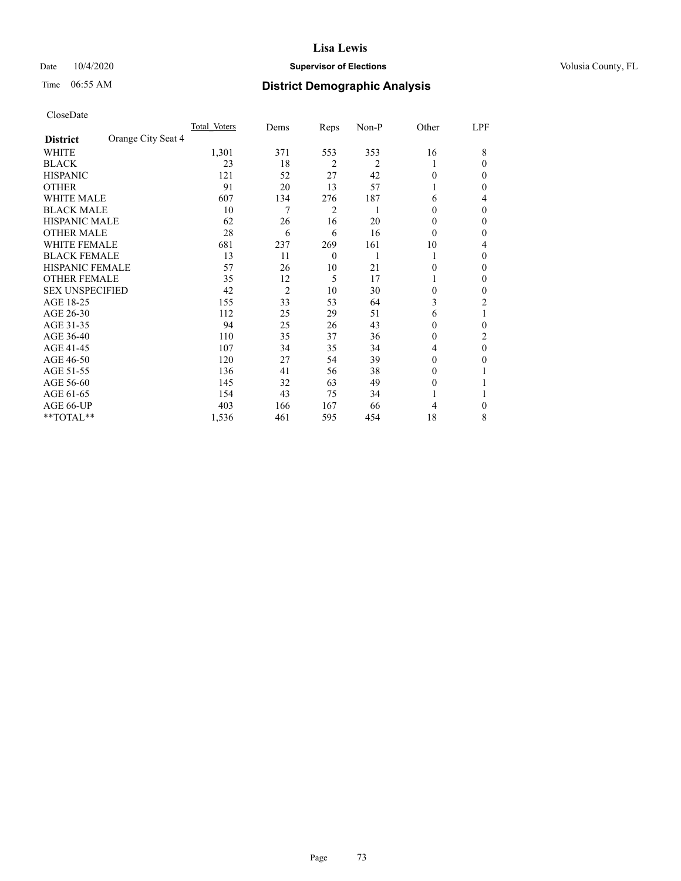### Date  $10/4/2020$  **Supervisor of Elections** Volusia County, FL

# Time 06:55 AM **District Demographic Analysis**

|                                       | Total Voters | Dems           | Reps           | Non-P          | Other          | LPF            |
|---------------------------------------|--------------|----------------|----------------|----------------|----------------|----------------|
| Orange City Seat 4<br><b>District</b> |              |                |                |                |                |                |
| WHITE                                 | 1,301        | 371            | 553            | 353            | 16             | 8              |
| <b>BLACK</b>                          | 23           | 18             | $\overline{2}$ | $\overline{2}$ | 1              | 0              |
| <b>HISPANIC</b>                       | 121          | 52             | 27             | 42             | $\Omega$       | 0              |
| <b>OTHER</b>                          | 91           | 20             | 13             | 57             |                | 0              |
| WHITE MALE                            | 607          | 134            | 276            | 187            | 6              | 4              |
| <b>BLACK MALE</b>                     | 10           | 7              | 2              | 1              | $\Omega$       | 0              |
| <b>HISPANIC MALE</b>                  | 62           | 26             | 16             | 20             | 0              | 0              |
| <b>OTHER MALE</b>                     | 28           | 6              | 6              | 16             | $\theta$       | 0              |
| <b>WHITE FEMALE</b>                   | 681          | 237            | 269            | 161            | 10             | 4              |
| <b>BLACK FEMALE</b>                   | 13           | 11             | $\mathbf{0}$   | 1              | 1              | 0              |
| <b>HISPANIC FEMALE</b>                | 57           | 26             | 10             | 21             | $\Omega$       | 0              |
| <b>OTHER FEMALE</b>                   | 35           | 12             | 5              | 17             |                | 0              |
| <b>SEX UNSPECIFIED</b>                | 42           | $\overline{2}$ | 10             | 30             | $\theta$       | 0              |
| AGE 18-25                             | 155          | 33             | 53             | 64             | 3              | $\overline{c}$ |
| AGE 26-30                             | 112          | 25             | 29             | 51             | 6              |                |
| AGE 31-35                             | 94           | 25             | 26             | 43             | $\Omega$       | 0              |
| AGE 36-40                             | 110          | 35             | 37             | 36             | $\Omega$       | 2              |
| AGE 41-45                             | 107          | 34             | 35             | 34             | 4              | 0              |
| AGE 46-50                             | 120          | 27             | 54             | 39             | $\Omega$       | 0              |
| AGE 51-55                             | 136          | 41             | 56             | 38             | $\overline{0}$ |                |
| AGE 56-60                             | 145          | 32             | 63             | 49             | 0              |                |
| AGE 61-65                             | 154          | 43             | 75             | 34             | 1              |                |
| AGE 66-UP                             | 403          | 166            | 167            | 66             | 4              | 0              |
| **TOTAL**                             | 1,536        | 461            | 595            | 454            | 18             | 8              |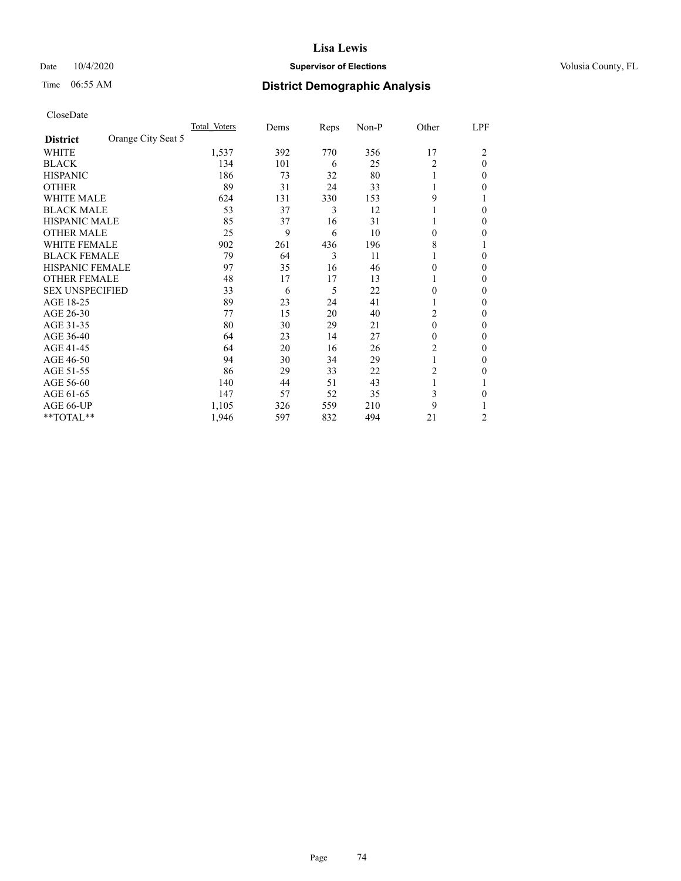## Date  $10/4/2020$  **Supervisor of Elections Supervisor of Elections** Volusia County, FL

# Time 06:55 AM **District Demographic Analysis**

|                                       | Total Voters | Dems | Reps | Non-P | Other | LPF      |
|---------------------------------------|--------------|------|------|-------|-------|----------|
| Orange City Seat 5<br><b>District</b> |              |      |      |       |       |          |
| WHITE                                 | 1,537        | 392  | 770  | 356   | 17    | 2        |
| <b>BLACK</b>                          | 134          | 101  | 6    | 25    | 2     | $\theta$ |
| <b>HISPANIC</b>                       | 186          | 73   | 32   | 80    |       | 0        |
| <b>OTHER</b>                          | 89           | 31   | 24   | 33    |       | 0        |
| <b>WHITE MALE</b>                     | 624          | 131  | 330  | 153   | 9     |          |
| <b>BLACK MALE</b>                     | 53           | 37   | 3    | 12    |       | 0        |
| <b>HISPANIC MALE</b>                  | 85           | 37   | 16   | 31    |       | 0        |
| <b>OTHER MALE</b>                     | 25           | 9    | 6    | 10    | 0     | 0        |
| <b>WHITE FEMALE</b>                   | 902          | 261  | 436  | 196   | 8     |          |
| <b>BLACK FEMALE</b>                   | 79           | 64   | 3    | 11    |       | 0        |
| <b>HISPANIC FEMALE</b>                | 97           | 35   | 16   | 46    | 0     | 0        |
| <b>OTHER FEMALE</b>                   | 48           | 17   | 17   | 13    | 1     | 0        |
| <b>SEX UNSPECIFIED</b>                | 33           | 6    | 5    | 22    | 0     | 0        |
| AGE 18-25                             | 89           | 23   | 24   | 41    |       | 0        |
| AGE 26-30                             | 77           | 15   | 20   | 40    | 2     | 0        |
| AGE 31-35                             | 80           | 30   | 29   | 21    | 0     | 0        |
| AGE 36-40                             | 64           | 23   | 14   | 27    | 0     | 0        |
| AGE 41-45                             | 64           | 20   | 16   | 26    | 2     | 0        |
| AGE 46-50                             | 94           | 30   | 34   | 29    | 1     | 0        |
| AGE 51-55                             | 86           | 29   | 33   | 22    | 2     | 0        |
| AGE 56-60                             | 140          | 44   | 51   | 43    |       |          |
| AGE 61-65                             | 147          | 57   | 52   | 35    | 3     | 0        |
| AGE 66-UP                             | 1,105        | 326  | 559  | 210   | 9     |          |
| **TOTAL**                             | 1,946        | 597  | 832  | 494   | 21    | 2        |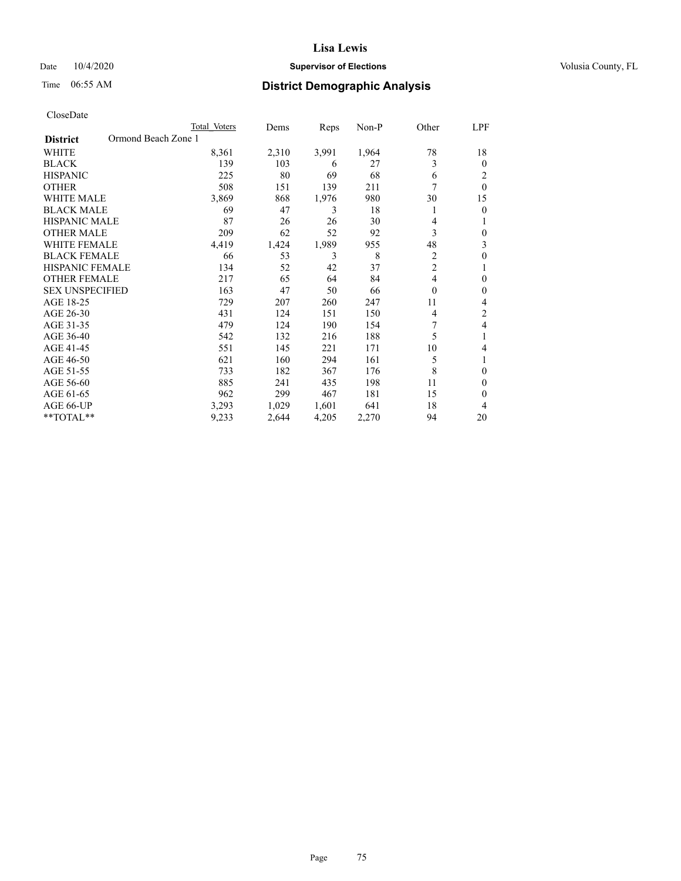## Date  $10/4/2020$  **Supervisor of Elections Supervisor of Elections** Volusia County, FL

# Time 06:55 AM **District Demographic Analysis**

| CloseDate |
|-----------|
|-----------|

|                                        | Total Voters | Dems  | Reps  | Non-P | Other          | LPF      |
|----------------------------------------|--------------|-------|-------|-------|----------------|----------|
| Ormond Beach Zone 1<br><b>District</b> |              |       |       |       |                |          |
| WHITE                                  | 8,361        | 2,310 | 3,991 | 1,964 | 78             | 18       |
| <b>BLACK</b>                           | 139          | 103   | 6     | 27    | 3              | $\theta$ |
| <b>HISPANIC</b>                        | 225          | 80    | 69    | 68    | 6              | 2        |
| <b>OTHER</b>                           | 508          | 151   | 139   | 211   | 7              | $\theta$ |
| <b>WHITE MALE</b>                      | 3,869        | 868   | 1,976 | 980   | 30             | 15       |
| <b>BLACK MALE</b>                      | 69           | 47    | 3     | 18    | 1              | 0        |
| HISPANIC MALE                          | 87           | 26    | 26    | 30    | 4              |          |
| <b>OTHER MALE</b>                      | 209          | 62    | 52    | 92    | 3              | 0        |
| <b>WHITE FEMALE</b>                    | 4,419        | 1,424 | 1,989 | 955   | 48             | 3        |
| <b>BLACK FEMALE</b>                    | 66           | 53    | 3     | 8     | 2              | 0        |
| <b>HISPANIC FEMALE</b>                 | 134          | 52    | 42    | 37    | $\overline{2}$ |          |
| <b>OTHER FEMALE</b>                    | 217          | 65    | 64    | 84    | 4              | 0        |
| <b>SEX UNSPECIFIED</b>                 | 163          | 47    | 50    | 66    | $\theta$       | 0        |
| AGE 18-25                              | 729          | 207   | 260   | 247   | 11             | 4        |
| AGE 26-30                              | 431          | 124   | 151   | 150   | 4              | 2        |
| AGE 31-35                              | 479          | 124   | 190   | 154   | 7              | 4        |
| AGE 36-40                              | 542          | 132   | 216   | 188   | 5              | 1        |
| AGE 41-45                              | 551          | 145   | 221   | 171   | 10             | 4        |
| AGE 46-50                              | 621          | 160   | 294   | 161   | 5              |          |
| AGE 51-55                              | 733          | 182   | 367   | 176   | 8              | $\Omega$ |
| AGE 56-60                              | 885          | 241   | 435   | 198   | 11             | 0        |
| AGE 61-65                              | 962          | 299   | 467   | 181   | 15             | 0        |
| AGE 66-UP                              | 3,293        | 1,029 | 1,601 | 641   | 18             | 4        |
| **TOTAL**                              | 9,233        | 2,644 | 4,205 | 2,270 | 94             | 20       |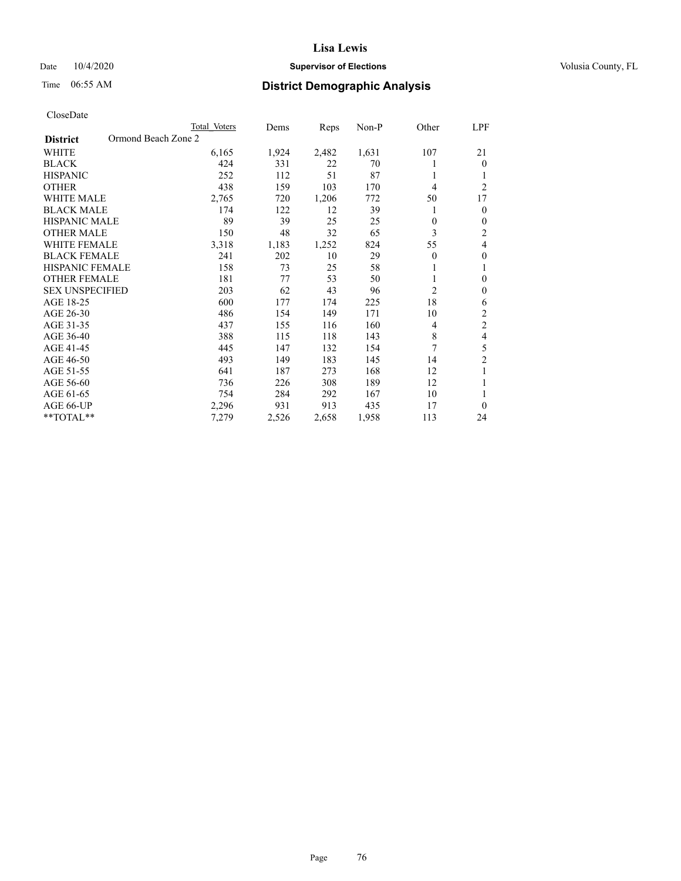## Date  $10/4/2020$  **Supervisor of Elections Supervisor of Elections** Volusia County, FL

# Time 06:55 AM **District Demographic Analysis**

| Total Voters | Dems                | Reps  | Non-P | Other        | <b>LPF</b>     |
|--------------|---------------------|-------|-------|--------------|----------------|
|              |                     |       |       |              |                |
| 6,165        | 1,924               | 2,482 | 1,631 | 107          | 21             |
| 424          | 331                 | 22    | 70    |              | $\mathbf{0}$   |
| 252          | 112                 | 51    | 87    |              | 1              |
| 438          | 159                 | 103   | 170   | 4            | $\overline{2}$ |
| 2,765        | 720                 | 1,206 | 772   | 50           | 17             |
| 174          | 122                 | 12    | 39    |              | $\mathbf{0}$   |
| 89           | 39                  | 25    | 25    | $\mathbf{0}$ | $\mathbf{0}$   |
| 150          | 48                  | 32    | 65    | 3            | 2              |
| 3,318        | 1,183               | 1,252 | 824   | 55           | $\overline{4}$ |
| 241          | 202                 | 10    | 29    | $\mathbf{0}$ | $\mathbf{0}$   |
| 158          | 73                  | 25    | 58    |              | 1              |
| 181          | 77                  | 53    | 50    |              | $\mathbf{0}$   |
| 203          | 62                  | 43    | 96    | 2            | $\mathbf{0}$   |
| 600          | 177                 | 174   | 225   | 18           | 6              |
| 486          | 154                 | 149   | 171   | 10           | $\sqrt{2}$     |
| 437          | 155                 | 116   | 160   | 4            | $\sqrt{2}$     |
| 388          | 115                 | 118   | 143   | 8            | $\overline{4}$ |
| 445          | 147                 | 132   | 154   | 7            | 5              |
| 493          | 149                 | 183   | 145   | 14           | $\overline{c}$ |
| 641          | 187                 | 273   | 168   | 12           | 1              |
| 736          | 226                 | 308   | 189   | 12           | 1              |
| 754          | 284                 | 292   | 167   | 10           | 1              |
| 2,296        | 931                 | 913   | 435   | 17           | $\theta$       |
| 7,279        | 2,526               | 2,658 | 1,958 | 113          | 24             |
|              | Ormond Beach Zone 2 |       |       |              |                |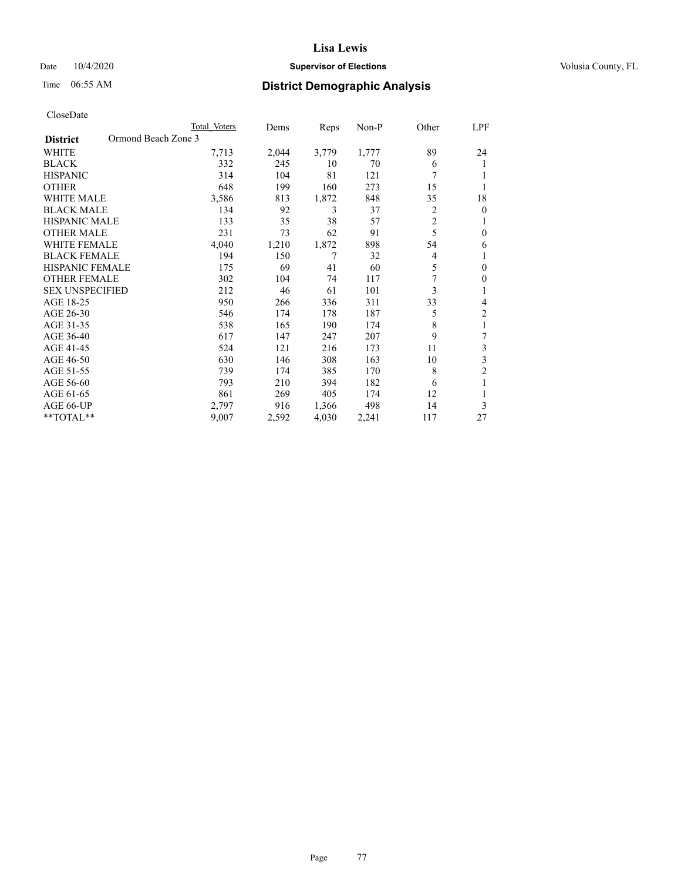## Date  $10/4/2020$  **Supervisor of Elections Supervisor of Elections** Volusia County, FL

# Time 06:55 AM **District Demographic Analysis**

|                                        | Total Voters | Dems  | Reps  | Non-P | Other | LPF            |
|----------------------------------------|--------------|-------|-------|-------|-------|----------------|
| Ormond Beach Zone 3<br><b>District</b> |              |       |       |       |       |                |
| WHITE                                  | 7,713        | 2,044 | 3,779 | 1,777 | 89    | 24             |
| <b>BLACK</b>                           | 332          | 245   | 10    | 70    | 6     | 1              |
| <b>HISPANIC</b>                        | 314          | 104   | 81    | 121   | 7     | 1              |
| <b>OTHER</b>                           | 648          | 199   | 160   | 273   | 15    | 1              |
| WHITE MALE                             | 3,586        | 813   | 1,872 | 848   | 35    | 18             |
| <b>BLACK MALE</b>                      | 134          | 92    | 3     | 37    | 2     | $\mathbf{0}$   |
| <b>HISPANIC MALE</b>                   | 133          | 35    | 38    | 57    | 2     | 1              |
| <b>OTHER MALE</b>                      | 231          | 73    | 62    | 91    | 5     | $\mathbf{0}$   |
| WHITE FEMALE                           | 4,040        | 1,210 | 1,872 | 898   | 54    | 6              |
| <b>BLACK FEMALE</b>                    | 194          | 150   | 7     | 32    | 4     | 1              |
| <b>HISPANIC FEMALE</b>                 | 175          | 69    | 41    | 60    | 5     | $\theta$       |
| <b>OTHER FEMALE</b>                    | 302          | 104   | 74    | 117   | 7     | $\mathbf{0}$   |
| <b>SEX UNSPECIFIED</b>                 | 212          | 46    | 61    | 101   | 3     | 1              |
| AGE 18-25                              | 950          | 266   | 336   | 311   | 33    | 4              |
| AGE 26-30                              | 546          | 174   | 178   | 187   | 5     | $\overline{2}$ |
| AGE 31-35                              | 538          | 165   | 190   | 174   | 8     | 1              |
| AGE 36-40                              | 617          | 147   | 247   | 207   | 9     | 7              |
| AGE 41-45                              | 524          | 121   | 216   | 173   | 11    | 3              |
| AGE 46-50                              | 630          | 146   | 308   | 163   | 10    | 3              |
| AGE 51-55                              | 739          | 174   | 385   | 170   | 8     | $\overline{2}$ |
| AGE 56-60                              | 793          | 210   | 394   | 182   | 6     | 1              |
| AGE 61-65                              | 861          | 269   | 405   | 174   | 12    | 1              |
| AGE 66-UP                              | 2,797        | 916   | 1,366 | 498   | 14    | 3              |
| **TOTAL**                              | 9,007        | 2,592 | 4,030 | 2,241 | 117   | 27             |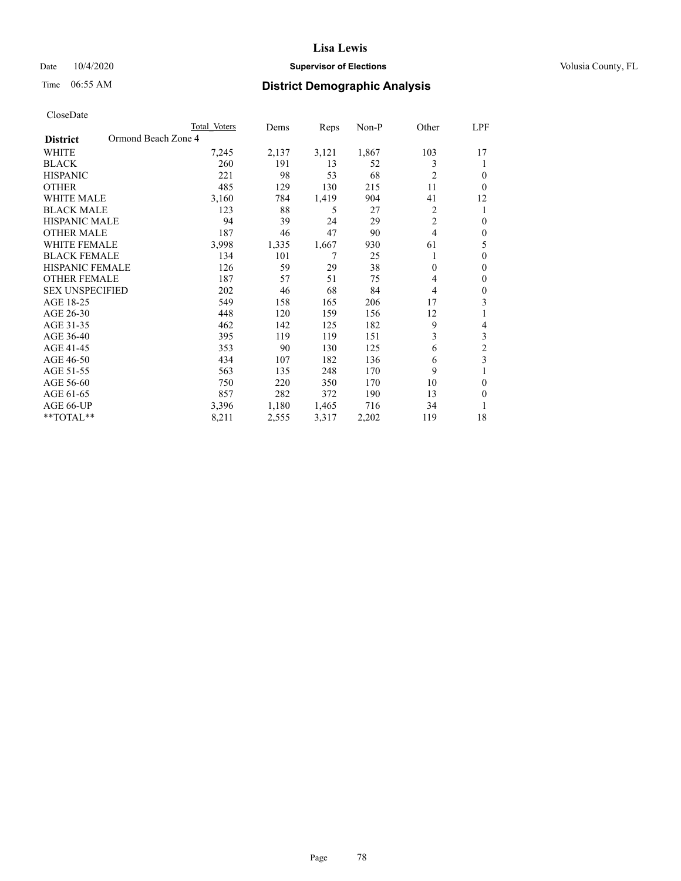## Date  $10/4/2020$  **Supervisor of Elections Supervisor of Elections** Volusia County, FL

# Time 06:55 AM **District Demographic Analysis**

|                                        | Total Voters | Dems  | Reps  | Non-P | Other          | LPF          |
|----------------------------------------|--------------|-------|-------|-------|----------------|--------------|
| Ormond Beach Zone 4<br><b>District</b> |              |       |       |       |                |              |
| WHITE                                  | 7,245        | 2,137 | 3,121 | 1,867 | 103            | 17           |
| <b>BLACK</b>                           | 260          | 191   | 13    | 52    | 3              | 1            |
| <b>HISPANIC</b>                        | 221          | 98    | 53    | 68    | $\overline{2}$ | $\theta$     |
| <b>OTHER</b>                           | 485          | 129   | 130   | 215   | 11             | $\Omega$     |
| <b>WHITE MALE</b>                      | 3,160        | 784   | 1,419 | 904   | 41             | 12           |
| <b>BLACK MALE</b>                      | 123          | 88    | 5     | 27    | 2              | 1            |
| <b>HISPANIC MALE</b>                   | 94           | 39    | 24    | 29    | $\overline{2}$ | $\theta$     |
| <b>OTHER MALE</b>                      | 187          | 46    | 47    | 90    | 4              | $\mathbf{0}$ |
| <b>WHITE FEMALE</b>                    | 3,998        | 1,335 | 1,667 | 930   | 61             | 5            |
| <b>BLACK FEMALE</b>                    | 134          | 101   | 7     | 25    |                | $\theta$     |
| <b>HISPANIC FEMALE</b>                 | 126          | 59    | 29    | 38    | $\theta$       | $\Omega$     |
| <b>OTHER FEMALE</b>                    | 187          | 57    | 51    | 75    | 4              | $\theta$     |
| <b>SEX UNSPECIFIED</b>                 | 202          | 46    | 68    | 84    | 4              | $\theta$     |
| AGE 18-25                              | 549          | 158   | 165   | 206   | 17             | 3            |
| AGE 26-30                              | 448          | 120   | 159   | 156   | 12             | 1            |
| AGE 31-35                              | 462          | 142   | 125   | 182   | 9              | 4            |
| AGE 36-40                              | 395          | 119   | 119   | 151   | 3              | 3            |
| AGE 41-45                              | 353          | 90    | 130   | 125   | 6              | 2            |
| AGE 46-50                              | 434          | 107   | 182   | 136   | 6              | 3            |
| AGE 51-55                              | 563          | 135   | 248   | 170   | 9              | 1            |
| AGE 56-60                              | 750          | 220   | 350   | 170   | 10             | $\theta$     |
| AGE 61-65                              | 857          | 282   | 372   | 190   | 13             | $\theta$     |
| AGE 66-UP                              | 3,396        | 1,180 | 1,465 | 716   | 34             |              |
| **TOTAL**                              | 8,211        | 2,555 | 3,317 | 2,202 | 119            | 18           |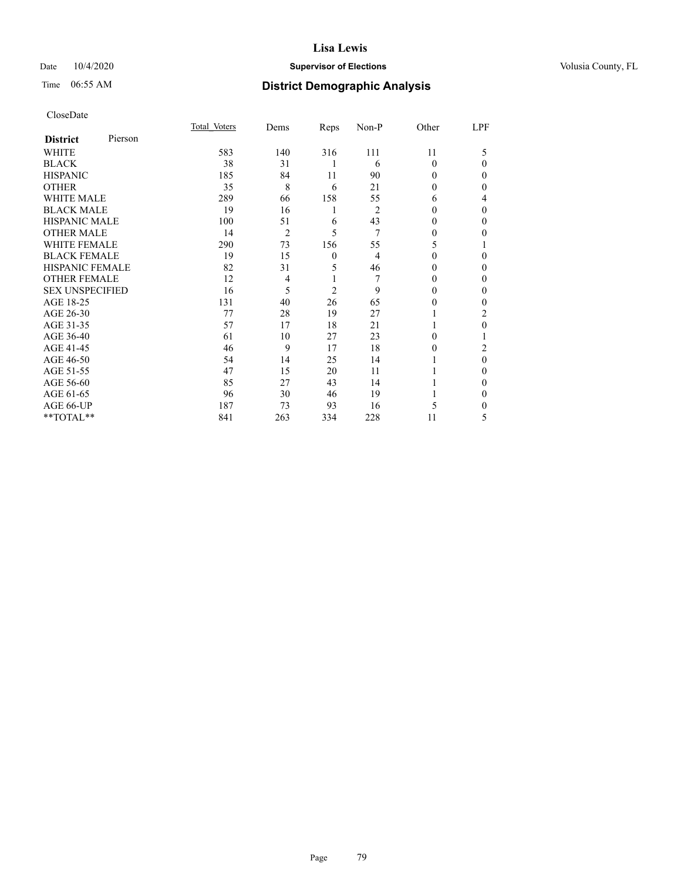## Date  $10/4/2020$  **Supervisor of Elections Supervisor of Elections** Volusia County, FL

# Time 06:55 AM **District Demographic Analysis**

| CloseDate |
|-----------|
|-----------|

|                        |         | Total Voters | Dems           | Reps           | Non-P          | Other    | LPF      |
|------------------------|---------|--------------|----------------|----------------|----------------|----------|----------|
| <b>District</b>        | Pierson |              |                |                |                |          |          |
| <b>WHITE</b>           |         | 583          | 140            | 316            | 111            | 11       | 5        |
| <b>BLACK</b>           |         | 38           | 31             | 1              | 6              | $\Omega$ | $\Omega$ |
| <b>HISPANIC</b>        |         | 185          | 84             | 11             | 90             | 0        | $\theta$ |
| <b>OTHER</b>           |         | 35           | 8              | 6              | 21             | 0        | $\Omega$ |
| <b>WHITE MALE</b>      |         | 289          | 66             | 158            | 55             | 6        | 4        |
| <b>BLACK MALE</b>      |         | 19           | 16             | 1              | $\overline{2}$ | 0        | $\theta$ |
| <b>HISPANIC MALE</b>   |         | 100          | 51             | 6              | 43             | 0        | $\theta$ |
| <b>OTHER MALE</b>      |         | 14           | $\overline{2}$ | 5              | 7              | 0        | 0        |
| <b>WHITE FEMALE</b>    |         | 290          | 73             | 156            | 55             | 5        |          |
| <b>BLACK FEMALE</b>    |         | 19           | 15             | 0              | $\overline{4}$ | 0        | $\Omega$ |
| <b>HISPANIC FEMALE</b> |         | 82           | 31             | 5              | 46             | 0        | $\Omega$ |
| <b>OTHER FEMALE</b>    |         | 12           | 4              | 1              | 7              | $\Omega$ | 0        |
| <b>SEX UNSPECIFIED</b> |         | 16           | 5              | $\overline{c}$ | 9              | 0        | $\theta$ |
| AGE 18-25              |         | 131          | 40             | 26             | 65             | 0        | 0        |
| AGE 26-30              |         | 77           | 28             | 19             | 27             |          | 2        |
| AGE 31-35              |         | 57           | 17             | 18             | 21             |          | $\Omega$ |
| AGE 36-40              |         | 61           | 10             | 27             | 23             | 0        |          |
| AGE 41-45              |         | 46           | 9              | 17             | 18             | $\Omega$ | 2        |
| AGE 46-50              |         | 54           | 14             | 25             | 14             |          | $\theta$ |
| AGE 51-55              |         | 47           | 15             | 20             | 11             |          | $\Omega$ |
| AGE 56-60              |         | 85           | 27             | 43             | 14             |          | $\Omega$ |
| AGE 61-65              |         | 96           | 30             | 46             | 19             |          | $\Omega$ |
| AGE 66-UP              |         | 187          | 73             | 93             | 16             | 5        | $\Omega$ |
| **TOTAL**              |         | 841          | 263            | 334            | 228            | 11       | 5        |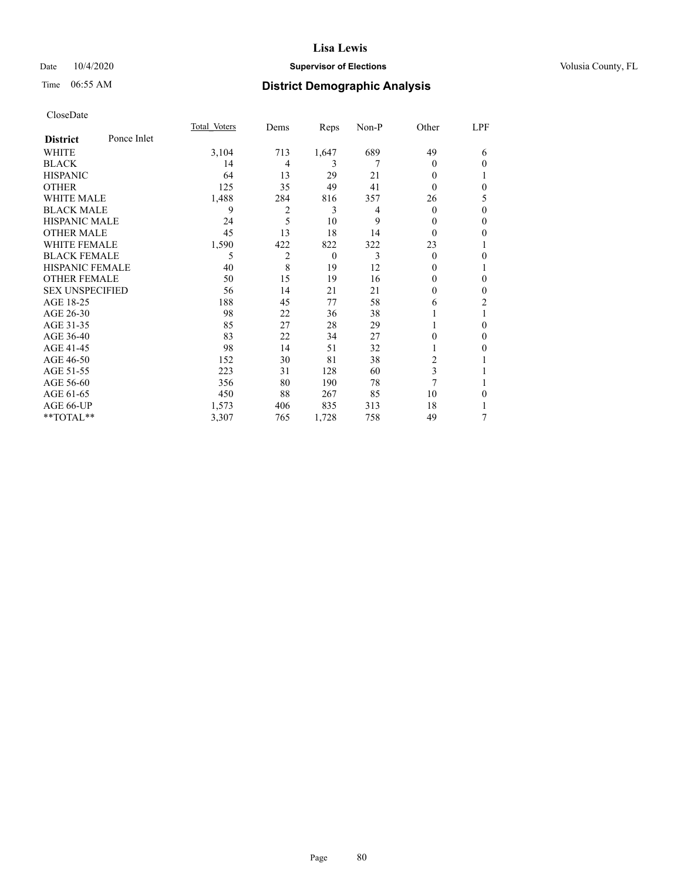## Date  $10/4/2020$  **Supervisor of Elections Supervisor of Elections** Volusia County, FL

# Time 06:55 AM **District Demographic Analysis**

|                        |             | Total Voters | Dems           | Reps     | Non-P | Other          | LPF            |
|------------------------|-------------|--------------|----------------|----------|-------|----------------|----------------|
| <b>District</b>        | Ponce Inlet |              |                |          |       |                |                |
| WHITE                  |             | 3,104        | 713            | 1,647    | 689   | 49             | 6              |
| <b>BLACK</b>           |             | 14           | 4              | 3        | 7     | 0              | $\theta$       |
| <b>HISPANIC</b>        |             | 64           | 13             | 29       | 21    | 0              |                |
| <b>OTHER</b>           |             | 125          | 35             | 49       | 41    | 0              | $\theta$       |
| WHITE MALE             |             | 1,488        | 284            | 816      | 357   | 26             | 5              |
| <b>BLACK MALE</b>      |             | 9            | $\overline{c}$ | 3        | 4     | 0              | $\theta$       |
| <b>HISPANIC MALE</b>   |             | 24           | 5              | 10       | 9     | 0              | $\theta$       |
| <b>OTHER MALE</b>      |             | 45           | 13             | 18       | 14    | $\Omega$       | $\mathbf{0}$   |
| <b>WHITE FEMALE</b>    |             | 1,590        | 422            | 822      | 322   | 23             | 1              |
| <b>BLACK FEMALE</b>    |             | 5            | 2              | $\theta$ | 3     | $\Omega$       | $\theta$       |
| <b>HISPANIC FEMALE</b> |             | 40           | 8              | 19       | 12    | $_{0}$         | 1              |
| <b>OTHER FEMALE</b>    |             | 50           | 15             | 19       | 16    | 0              | $\theta$       |
| <b>SEX UNSPECIFIED</b> |             | 56           | 14             | 21       | 21    | 0              | $\theta$       |
| AGE 18-25              |             | 188          | 45             | 77       | 58    | 6              | $\overline{c}$ |
| AGE 26-30              |             | 98           | 22             | 36       | 38    |                | 1              |
| AGE 31-35              |             | 85           | 27             | 28       | 29    |                | $\theta$       |
| AGE 36-40              |             | 83           | 22             | 34       | 27    | 0              | $\Omega$       |
| AGE 41-45              |             | 98           | 14             | 51       | 32    |                | $\theta$       |
| AGE 46-50              |             | 152          | 30             | 81       | 38    | $\overline{c}$ |                |
| AGE 51-55              |             | 223          | 31             | 128      | 60    | 3              |                |
| AGE 56-60              |             | 356          | 80             | 190      | 78    | 7              |                |
| AGE 61-65              |             | 450          | 88             | 267      | 85    | 10             | $\theta$       |
| AGE 66-UP              |             | 1,573        | 406            | 835      | 313   | 18             | 1              |
| **TOTAL**              |             | 3,307        | 765            | 1,728    | 758   | 49             | 7              |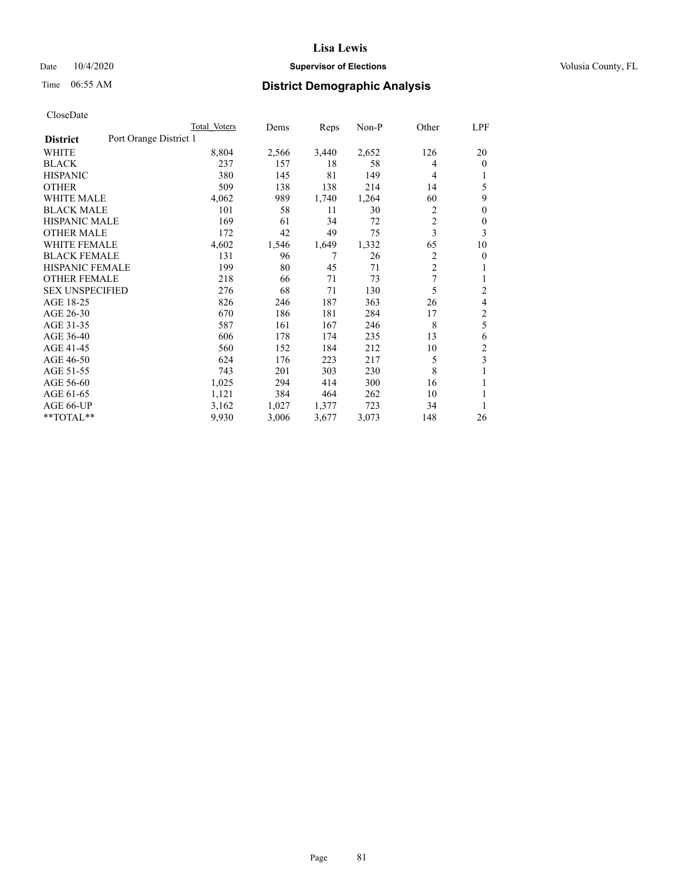## Date  $10/4/2020$  **Supervisor of Elections Supervisor of Elections** Volusia County, FL

# Time 06:55 AM **District Demographic Analysis**

|                        |                        | Total Voters | Dems  | Reps  | Non-P | Other          | LPF            |
|------------------------|------------------------|--------------|-------|-------|-------|----------------|----------------|
| <b>District</b>        | Port Orange District 1 |              |       |       |       |                |                |
| WHITE                  |                        | 8,804        | 2,566 | 3,440 | 2,652 | 126            | 20             |
| <b>BLACK</b>           |                        | 237          | 157   | 18    | 58    | 4              | $\mathbf{0}$   |
| <b>HISPANIC</b>        |                        | 380          | 145   | 81    | 149   | 4              | 1              |
| <b>OTHER</b>           |                        | 509          | 138   | 138   | 214   | 14             | 5              |
| <b>WHITE MALE</b>      |                        | 4,062        | 989   | 1,740 | 1,264 | 60             | 9              |
| <b>BLACK MALE</b>      |                        | 101          | 58    | 11    | 30    | 2              | $\theta$       |
| <b>HISPANIC MALE</b>   |                        | 169          | 61    | 34    | 72    | 2              | $\theta$       |
| <b>OTHER MALE</b>      |                        | 172          | 42    | 49    | 75    | 3              | 3              |
| WHITE FEMALE           |                        | 4,602        | 1,546 | 1,649 | 1,332 | 65             | 10             |
| <b>BLACK FEMALE</b>    |                        | 131          | 96    | 7     | 26    | 2              | 0              |
| <b>HISPANIC FEMALE</b> |                        | 199          | 80    | 45    | 71    | $\overline{2}$ | 1              |
| <b>OTHER FEMALE</b>    |                        | 218          | 66    | 71    | 73    | 7              | 1              |
| <b>SEX UNSPECIFIED</b> |                        | 276          | 68    | 71    | 130   | 5              | $\overline{c}$ |
| AGE 18-25              |                        | 826          | 246   | 187   | 363   | 26             | 4              |
| AGE 26-30              |                        | 670          | 186   | 181   | 284   | 17             | $\overline{c}$ |
| AGE 31-35              |                        | 587          | 161   | 167   | 246   | 8              | 5              |
| AGE 36-40              |                        | 606          | 178   | 174   | 235   | 13             | 6              |
| AGE 41-45              |                        | 560          | 152   | 184   | 212   | 10             | 2              |
| AGE 46-50              |                        | 624          | 176   | 223   | 217   | 5              | 3              |
| AGE 51-55              |                        | 743          | 201   | 303   | 230   | 8              | 1              |
| AGE 56-60              |                        | 1,025        | 294   | 414   | 300   | 16             |                |
| AGE 61-65              |                        | 1,121        | 384   | 464   | 262   | 10             | 1              |
| AGE 66-UP              |                        | 3,162        | 1,027 | 1,377 | 723   | 34             |                |
| $*$ $TOTAL**$          |                        | 9,930        | 3,006 | 3,677 | 3,073 | 148            | 26             |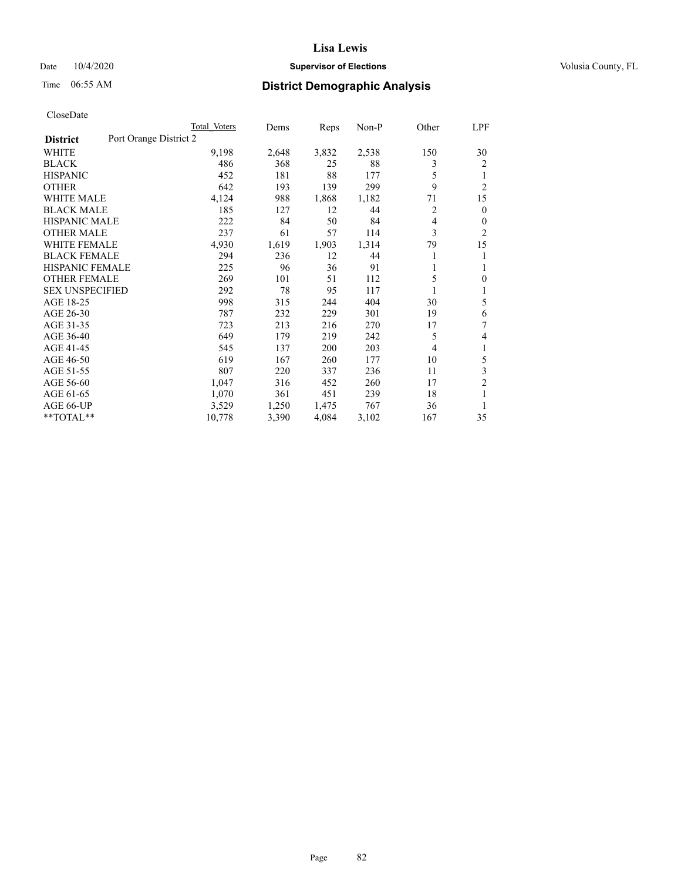## Date  $10/4/2020$  **Supervisor of Elections Supervisor of Elections** Volusia County, FL

# Time 06:55 AM **District Demographic Analysis**

|                                           | Total Voters | Dems  | Reps  | Non-P | Other | <u>LPF</u>     |
|-------------------------------------------|--------------|-------|-------|-------|-------|----------------|
| Port Orange District 2<br><b>District</b> |              |       |       |       |       |                |
| WHITE                                     | 9,198        | 2,648 | 3,832 | 2,538 | 150   | 30             |
| <b>BLACK</b>                              | 486          | 368   | 25    | 88    | 3     | 2              |
| <b>HISPANIC</b>                           | 452          | 181   | 88    | 177   | 5     | 1              |
| <b>OTHER</b>                              | 642          | 193   | 139   | 299   | 9     | $\overline{2}$ |
| <b>WHITE MALE</b>                         | 4,124        | 988   | 1,868 | 1,182 | 71    | 15             |
| <b>BLACK MALE</b>                         | 185          | 127   | 12    | 44    | 2     | $\overline{0}$ |
| <b>HISPANIC MALE</b>                      | 222          | 84    | 50    | 84    | 4     | $\theta$       |
| <b>OTHER MALE</b>                         | 237          | 61    | 57    | 114   | 3     | 2              |
| <b>WHITE FEMALE</b>                       | 4,930        | 1,619 | 1,903 | 1,314 | 79    | 15             |
| <b>BLACK FEMALE</b>                       | 294          | 236   | 12    | 44    |       | 1              |
| <b>HISPANIC FEMALE</b>                    | 225          | 96    | 36    | 91    | 1     | 1              |
| <b>OTHER FEMALE</b>                       | 269          | 101   | 51    | 112   | 5     | $\theta$       |
| <b>SEX UNSPECIFIED</b>                    | 292          | 78    | 95    | 117   |       | 1              |
| AGE 18-25                                 | 998          | 315   | 244   | 404   | 30    | 5              |
| AGE 26-30                                 | 787          | 232   | 229   | 301   | 19    | 6              |
| AGE 31-35                                 | 723          | 213   | 216   | 270   | 17    | 7              |
| AGE 36-40                                 | 649          | 179   | 219   | 242   | 5     | 4              |
| AGE 41-45                                 | 545          | 137   | 200   | 203   | 4     | 1              |
| AGE 46-50                                 | 619          | 167   | 260   | 177   | 10    | 5              |
| AGE 51-55                                 | 807          | 220   | 337   | 236   | 11    | 3              |
| AGE 56-60                                 | 1,047        | 316   | 452   | 260   | 17    | $\overline{2}$ |
| AGE 61-65                                 | 1,070        | 361   | 451   | 239   | 18    | 1              |
| AGE 66-UP                                 | 3,529        | 1,250 | 1,475 | 767   | 36    | 1              |
| **TOTAL**                                 | 10,778       | 3,390 | 4,084 | 3,102 | 167   | 35             |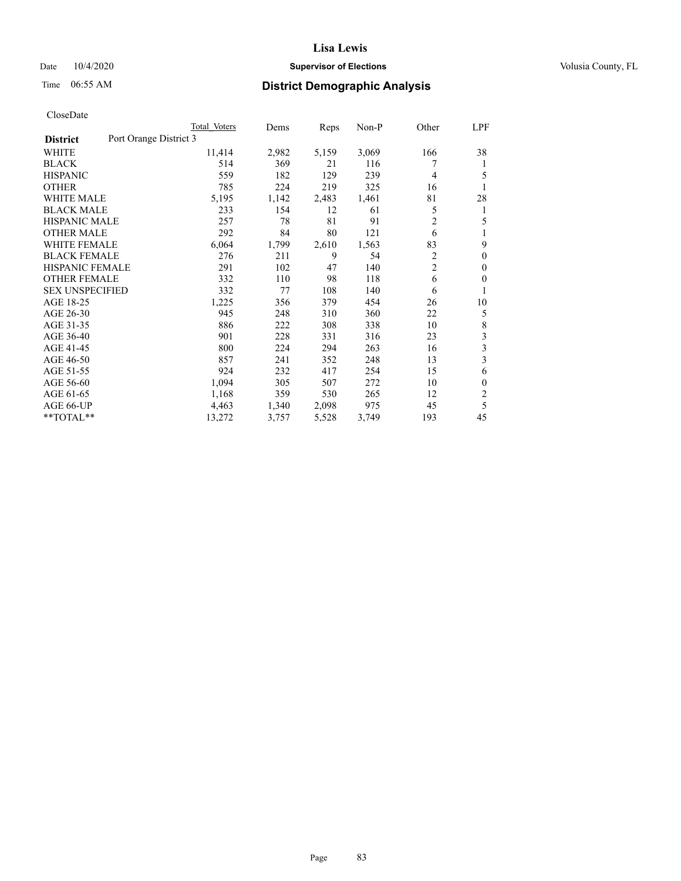## Date  $10/4/2020$  **Supervisor of Elections Supervisor of Elections** Volusia County, FL

# Time 06:55 AM **District Demographic Analysis**

|                        | Total Voters           | Dems  | Reps  | Non-P | Other          | LPF          |
|------------------------|------------------------|-------|-------|-------|----------------|--------------|
| <b>District</b>        | Port Orange District 3 |       |       |       |                |              |
| WHITE                  | 11,414                 | 2,982 | 5,159 | 3,069 | 166            | 38           |
| <b>BLACK</b>           | 514                    | 369   | 21    | 116   |                | 1            |
| <b>HISPANIC</b>        | 559                    | 182   | 129   | 239   | 4              | 5            |
| <b>OTHER</b>           | 785                    | 224   | 219   | 325   | 16             | 1            |
| <b>WHITE MALE</b>      | 5,195                  | 1,142 | 2,483 | 1,461 | 81             | 28           |
| <b>BLACK MALE</b>      | 233                    | 154   | 12    | 61    | 5              | 1            |
| <b>HISPANIC MALE</b>   | 257                    | 78    | 81    | 91    | 2              | 5            |
| <b>OTHER MALE</b>      | 292                    | 84    | 80    | 121   | 6              | 1            |
| WHITE FEMALE           | 6,064                  | 1,799 | 2,610 | 1,563 | 83             | 9            |
| <b>BLACK FEMALE</b>    | 276                    | 211   | 9     | 54    | 2              | $\mathbf{0}$ |
| <b>HISPANIC FEMALE</b> | 291                    | 102   | 47    | 140   | $\overline{2}$ | $\mathbf{0}$ |
| <b>OTHER FEMALE</b>    | 332                    | 110   | 98    | 118   | 6              | $\theta$     |
| <b>SEX UNSPECIFIED</b> | 332                    | 77    | 108   | 140   | 6              | 1            |
| AGE 18-25              | 1,225                  | 356   | 379   | 454   | 26             | 10           |
| AGE 26-30              | 945                    | 248   | 310   | 360   | 22             | 5            |
| AGE 31-35              | 886                    | 222   | 308   | 338   | 10             | 8            |
| AGE 36-40              | 901                    | 228   | 331   | 316   | 23             | 3            |
| AGE 41-45              | 800                    | 224   | 294   | 263   | 16             | 3            |
| AGE 46-50              | 857                    | 241   | 352   | 248   | 13             | 3            |
| AGE 51-55              | 924                    | 232   | 417   | 254   | 15             | 6            |
| AGE 56-60              | 1,094                  | 305   | 507   | 272   | 10             | $\mathbf{0}$ |
| AGE 61-65              | 1,168                  | 359   | 530   | 265   | 12             | 2            |
| AGE 66-UP              | 4,463                  | 1,340 | 2,098 | 975   | 45             | 5            |
| **TOTAL**              | 13,272                 | 3,757 | 5,528 | 3,749 | 193            | 45           |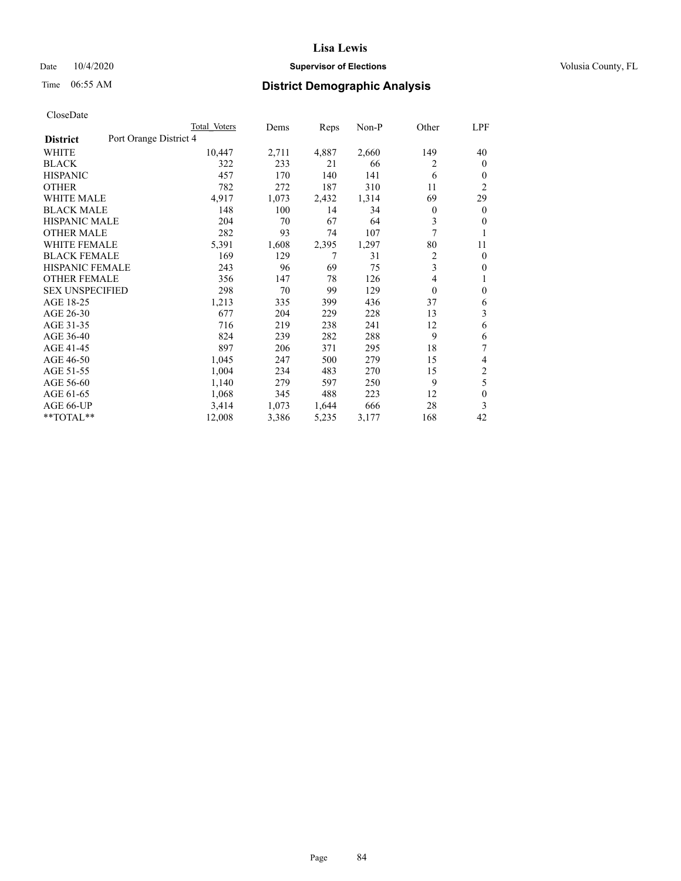## Date  $10/4/2020$  **Supervisor of Elections Supervisor of Elections** Volusia County, FL

# Time 06:55 AM **District Demographic Analysis**

|                                           | Total Voters | Dems  | Reps  | Non-P | Other          | LPF          |
|-------------------------------------------|--------------|-------|-------|-------|----------------|--------------|
| Port Orange District 4<br><b>District</b> |              |       |       |       |                |              |
| WHITE                                     | 10,447       | 2,711 | 4,887 | 2,660 | 149            | 40           |
| <b>BLACK</b>                              | 322          | 233   | 21    | 66    | 2              | $\mathbf{0}$ |
| <b>HISPANIC</b>                           | 457          | 170   | 140   | 141   | 6              | $\mathbf{0}$ |
| <b>OTHER</b>                              | 782          | 272   | 187   | 310   | 11             | 2            |
| <b>WHITE MALE</b>                         | 4,917        | 1,073 | 2,432 | 1,314 | 69             | 29           |
| <b>BLACK MALE</b>                         | 148          | 100   | 14    | 34    | $\overline{0}$ | $\mathbf{0}$ |
| <b>HISPANIC MALE</b>                      | 204          | 70    | 67    | 64    | 3              | $\mathbf{0}$ |
| <b>OTHER MALE</b>                         | 282          | 93    | 74    | 107   | 7              |              |
| <b>WHITE FEMALE</b>                       | 5,391        | 1,608 | 2,395 | 1,297 | 80             | 11           |
| <b>BLACK FEMALE</b>                       | 169          | 129   | 7     | 31    | 2              | $\mathbf{0}$ |
| <b>HISPANIC FEMALE</b>                    | 243          | 96    | 69    | 75    | 3              | $\Omega$     |
| <b>OTHER FEMALE</b>                       | 356          | 147   | 78    | 126   | 4              |              |
| <b>SEX UNSPECIFIED</b>                    | 298          | 70    | 99    | 129   | $\theta$       | $\theta$     |
| AGE 18-25                                 | 1,213        | 335   | 399   | 436   | 37             | 6            |
| AGE 26-30                                 | 677          | 204   | 229   | 228   | 13             | 3            |
| AGE 31-35                                 | 716          | 219   | 238   | 241   | 12             | 6            |
| AGE 36-40                                 | 824          | 239   | 282   | 288   | 9              | 6            |
| AGE 41-45                                 | 897          | 206   | 371   | 295   | 18             | 7            |
| AGE 46-50                                 | 1,045        | 247   | 500   | 279   | 15             | 4            |
| AGE 51-55                                 | 1,004        | 234   | 483   | 270   | 15             | 2            |
| AGE 56-60                                 | 1,140        | 279   | 597   | 250   | 9              | 5            |
| AGE 61-65                                 | 1,068        | 345   | 488   | 223   | 12             | $\theta$     |
| AGE 66-UP                                 | 3,414        | 1,073 | 1,644 | 666   | 28             | 3            |
| **TOTAL**                                 | 12,008       | 3,386 | 5,235 | 3,177 | 168            | 42           |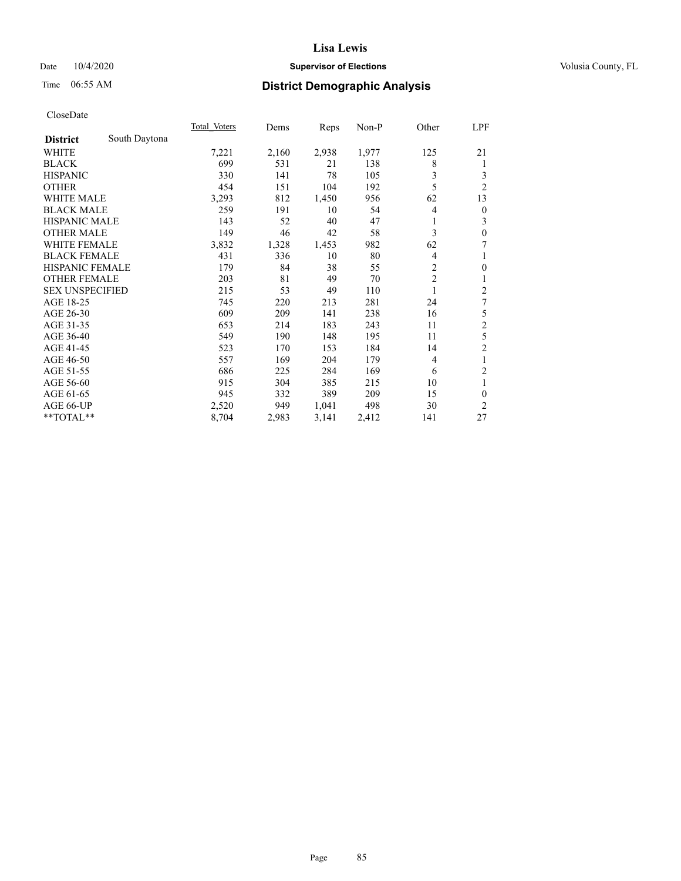## Date  $10/4/2020$  **Supervisor of Elections Supervisor of Elections** Volusia County, FL

# Time 06:55 AM **District Demographic Analysis**

|                        |               | Total Voters | Dems  | Reps  | Non-P | Other          | LPF            |
|------------------------|---------------|--------------|-------|-------|-------|----------------|----------------|
| <b>District</b>        | South Daytona |              |       |       |       |                |                |
| WHITE                  |               | 7,221        | 2,160 | 2,938 | 1,977 | 125            | 21             |
| <b>BLACK</b>           |               | 699          | 531   | 21    | 138   | 8              | 1              |
| <b>HISPANIC</b>        |               | 330          | 141   | 78    | 105   | 3              | 3              |
| <b>OTHER</b>           |               | 454          | 151   | 104   | 192   | 5              | $\overline{2}$ |
| <b>WHITE MALE</b>      |               | 3,293        | 812   | 1,450 | 956   | 62             | 13             |
| <b>BLACK MALE</b>      |               | 259          | 191   | 10    | 54    | 4              | $\theta$       |
| <b>HISPANIC MALE</b>   |               | 143          | 52    | 40    | 47    |                | 3              |
| <b>OTHER MALE</b>      |               | 149          | 46    | 42    | 58    | 3              | $\mathbf{0}$   |
| <b>WHITE FEMALE</b>    |               | 3,832        | 1,328 | 1,453 | 982   | 62             | 7              |
| <b>BLACK FEMALE</b>    |               | 431          | 336   | 10    | 80    | 4              | 1              |
| <b>HISPANIC FEMALE</b> |               | 179          | 84    | 38    | 55    | 2              | $\mathbf{0}$   |
| <b>OTHER FEMALE</b>    |               | 203          | 81    | 49    | 70    | $\overline{2}$ | 1              |
| <b>SEX UNSPECIFIED</b> |               | 215          | 53    | 49    | 110   | 1              | $\overline{2}$ |
| AGE 18-25              |               | 745          | 220   | 213   | 281   | 24             | 7              |
| AGE 26-30              |               | 609          | 209   | 141   | 238   | 16             | 5              |
| AGE 31-35              |               | 653          | 214   | 183   | 243   | 11             | $\overline{c}$ |
| AGE 36-40              |               | 549          | 190   | 148   | 195   | 11             | 5              |
| AGE 41-45              |               | 523          | 170   | 153   | 184   | 14             | $\overline{c}$ |
| AGE 46-50              |               | 557          | 169   | 204   | 179   | $\overline{4}$ | 1              |
| AGE 51-55              |               | 686          | 225   | 284   | 169   | 6              | 2              |
| AGE 56-60              |               | 915          | 304   | 385   | 215   | 10             | 1              |
| AGE 61-65              |               | 945          | 332   | 389   | 209   | 15             | $\theta$       |
| AGE 66-UP              |               | 2,520        | 949   | 1,041 | 498   | 30             | 2              |
| **TOTAL**              |               | 8,704        | 2,983 | 3,141 | 2,412 | 141            | 27             |